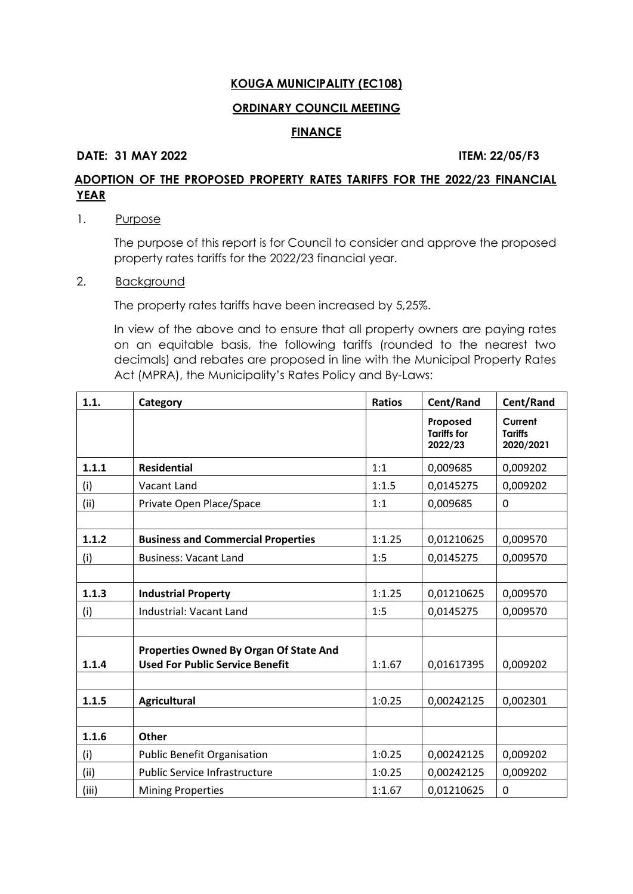# **ORDINARY COUNCIL MEETING**

#### **FINANCE**

### **DATE: 31 MAY 2022 ITEM: 22/05/F3**

# **ADOPTION OF THE PROPOSED PROPERTY RATES TARIFFS FOR THE 2022/23 FINANCIAL YEAR**

# 1. Purpose

The purpose of this report is for Council to consider and approve the proposed property rates tariffs for the 2022/23 financial year.

# 2. **Background**

The property rates tariffs have been increased by 5,25%.

In view of the above and to ensure that all property owners are paying rates on an equitable basis, the following tariffs (rounded to the nearest two decimals) and rebates are proposed in line with the Municipal Property Rates Act (MPRA), the Municipality's Rates Policy and By-Laws:

| 1.1.  | Category                                                                         | <b>Ratios</b> | Cent/Rand                                 | Cent/Rand                              |
|-------|----------------------------------------------------------------------------------|---------------|-------------------------------------------|----------------------------------------|
|       |                                                                                  |               | Proposed<br><b>Tariffs for</b><br>2022/23 | Current<br><b>Tariffs</b><br>2020/2021 |
| 1.1.1 | <b>Residential</b>                                                               | 1:1           | 0,009685                                  | 0,009202                               |
| (i)   | Vacant Land                                                                      | 1:1.5         | 0,0145275                                 | 0,009202                               |
| (ii)  | Private Open Place/Space                                                         | 1:1           | 0,009685                                  | 0                                      |
|       |                                                                                  |               |                                           |                                        |
| 1.1.2 | <b>Business and Commercial Properties</b>                                        | 1:1.25        | 0,01210625                                | 0,009570                               |
| (i)   | <b>Business: Vacant Land</b>                                                     | 1:5           | 0,0145275                                 | 0,009570                               |
|       |                                                                                  |               |                                           |                                        |
| 1.1.3 | <b>Industrial Property</b>                                                       | 1:1.25        | 0,01210625                                | 0,009570                               |
| (i)   | Industrial: Vacant Land                                                          | 1:5           | 0,0145275                                 | 0,009570                               |
|       |                                                                                  |               |                                           |                                        |
| 1.1.4 | Properties Owned By Organ Of State And<br><b>Used For Public Service Benefit</b> | 1:1.67        | 0,01617395                                | 0,009202                               |
|       |                                                                                  |               |                                           |                                        |
| 1.1.5 | <b>Agricultural</b>                                                              | 1:0.25        | 0,00242125                                | 0,002301                               |
|       |                                                                                  |               |                                           |                                        |
| 1.1.6 | Other                                                                            |               |                                           |                                        |
| (i)   | <b>Public Benefit Organisation</b>                                               | 1:0.25        | 0,00242125                                | 0,009202                               |
| (ii)  | Public Service Infrastructure                                                    | 1:0.25        | 0,00242125                                | 0,009202                               |
| (iii) | <b>Mining Properties</b>                                                         | 1:1.67        | 0,01210625                                | 0                                      |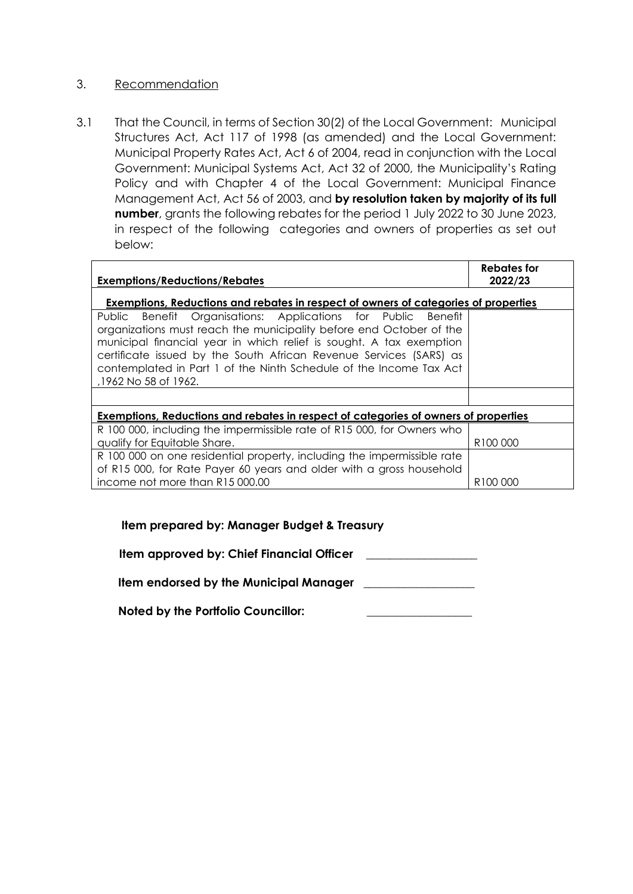# 3.Recommendation

3.1 That the Council, in terms of Section 30(2) of the Local Government: Municipal Structures Act, Act 117 of 1998 (as amended) and the Local Government: Municipal Property Rates Act, Act 6 of 2004, read in conjunction with the Local Government: Municipal Systems Act, Act 32 of 2000, the Municipality's Rating Policy and with Chapter 4 of the Local Government: Municipal Finance Management Act, Act 56 of 2003, and **by resolution taken by majority of its full number**, grants the following rebates for the period 1 July 2022 to 30 June 2023, in respect of the following categories and owners of properties as set out below:

| <b>Exemptions/Reductions/Rebates</b>                                                                                                                                                                                                                                                                                                                                            | Rebates for<br>2022/23 |
|---------------------------------------------------------------------------------------------------------------------------------------------------------------------------------------------------------------------------------------------------------------------------------------------------------------------------------------------------------------------------------|------------------------|
| <b>Exemptions, Reductions and rebates in respect of owners of categories of properties</b>                                                                                                                                                                                                                                                                                      |                        |
| Public Benefit Organisations: Applications for Public Benefit<br>organizations must reach the municipality before end October of the<br>municipal financial year in which relief is sought. A tax exemption<br>certificate issued by the South African Revenue Services (SARS) as<br>contemplated in Part 1 of the Ninth Schedule of the Income Tax Act<br>,1962 No 58 of 1962. |                        |
|                                                                                                                                                                                                                                                                                                                                                                                 |                        |
| Exemptions, Reductions and rebates in respect of categories of owners of properties                                                                                                                                                                                                                                                                                             |                        |
| R 100 000, including the impermissible rate of R15 000, for Owners who<br>qualify for Equitable Share.                                                                                                                                                                                                                                                                          | R <sub>100</sub> 000   |
| R 100 000 on one residential property, including the impermissible rate<br>of R15 000, for Rate Payer 60 years and older with a gross household                                                                                                                                                                                                                                 |                        |
| income not more than R15 000.00                                                                                                                                                                                                                                                                                                                                                 | R <sub>100</sub> 000   |

# **Item prepared by: Manager Budget & Treasury**

 **Item approved by: Chief Financial Officer \_\_\_\_\_\_\_\_\_\_\_\_\_\_\_\_\_\_\_**

**Item endorsed by the Municipal Manager \_\_\_\_\_\_\_\_\_\_\_\_\_\_\_\_\_\_\_**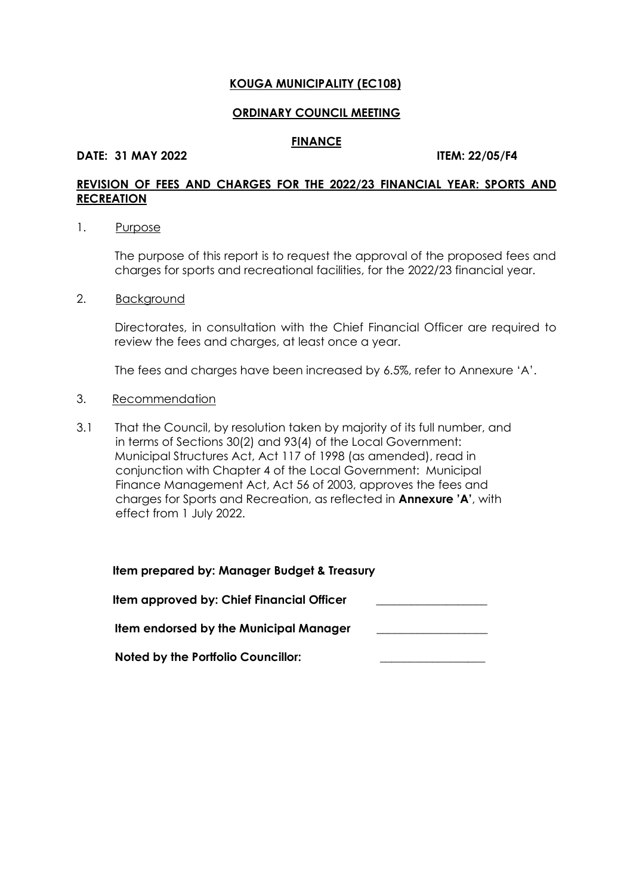#### **ORDINARY COUNCIL MEETING**

#### **FINANCE**

#### **DATE: 31 MAY 2022 ITEM: 22/05/F4**

# **REVISION OF FEES AND CHARGES FOR THE 2022/23 FINANCIAL YEAR: SPORTS AND RECREATION**

1. Purpose

The purpose of this report is to request the approval of the proposed fees and charges for sports and recreational facilities, for the 2022/23 financial year.

2. Background

Directorates, in consultation with the Chief Financial Officer are required to review the fees and charges, at least once a year.

The fees and charges have been increased by 6.5%, refer to Annexure 'A'.

#### 3. Recommendation

3.1 That the Council, by resolution taken by majority of its full number, and in terms of Sections 30(2) and 93(4) of the Local Government: Municipal Structures Act, Act 117 of 1998 (as amended), read in conjunction with Chapter 4 of the Local Government: Municipal Finance Management Act, Act 56 of 2003, approves the fees and charges for Sports and Recreation, as reflected in **Annexure 'A'**, with effect from 1 July 2022.

| Item prepared by: Manager Budget & Treasury   |  |
|-----------------------------------------------|--|
| Item approved by: Chief Financial Officer     |  |
| <b>Item endorsed by the Municipal Manager</b> |  |
| <b>Noted by the Portfolio Councillor:</b>     |  |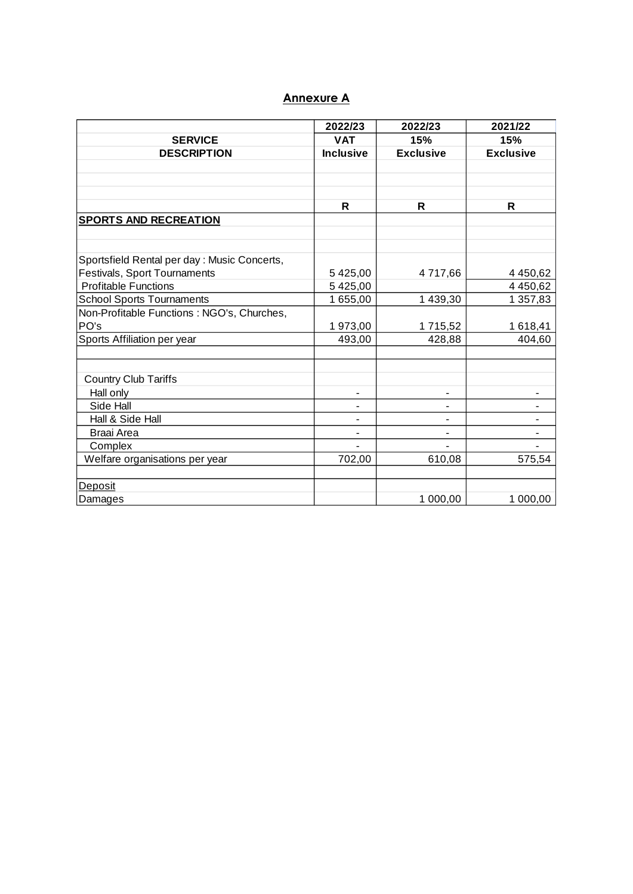# **Annexure A**

|                                             | 2022/23          | 2022/23          | 2021/22          |
|---------------------------------------------|------------------|------------------|------------------|
| <b>SERVICE</b>                              | <b>VAT</b>       | 15%              | 15%              |
| <b>DESCRIPTION</b>                          | <b>Inclusive</b> | <b>Exclusive</b> | <b>Exclusive</b> |
|                                             |                  |                  |                  |
|                                             |                  |                  |                  |
|                                             |                  |                  |                  |
|                                             | $\mathsf{R}$     | R                | R                |
| <b>SPORTS AND RECREATION</b>                |                  |                  |                  |
|                                             |                  |                  |                  |
|                                             |                  |                  |                  |
| Sportsfield Rental per day: Music Concerts, |                  |                  |                  |
| Festivals, Sport Tournaments                | 5 425,00         | 4 717,66         | 4 4 50,62        |
| <b>Profitable Functions</b>                 | 5 425,00         |                  | 4 4 50,62        |
| <b>School Sports Tournaments</b>            | 1 655,00         | 1 439,30         | 1 357,83         |
| Non-Profitable Functions : NGO's, Churches, |                  |                  |                  |
| PO's                                        | 1973,00          | 1715,52          | 1618,41          |
| Sports Affiliation per year                 | 493,00           | 428,88           | 404,60           |
|                                             |                  |                  |                  |
|                                             |                  |                  |                  |
| <b>Country Club Tariffs</b>                 |                  |                  |                  |
| Hall only                                   |                  |                  |                  |
| Side Hall                                   |                  |                  |                  |
| Hall & Side Hall                            | -                | -                |                  |
| Braai Area                                  | ۰                | ٠                |                  |
| Complex                                     |                  |                  |                  |
| Welfare organisations per year              | 702,00           | 610,08           | 575,54           |
|                                             |                  |                  |                  |
| Deposit                                     |                  |                  |                  |
| Damages                                     |                  | 1 000,00         | 1 000,00         |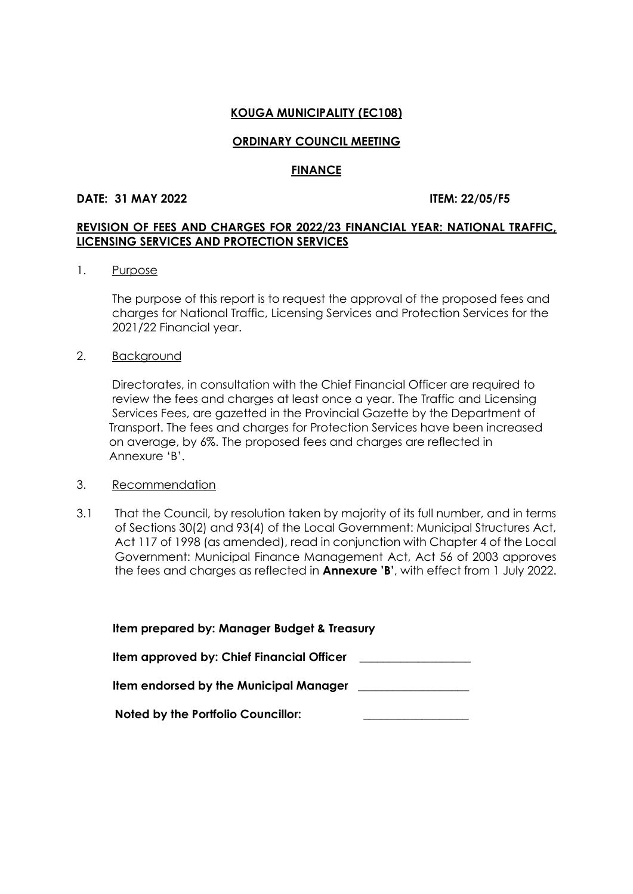#### **ORDINARY COUNCIL MEETING**

#### **FINANCE**

#### **DATE: 31 MAY 2022 ITEM: 22/05/F5**

### **REVISION OF FEES AND CHARGES FOR 2022/23 FINANCIAL YEAR: NATIONAL TRAFFIC, LICENSING SERVICES AND PROTECTION SERVICES**

#### 1. Purpose

 The purpose of this report is to request the approval of the proposed fees and charges for National Traffic, Licensing Services and Protection Services for the 2021/22 Financial year.

#### 2. Background

 Directorates, in consultation with the Chief Financial Officer are required to review the fees and charges at least once a year. The Traffic and Licensing Services Fees, are gazetted in the Provincial Gazette by the Department of Transport. The fees and charges for Protection Services have been increased on average, by 6%. The proposed fees and charges are reflected in Annexure 'B'.

#### 3. Recommendation

3.1 That the Council, by resolution taken by majority of its full number, and in terms of Sections 30(2) and 93(4) of the Local Government: Municipal Structures Act, Act 117 of 1998 (as amended), read in conjunction with Chapter 4 of the Local Government: Municipal Finance Management Act, Act 56 of 2003 approves the fees and charges as reflected in **Annexure 'B'**, with effect from 1 July 2022.

| Item prepared by: Manager Budget & Treasury |
|---------------------------------------------|
| Item approved by: Chief Financial Officer   |
| Item endorsed by the Municipal Manager      |
| <b>Noted by the Portfolio Councillor:</b>   |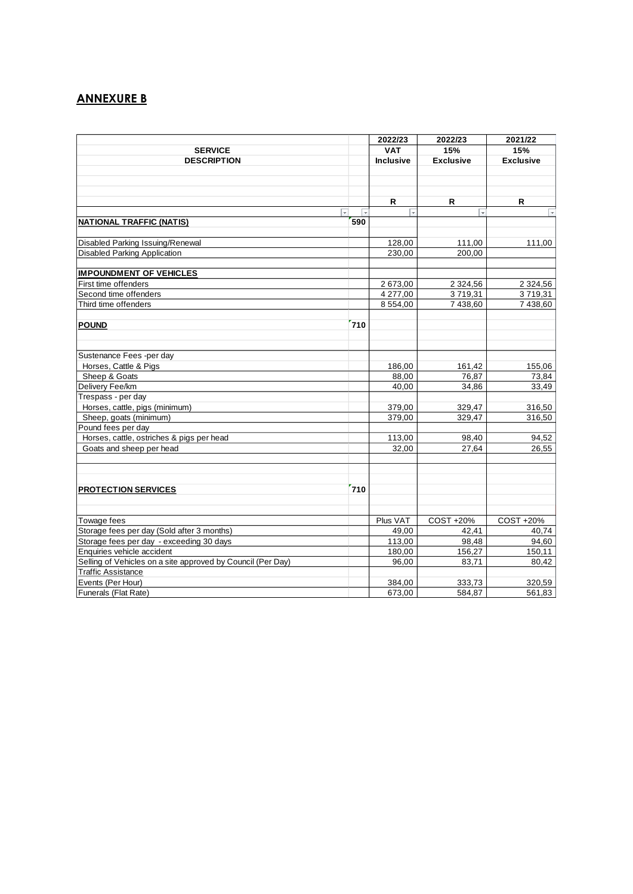# **ANNEXURE B**

|                                                             |                         | 2022/23            | 2022/23          | 2021/22          |
|-------------------------------------------------------------|-------------------------|--------------------|------------------|------------------|
| <b>SERVICE</b>                                              |                         | <b>VAT</b>         | 15%              | 15%              |
| <b>DESCRIPTION</b>                                          |                         | <b>Inclusive</b>   | <b>Exclusive</b> | <b>Exclusive</b> |
|                                                             |                         |                    |                  |                  |
|                                                             |                         |                    |                  |                  |
|                                                             |                         |                    |                  |                  |
|                                                             |                         | R                  | R                | R                |
| $\overline{\phantom{a}}$                                    | $\overline{\mathbf{v}}$ | $\bar{\mathbf{v}}$ | l.               |                  |
| <b>NATIONAL TRAFFIC (NATIS)</b>                             | 590                     |                    |                  |                  |
| Disabled Parking Issuing/Renewal                            |                         | 128,00             | 111,00           | 111,00           |
| Disabled Parking Application                                |                         | 230,00             | 200,00           |                  |
|                                                             |                         |                    |                  |                  |
| <b>IMPOUNDMENT OF VEHICLES</b>                              |                         |                    |                  |                  |
| First time offenders                                        |                         | 2 673,00           | 2 3 2 4 , 5 6    | 2 3 2 4 , 5 6    |
| Second time offenders                                       |                         | 4 277,00           | 3719,31          | 3719,31          |
| Third time offenders                                        |                         | 8 554,00           | 7 438,60         | 7 438,60         |
|                                                             |                         |                    |                  |                  |
| <b>POUND</b>                                                | 710                     |                    |                  |                  |
|                                                             |                         |                    |                  |                  |
|                                                             |                         |                    |                  |                  |
| Sustenance Fees -per day                                    |                         |                    |                  |                  |
| Horses, Cattle & Pigs                                       |                         | 186,00             | 161,42           | 155,06           |
| Sheep & Goats                                               |                         | 88,00              | 76,87            | 73,84            |
| Delivery Fee/km                                             |                         | 40,00              | 34,86            | 33,49            |
| Trespass - per day                                          |                         |                    |                  |                  |
| Horses, cattle, pigs (minimum)                              |                         | 379,00             | 329,47           | 316,50           |
| Sheep, goats (minimum)                                      |                         | 379,00             | 329,47           | 316,50           |
| Pound fees per day                                          |                         |                    |                  |                  |
| Horses, cattle, ostriches & pigs per head                   |                         | 113,00             | 98,40            | 94,52            |
| Goats and sheep per head                                    |                         | 32,00              | 27.64            | 26,55            |
|                                                             |                         |                    |                  |                  |
| <b>PROTECTION SERVICES</b>                                  | 710                     |                    |                  |                  |
|                                                             |                         |                    |                  |                  |
|                                                             |                         |                    |                  |                  |
| Towage fees                                                 |                         | Plus VAT           | COST +20%        | COST +20%        |
| Storage fees per day (Sold after 3 months)                  |                         | 49,00              | 42.41            | 40.74            |
| Storage fees per day - exceeding 30 days                    |                         | 113,00             | 98,48            | 94,60            |
| Enquiries vehicle accident                                  |                         | 180,00             | 156,27           | 150,11           |
| Selling of Vehicles on a site approved by Council (Per Day) |                         | 96,00              | 83,71            | 80,42            |
| <b>Traffic Assistance</b>                                   |                         |                    |                  |                  |
| Events (Per Hour)                                           |                         | 384,00             | 333,73           | 320,59           |
| Funerals (Flat Rate)                                        |                         | 673,00             | 584,87           | 561,83           |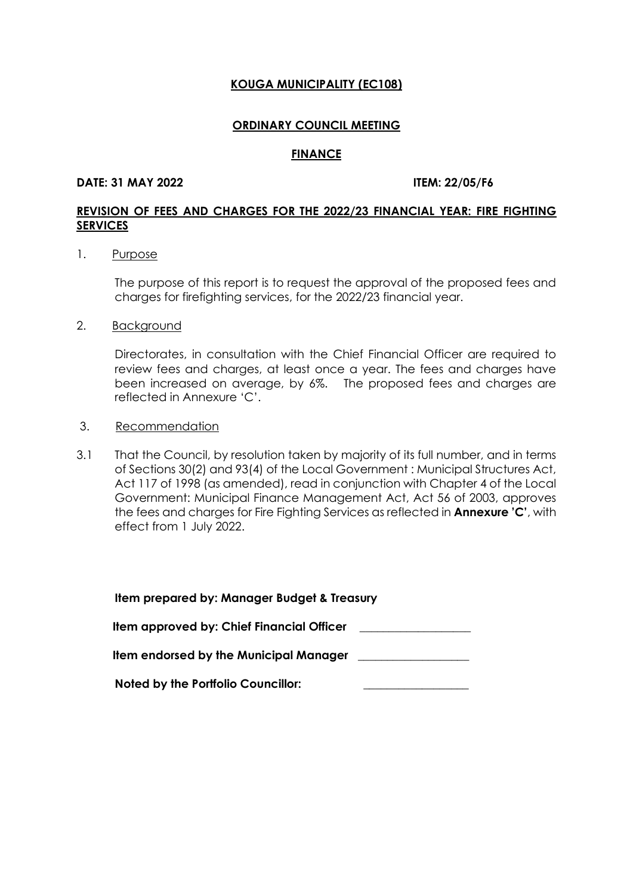#### **ORDINARY COUNCIL MEETING**

#### **FINANCE**

#### **DATE: 31 MAY 2022 ITEM: 22/05/F6**

# **REVISION OF FEES AND CHARGES FOR THE 2022/23 FINANCIAL YEAR: FIRE FIGHTING SERVICES**

#### 1. Purpose

The purpose of this report is to request the approval of the proposed fees and charges for firefighting services, for the 2022/23 financial year.

2. Background

Directorates, in consultation with the Chief Financial Officer are required to review fees and charges, at least once a year. The fees and charges have been increased on average, by 6%. The proposed fees and charges are reflected in Annexure 'C'.

- 3. Recommendation
- 3.1 That the Council, by resolution taken by majority of its full number, and in terms of Sections 30(2) and 93(4) of the Local Government : Municipal Structures Act, Act 117 of 1998 (as amended), read in conjunction with Chapter 4 of the Local Government: Municipal Finance Management Act, Act 56 of 2003, approves the fees and charges for Fire Fighting Services as reflected in **Annexure 'C'**, with effect from 1 July 2022.

| Item prepared by: Manager Budget & Treasury |
|---------------------------------------------|
| Item approved by: Chief Financial Officer   |
| Item endorsed by the Municipal Manager      |
| <b>Noted by the Portfolio Councillor:</b>   |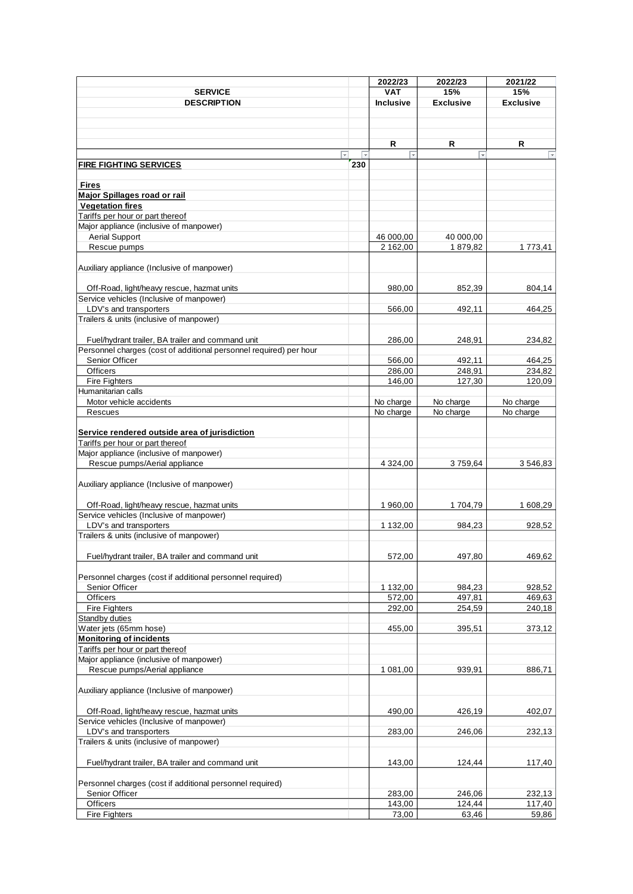|                                                                    |     | 2022/23          | 2022/23          | 2021/22          |
|--------------------------------------------------------------------|-----|------------------|------------------|------------------|
| <b>SERVICE</b>                                                     |     | <b>VAT</b>       | 15%              | 15%              |
| <b>DESCRIPTION</b>                                                 |     | <b>Inclusive</b> | <b>Exclusive</b> | <b>Exclusive</b> |
|                                                                    |     |                  |                  |                  |
|                                                                    |     |                  |                  |                  |
|                                                                    |     |                  |                  |                  |
|                                                                    |     | R                | R                | R                |
|                                                                    |     |                  |                  |                  |
| <b>FIRE FIGHTING SERVICES</b>                                      | 230 |                  |                  |                  |
|                                                                    |     |                  |                  |                  |
| Fires                                                              |     |                  |                  |                  |
| <b>Major Spillages road or rail</b>                                |     |                  |                  |                  |
| <b>Vegetation fires</b>                                            |     |                  |                  |                  |
| Tariffs per hour or part thereof                                   |     |                  |                  |                  |
| Major appliance (inclusive of manpower)                            |     |                  |                  |                  |
| <b>Aerial Support</b>                                              |     | 46 000,00        | 40 000,00        |                  |
| Rescue pumps                                                       |     | 2 162,00         | 1879,82          | 1 773,41         |
|                                                                    |     |                  |                  |                  |
| Auxiliary appliance (Inclusive of manpower)                        |     |                  |                  |                  |
|                                                                    |     |                  |                  |                  |
|                                                                    |     |                  |                  |                  |
| Off-Road, light/heavy rescue, hazmat units                         |     | 980,00           | 852,39           | 804,14           |
| Service vehicles (Inclusive of manpower)                           |     |                  |                  |                  |
| LDV's and transporters                                             |     | 566,00           | 492,11           | 464,25           |
| Trailers & units (inclusive of manpower)                           |     |                  |                  |                  |
|                                                                    |     |                  |                  |                  |
| Fuel/hydrant trailer, BA trailer and command unit                  |     | 286,00           | 248,91           | 234,82           |
| Personnel charges (cost of additional personnel required) per hour |     |                  |                  |                  |
| Senior Officer                                                     |     | 566,00           | 492.11           | 464,25           |
| Officers                                                           |     | 286,00           | 248,91           | 234,82           |
| <b>Fire Fighters</b>                                               |     | 146,00           | 127,30           | 120,09           |
| Humanitarian calls                                                 |     |                  |                  |                  |
| Motor vehicle accidents                                            |     | No charge        | No charge        | No charge        |
| Rescues                                                            |     | No charge        | No charge        | No charge        |
|                                                                    |     |                  |                  |                  |
| Service rendered outside area of jurisdiction                      |     |                  |                  |                  |
| Tariffs per hour or part thereof                                   |     |                  |                  |                  |
| Major appliance (inclusive of manpower)                            |     |                  |                  |                  |
| Rescue pumps/Aerial appliance                                      |     | 4 3 24,00        | 3759,64          | 3546,83          |
|                                                                    |     |                  |                  |                  |
|                                                                    |     |                  |                  |                  |
| Auxiliary appliance (Inclusive of manpower)                        |     |                  |                  |                  |
|                                                                    |     |                  |                  |                  |
| Off-Road, light/heavy rescue, hazmat units                         |     | 1 960,00         | 1704,79          | 1 608,29         |
| Service vehicles (Inclusive of manpower)                           |     |                  |                  |                  |
| LDV's and transporters                                             |     | 1 132,00         | 984,23           | 928,52           |
| Trailers & units (inclusive of manpower)                           |     |                  |                  |                  |
|                                                                    |     |                  |                  |                  |
| Fuel/hydrant trailer, BA trailer and command unit                  |     | 572,00           | 497,80           | 469,62           |
|                                                                    |     |                  |                  |                  |
| Personnel charges (cost if additional personnel required)          |     |                  |                  |                  |
| Senior Officer                                                     |     | 1 132,00         | 984,23           | 928,52           |
| <b>Officers</b>                                                    |     | 572,00           | 497,81           | 469,63           |
| <b>Fire Fighters</b>                                               |     | 292,00           | 254,59           | 240,18           |
| <b>Standby duties</b>                                              |     |                  |                  |                  |
| Water jets (65mm hose)                                             |     | 455,00           | 395,51           | 373,12           |
| <b>Monitoring of incidents</b>                                     |     |                  |                  |                  |
| Tariffs per hour or part thereof                                   |     |                  |                  |                  |
| Major appliance (inclusive of manpower)                            |     |                  |                  |                  |
| Rescue pumps/Aerial appliance                                      |     | 1 081,00         | 939,91           | 886,71           |
|                                                                    |     |                  |                  |                  |
| Auxiliary appliance (Inclusive of manpower)                        |     |                  |                  |                  |
|                                                                    |     |                  |                  |                  |
| Off-Road, light/heavy rescue, hazmat units                         |     | 490,00           | 426,19           | 402,07           |
| Service vehicles (Inclusive of manpower)                           |     |                  |                  |                  |
|                                                                    |     |                  |                  |                  |
| LDV's and transporters                                             |     | 283,00           | 246,06           | 232,13           |
| Trailers & units (inclusive of manpower)                           |     |                  |                  |                  |
|                                                                    |     |                  |                  |                  |
| Fuel/hydrant trailer, BA trailer and command unit                  |     | 143,00           | 124,44           | 117,40           |
|                                                                    |     |                  |                  |                  |
| Personnel charges (cost if additional personnel required)          |     |                  |                  |                  |
| Senior Officer                                                     |     | 283,00           | 246,06           | 232,13           |
| Officers                                                           |     | 143,00           | 124,44           | 117,40           |
| <b>Fire Fighters</b>                                               |     | 73,00            | 63,46            | 59,86            |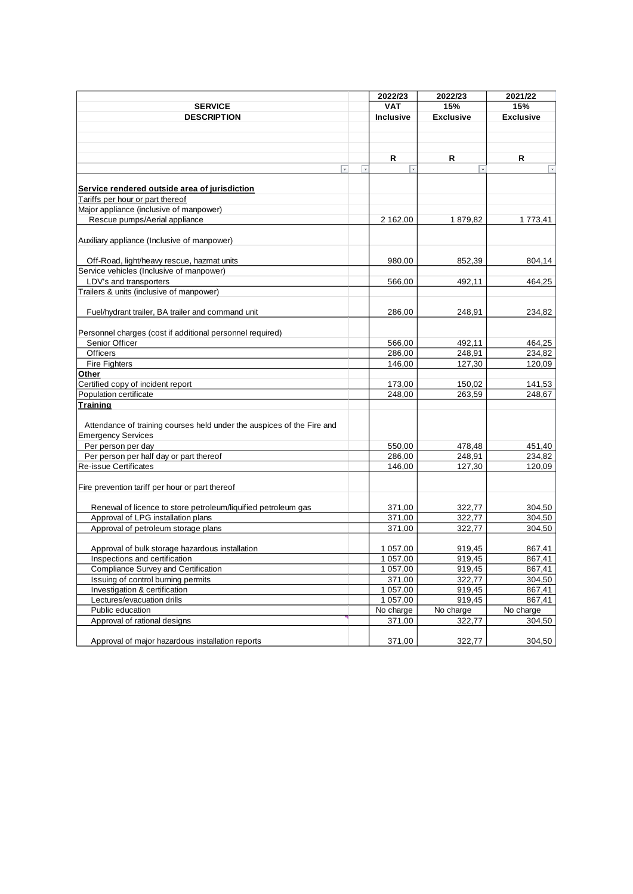|                                                                        |                         | 2022/23                  | 2022/23                 | 2021/22                 |
|------------------------------------------------------------------------|-------------------------|--------------------------|-------------------------|-------------------------|
| <b>SERVICE</b>                                                         |                         | <b>VAT</b>               | 15%                     | 15%                     |
| <b>DESCRIPTION</b>                                                     |                         | <b>Inclusive</b>         | <b>Exclusive</b>        | <b>Exclusive</b>        |
|                                                                        |                         |                          |                         |                         |
|                                                                        |                         |                          |                         |                         |
|                                                                        |                         |                          |                         |                         |
|                                                                        |                         | R                        | R                       | R                       |
| $\overline{\phantom{a}}$                                               | $\overline{\mathbf{v}}$ | $\overline{\phantom{0}}$ | $\overline{\mathbf{v}}$ | Ų                       |
|                                                                        |                         |                          |                         |                         |
| Service rendered outside area of jurisdiction                          |                         |                          |                         |                         |
| Tariffs per hour or part thereof                                       |                         |                          |                         |                         |
| Major appliance (inclusive of manpower)                                |                         |                          |                         |                         |
| Rescue pumps/Aerial appliance                                          |                         | 2 162,00                 | 1879,82                 | 1773.41                 |
|                                                                        |                         |                          |                         |                         |
| Auxiliary appliance (Inclusive of manpower)                            |                         |                          |                         |                         |
|                                                                        |                         |                          |                         |                         |
| Off-Road, light/heavy rescue, hazmat units                             |                         | 980,00                   | 852,39                  | 804,14                  |
| Service vehicles (Inclusive of manpower)                               |                         |                          |                         |                         |
| LDV's and transporters                                                 |                         | 566,00                   | 492,11                  | 464,25                  |
| Trailers & units (inclusive of manpower)                               |                         |                          |                         |                         |
|                                                                        |                         |                          |                         |                         |
| Fuel/hydrant trailer, BA trailer and command unit                      |                         | 286,00                   | 248,91                  | 234,82                  |
|                                                                        |                         |                          |                         |                         |
| Personnel charges (cost if additional personnel required)              |                         |                          |                         |                         |
| Senior Officer                                                         |                         | 566,00                   | 492,11                  | 464,25                  |
| Officers                                                               |                         | 286,00                   | 248,91                  | 234,82                  |
|                                                                        |                         | 146,00                   |                         | 120,09                  |
| <b>Fire Fighters</b><br>Other                                          |                         |                          | 127,30                  |                         |
| Certified copy of incident report                                      |                         |                          |                         |                         |
| Population certificate                                                 |                         | 173,00<br>248,00         | 150,02<br>263,59        | 141,53<br>248,67        |
|                                                                        |                         |                          |                         |                         |
| <b>Training</b>                                                        |                         |                          |                         |                         |
|                                                                        |                         |                          |                         |                         |
| Attendance of training courses held under the auspices of the Fire and |                         |                          |                         |                         |
| <b>Emergency Services</b>                                              |                         |                          |                         |                         |
| Per person per day                                                     |                         | 550,00                   | 478,48                  | 451,40                  |
| Per person per half day or part thereof                                |                         | 286,00                   | 248,91                  | 234,82                  |
| <b>Re-issue Certificates</b>                                           |                         | 146,00                   | 127,30                  | 120,09                  |
|                                                                        |                         |                          |                         |                         |
| Fire prevention tariff per hour or part thereof                        |                         |                          |                         |                         |
|                                                                        |                         |                          |                         |                         |
| Renewal of licence to store petroleum/liquified petroleum gas          |                         | 371,00                   | 322,77                  | 304,50                  |
| Approval of LPG installation plans                                     |                         | 371.00                   | 322,77                  | 304,50                  |
| Approval of petroleum storage plans                                    |                         | 371,00                   | 322,77                  | 304,50                  |
|                                                                        |                         |                          |                         |                         |
| Approval of bulk storage hazardous installation                        |                         | 1 057,00                 | 919,45                  | 867,41                  |
| Inspections and certification                                          |                         | 1 057,00                 | 919,45                  | 867,41                  |
| Compliance Survey and Certification                                    |                         | 1 057,00                 | 919,45                  | 867,41                  |
| Issuing of control burning permits                                     |                         | 371,00                   | 322,77                  | 304,50                  |
| Investigation & certification                                          |                         | 1 057,00                 | 919,45                  | 867,41                  |
| Lectures/evacuation drills                                             |                         | 1 057,00                 | 919,45                  | 867,41                  |
| Public education                                                       |                         | No charge                | No charge               | $\overline{N}$ o charge |
| Approval of rational designs                                           |                         | 371,00                   | 322,77                  | 304,50                  |
|                                                                        |                         |                          |                         |                         |
| Approval of major hazardous installation reports                       |                         | 371,00                   | 322,77                  | 304,50                  |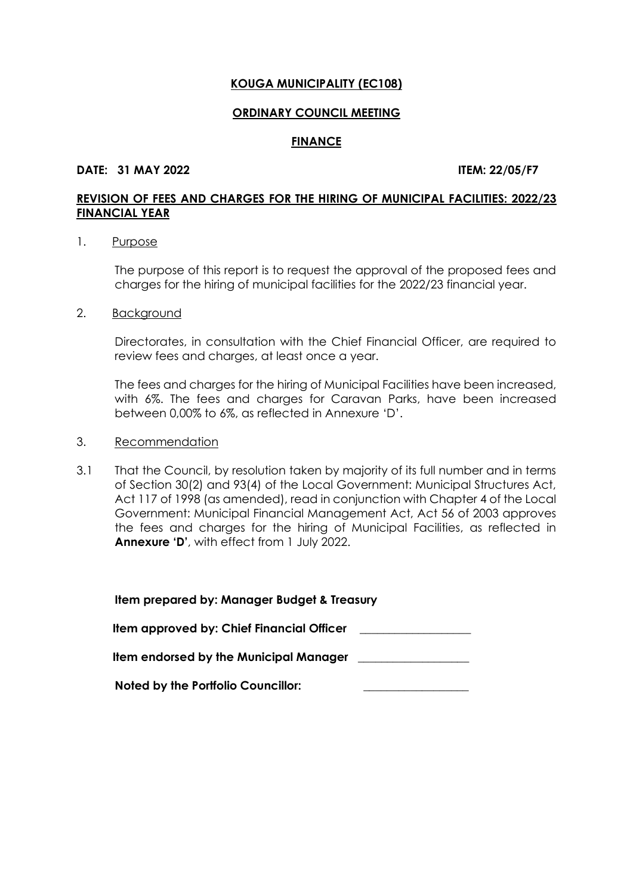#### **ORDINARY COUNCIL MEETING**

#### **FINANCE**

#### **DATE: 31 MAY 2022 ITEM: 22/05/F7**

# **REVISION OF FEES AND CHARGES FOR THE HIRING OF MUNICIPAL FACILITIES: 2022/23 FINANCIAL YEAR**

#### 1. Purpose

The purpose of this report is to request the approval of the proposed fees and charges for the hiring of municipal facilities for the 2022/23 financial year.

2. Background

Directorates, in consultation with the Chief Financial Officer, are required to review fees and charges, at least once a year.

The fees and charges for the hiring of Municipal Facilities have been increased, with 6%. The fees and charges for Caravan Parks, have been increased between 0,00% to 6%, as reflected in Annexure 'D'.

# 3. Recommendation

3.1 That the Council, by resolution taken by majority of its full number and in terms of Section 30(2) and 93(4) of the Local Government: Municipal Structures Act, Act 117 of 1998 (as amended), read in conjunction with Chapter 4 of the Local Government: Municipal Financial Management Act, Act 56 of 2003 approves the fees and charges for the hiring of Municipal Facilities, as reflected in **Annexure 'D'**, with effect from 1 July 2022.

| Item prepared by: Manager Budget & Treasury |
|---------------------------------------------|
| Item approved by: Chief Financial Officer   |
| Item endorsed by the Municipal Manager      |
| <b>Noted by the Portfolio Councillor:</b>   |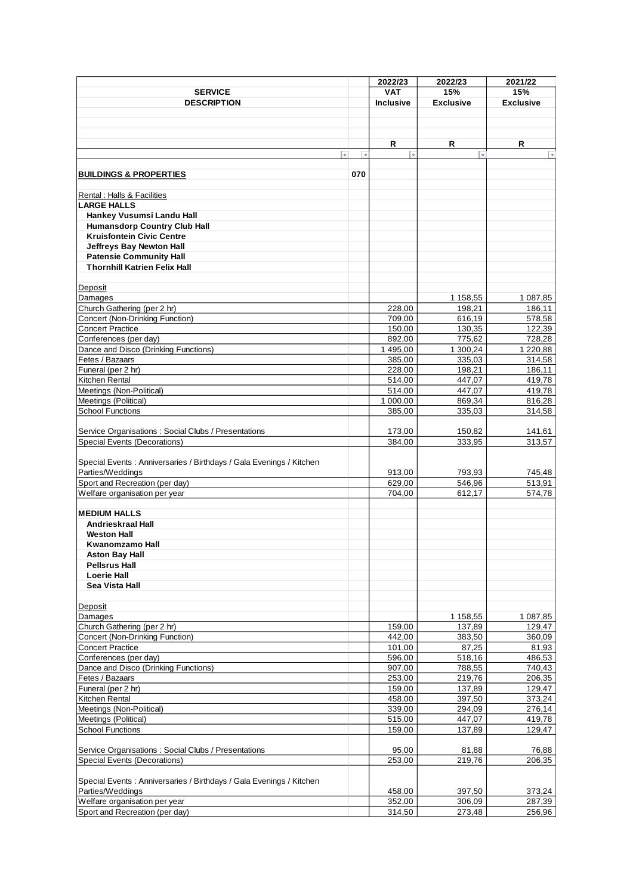|                                                                      |                         | 2022/23                 | 2022/23          | 2021/22          |
|----------------------------------------------------------------------|-------------------------|-------------------------|------------------|------------------|
| <b>SERVICE</b>                                                       |                         | <b>VAT</b>              | 15%              | 15%              |
| <b>DESCRIPTION</b>                                                   |                         | <b>Inclusive</b>        | <b>Exclusive</b> | <b>Exclusive</b> |
|                                                                      |                         |                         |                  |                  |
|                                                                      |                         |                         |                  |                  |
|                                                                      |                         |                         |                  |                  |
|                                                                      |                         | R                       | R                | R.               |
|                                                                      | $\overline{\mathbf{v}}$ | $\overline{\mathbf{v}}$ |                  | Ų                |
|                                                                      |                         |                         |                  |                  |
| <b>BUILDINGS &amp; PROPERTIES</b>                                    | 070                     |                         |                  |                  |
| Rental : Halls & Facilities                                          |                         |                         |                  |                  |
| <b>LARGE HALLS</b>                                                   |                         |                         |                  |                  |
| Hankey Vusumsi Landu Hall                                            |                         |                         |                  |                  |
|                                                                      |                         |                         |                  |                  |
| <b>Humansdorp Country Club Hall</b>                                  |                         |                         |                  |                  |
| <b>Kruisfontein Civic Centre</b>                                     |                         |                         |                  |                  |
| <b>Jeffreys Bay Newton Hall</b>                                      |                         |                         |                  |                  |
| <b>Patensie Community Hall</b>                                       |                         |                         |                  |                  |
| <b>Thornhill Katrien Felix Hall</b>                                  |                         |                         |                  |                  |
|                                                                      |                         |                         |                  |                  |
| Deposit                                                              |                         |                         |                  |                  |
| Damages                                                              |                         |                         | 1 158,55         | 1 087,85         |
| Church Gathering (per 2 hr)                                          |                         | 228,00                  | 198,21           | 186,11           |
| Concert (Non-Drinking Function)                                      |                         | 709,00                  | 616,19           | 578,58           |
| <b>Concert Practice</b>                                              |                         | 150,00                  | 130,35           | 122,39           |
| Conferences (per day)                                                |                         | 892,00                  | 775,62           | 728,28           |
| Dance and Disco (Drinking Functions)                                 |                         | 1 495,00                | 1300,24          | 1 2 2 0 , 8 8    |
| Fetes / Bazaars                                                      |                         | 385,00                  | 335,03           | 314,58           |
|                                                                      |                         |                         |                  |                  |
| Funeral (per 2 hr)                                                   |                         | 228,00                  | 198,21           | 186,11           |
| Kitchen Rental                                                       |                         | 514,00                  | 447,07           | 419,78           |
| Meetings (Non-Political)                                             |                         | 514,00                  | 447,07           | 419,78           |
| Meetings (Political)                                                 |                         | 1 000,00                | 869,34           | 816,28           |
| School Functions                                                     |                         | 385,00                  | 335,03           | 314,58           |
|                                                                      |                         |                         |                  |                  |
| Service Organisations: Social Clubs / Presentations                  |                         | 173,00                  | 150,82           | 141,61           |
| Special Events (Decorations)                                         |                         | 384,00                  | 333,95           | 313,57           |
|                                                                      |                         |                         |                  |                  |
| Special Events : Anniversaries / Birthdays / Gala Evenings / Kitchen |                         |                         |                  |                  |
|                                                                      |                         |                         |                  |                  |
| Parties/Weddings                                                     |                         | 913,00                  | 793,93           | 745,48           |
| Sport and Recreation (per day)                                       |                         | 629,00                  | 546,96           | 513,91           |
| Welfare organisation per year                                        |                         | 704,00                  | 612,17           | 574,78           |
|                                                                      |                         |                         |                  |                  |
| <b>MEDIUM HALLS</b>                                                  |                         |                         |                  |                  |
| Andrieskraal Hall                                                    |                         |                         |                  |                  |
| <b>Weston Hall</b>                                                   |                         |                         |                  |                  |
| Kwanomzamo Hall                                                      |                         |                         |                  |                  |
| <b>Aston Bay Hall</b>                                                |                         |                         |                  |                  |
| <b>Pellsrus Hall</b>                                                 |                         |                         |                  |                  |
| <b>Loerie Hall</b>                                                   |                         |                         |                  |                  |
| Sea Vista Hall                                                       |                         |                         |                  |                  |
|                                                                      |                         |                         |                  |                  |
| Deposit                                                              |                         |                         |                  |                  |
| Damages                                                              |                         |                         | 1 158,55         | 1 087,85         |
| Church Gathering (per 2 hr)                                          |                         | 159,00                  | 137,89           | 129,47           |
| <b>Concert (Non-Drinking Function)</b>                               |                         | 442,00                  | 383,50           | 360,09           |
| <b>Concert Practice</b>                                              |                         | 101,00                  |                  |                  |
|                                                                      |                         |                         | 87,25            | 81,93            |
| Conferences (per day)                                                |                         | 596,00                  | 518,16           | 486,53           |
| Dance and Disco (Drinking Functions)                                 |                         | 907,00                  | 788,55           | 740,43           |
| Fetes / Bazaars                                                      |                         | 253,00                  | 219,76           | 206,35           |
| Funeral (per 2 hr)                                                   |                         | 159,00                  | 137,89           | 129,47           |
| Kitchen Rental                                                       |                         | 458,00                  | 397,50           | 373,24           |
| Meetings (Non-Political)                                             |                         | 339,00                  | 294,09           | 276,14           |
| Meetings (Political)                                                 |                         | 515,00                  | 447,07           | 419,78           |
| <b>School Functions</b>                                              |                         | 159,00                  | 137,89           | 129,47           |
|                                                                      |                         |                         |                  |                  |
|                                                                      |                         |                         |                  |                  |
| Service Organisations: Social Clubs / Presentations                  |                         | 95,00                   | 81,88            | 76,88            |
| <b>Special Events (Decorations)</b>                                  |                         | 253,00                  | 219,76           | 206,35           |
|                                                                      |                         |                         |                  |                  |
| Special Events : Anniversaries / Birthdays / Gala Evenings / Kitchen |                         |                         |                  |                  |
| Parties/Weddings                                                     |                         | 458,00                  | 397,50           | 373,24           |
| Welfare organisation per year                                        |                         | 352,00                  | 306,09           | 287,39           |
| Sport and Recreation (per day)                                       |                         | 314,50                  | 273,48           | 256,96           |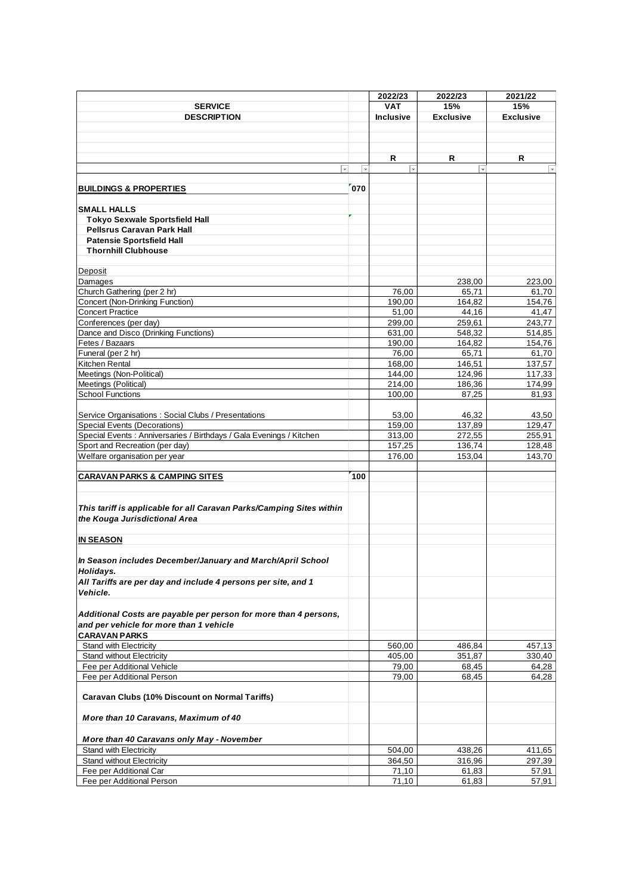|                                                                                                       |     | 2022/23                  | 2022/23          | 2021/22                 |
|-------------------------------------------------------------------------------------------------------|-----|--------------------------|------------------|-------------------------|
| <b>SERVICE</b>                                                                                        |     | <b>VAT</b>               | 15%              | 15%                     |
| <b>DESCRIPTION</b>                                                                                    |     | <b>Inclusive</b>         | <b>Exclusive</b> | <b>Exclusive</b>        |
|                                                                                                       |     |                          |                  |                         |
|                                                                                                       |     |                          |                  |                         |
|                                                                                                       |     |                          |                  |                         |
|                                                                                                       |     | R                        | R                | R                       |
| $\overline{\phantom{a}}$                                                                              |     | $\overline{\phantom{a}}$ |                  | $\overline{\mathbf{v}}$ |
|                                                                                                       |     |                          |                  |                         |
| <b>BUILDINGS &amp; PROPERTIES</b>                                                                     | 070 |                          |                  |                         |
|                                                                                                       |     |                          |                  |                         |
| <b>SMALL HALLS</b>                                                                                    |     |                          |                  |                         |
| <b>Tokyo Sexwale Sportsfield Hall</b>                                                                 |     |                          |                  |                         |
| <b>Pellsrus Caravan Park Hall</b>                                                                     |     |                          |                  |                         |
| <b>Patensie Sportsfield Hall</b>                                                                      |     |                          |                  |                         |
| <b>Thornhill Clubhouse</b>                                                                            |     |                          |                  |                         |
|                                                                                                       |     |                          |                  |                         |
| Deposit                                                                                               |     |                          |                  |                         |
| Damages                                                                                               |     |                          | 238,00           | 223,00                  |
| Church Gathering (per 2 hr)                                                                           |     | 76,00                    | 65,71            | 61,70                   |
| <b>Concert (Non-Drinking Function)</b>                                                                |     | 190,00                   | 164,82           | 154,76                  |
| <b>Concert Practice</b>                                                                               |     | 51,00                    | 44,16            | 41,47                   |
| Conferences (per day)                                                                                 |     | 299.00                   | 259,61           | 243,77                  |
| Dance and Disco (Drinking Functions)                                                                  |     | 631,00                   | 548.32           | 514,85                  |
| Fetes / Bazaars                                                                                       |     | 190,00                   | 164,82           | 154,76                  |
| Funeral (per 2 hr)                                                                                    |     | 76.00                    | 65,71            | 61.70                   |
| Kitchen Rental                                                                                        |     | 168,00                   | 146,51           | 137,57                  |
| Meetings (Non-Political)                                                                              |     | 144,00                   | 124,96           | 117,33                  |
| Meetings (Political)                                                                                  |     | 214.00                   | 186,36           | 174,99                  |
| <b>School Functions</b>                                                                               |     | 100,00                   | 87,25            | 81,93                   |
|                                                                                                       |     |                          |                  |                         |
| Service Organisations: Social Clubs / Presentations                                                   |     | 53,00                    | 46,32<br>137,89  | 43,50                   |
| Special Events (Decorations)<br>Special Events : Anniversaries / Birthdays / Gala Evenings / Kitchen  |     | 159,00<br>313,00         | 272,55           | 129,47<br>255,91        |
| Sport and Recreation (per day)                                                                        |     | 157,25                   | 136,74           | 128,48                  |
| Welfare organisation per year                                                                         |     | 176,00                   | 153,04           | 143,70                  |
|                                                                                                       |     |                          |                  |                         |
| <b>CARAVAN PARKS &amp; CAMPING SITES</b>                                                              | 100 |                          |                  |                         |
|                                                                                                       |     |                          |                  |                         |
| This tariff is applicable for all Caravan Parks/Camping Sites within<br>the Kouga Jurisdictional Area |     |                          |                  |                         |
| <b>IN SEASON</b>                                                                                      |     |                          |                  |                         |
|                                                                                                       |     |                          |                  |                         |
| In Season includes December/January and March/April School                                            |     |                          |                  |                         |
| Holidays.                                                                                             |     |                          |                  |                         |
| All Tariffs are per day and include 4 persons per site, and 1                                         |     |                          |                  |                         |
| Vehicle.                                                                                              |     |                          |                  |                         |
|                                                                                                       |     |                          |                  |                         |
| Additional Costs are payable per person for more than 4 persons,                                      |     |                          |                  |                         |
| and per vehicle for more than 1 vehicle                                                               |     |                          |                  |                         |
| <b>CARAVAN PARKS</b>                                                                                  |     |                          |                  |                         |
| <b>Stand with Electricity</b>                                                                         |     | 560.00                   | 486,84           | 457.13                  |
| Stand without Electricity                                                                             |     | 405,00                   | 351,87           | 330,40                  |
| Fee per Additional Vehicle                                                                            |     | 79,00                    | 68,45            | 64,28                   |
| Fee per Additional Person                                                                             |     | 79,00                    | 68,45            | 64,28                   |
| <b>Caravan Clubs (10% Discount on Normal Tariffs)</b>                                                 |     |                          |                  |                         |
| More than 10 Caravans, Maximum of 40                                                                  |     |                          |                  |                         |
| More than 40 Caravans only May - November                                                             |     |                          |                  |                         |
| Stand with Electricity                                                                                |     | 504,00                   | 438,26           | 411,65                  |
| <b>Stand without Electricity</b>                                                                      |     | 364,50                   | 316,96           | 297,39                  |
| Fee per Additional Car                                                                                |     | 71,10                    | 61,83            | 57,91                   |
| Fee per Additional Person                                                                             |     | 71,10                    | 61,83            | 57,91                   |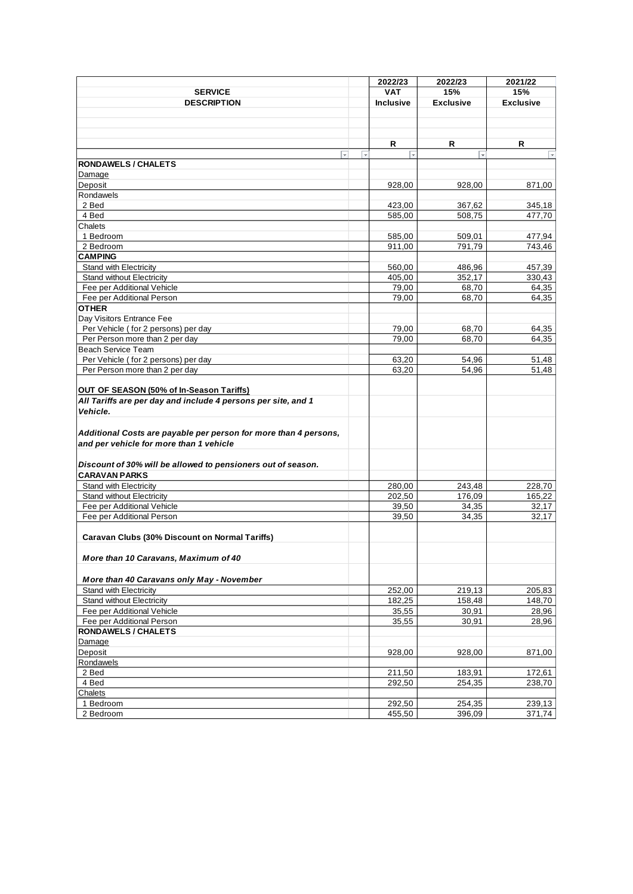|                                                                  |                         | 2022/23                  | 2022/23                 | 2021/22                 |
|------------------------------------------------------------------|-------------------------|--------------------------|-------------------------|-------------------------|
| <b>SERVICE</b>                                                   |                         | <b>VAT</b>               | 15%                     | 15%                     |
| <b>DESCRIPTION</b>                                               |                         | <b>Inclusive</b>         | <b>Exclusive</b>        | <b>Exclusive</b>        |
|                                                                  |                         |                          |                         |                         |
|                                                                  |                         |                          |                         |                         |
|                                                                  |                         | R                        | R                       | R                       |
| $\overline{\phantom{0}}$                                         | $\overline{\mathbf{v}}$ | $\overline{\phantom{a}}$ | $\overline{\mathbf{v}}$ | $\overline{\mathbf{v}}$ |
| <b>RONDAWELS / CHALETS</b>                                       |                         |                          |                         |                         |
| Damage                                                           |                         |                          |                         |                         |
| Deposit                                                          |                         | 928,00                   | 928,00                  | 871,00                  |
| Rondawels                                                        |                         |                          |                         |                         |
| 2 Bed                                                            |                         | 423,00                   | 367,62                  | 345,18                  |
| 4 Bed                                                            |                         | 585,00                   | 508,75                  | 477,70                  |
| Chalets                                                          |                         |                          |                         |                         |
| 1 Bedroom                                                        |                         | 585,00                   | 509,01                  | 477,94                  |
| 2 Bedroom                                                        |                         | 911,00                   | 791,79                  | 743,46                  |
| <b>CAMPING</b>                                                   |                         |                          |                         |                         |
| Stand with Electricity                                           |                         | 560,00                   | 486,96                  | 457,39                  |
| <b>Stand without Electricity</b>                                 |                         | 405,00                   | 352,17                  | 330,43                  |
| Fee per Additional Vehicle                                       |                         | 79,00                    | 68,70                   | 64,35                   |
| Fee per Additional Person                                        |                         | 79,00                    | 68,70                   | 64,35                   |
| <b>OTHER</b>                                                     |                         |                          |                         |                         |
| Day Visitors Entrance Fee                                        |                         |                          |                         |                         |
| Per Vehicle (for 2 persons) per day                              |                         | 79,00                    | 68,70                   | 64,35                   |
| Per Person more than 2 per day<br><b>Beach Service Team</b>      |                         | 79,00                    | 68,70                   | 64,35                   |
| Per Vehicle (for 2 persons) per day                              |                         | 63,20                    | 54,96                   | 51,48                   |
| Per Person more than 2 per day                                   |                         | 63,20                    | 54,96                   | 51,48                   |
|                                                                  |                         |                          |                         |                         |
| OUT OF SEASON (50% of In-Season Tariffs)                         |                         |                          |                         |                         |
| All Tariffs are per day and include 4 persons per site, and 1    |                         |                          |                         |                         |
| Vehicle.                                                         |                         |                          |                         |                         |
|                                                                  |                         |                          |                         |                         |
| Additional Costs are payable per person for more than 4 persons, |                         |                          |                         |                         |
| and per vehicle for more than 1 vehicle                          |                         |                          |                         |                         |
|                                                                  |                         |                          |                         |                         |
| Discount of 30% will be allowed to pensioners out of season.     |                         |                          |                         |                         |
| <b>CARAVAN PARKS</b>                                             |                         |                          |                         |                         |
| <b>Stand with Electricity</b>                                    |                         | 280,00                   | 243,48                  | 228,70                  |
| <b>Stand without Electricity</b>                                 |                         | 202,50                   | 176,09                  | 165,22                  |
| Fee per Additional Vehicle                                       |                         | 39,50                    | 34,35                   | 32,17                   |
| Fee per Additional Person                                        |                         | 39,50                    | 34,35                   | 32,17                   |
|                                                                  |                         |                          |                         |                         |
| Caravan Clubs (30% Discount on Normal Tariffs)                   |                         |                          |                         |                         |
|                                                                  |                         |                          |                         |                         |
| More than 10 Caravans, Maximum of 40                             |                         |                          |                         |                         |
|                                                                  |                         |                          |                         |                         |
| More than 40 Caravans only May - November                        |                         |                          |                         |                         |
| <b>Stand with Electricity</b>                                    |                         | 252,00                   | 219,13                  | 205,83                  |
| <b>Stand without Electricity</b>                                 |                         | 182,25                   | 158,48                  | 148,70                  |
| Fee per Additional Vehicle                                       |                         | 35,55                    | 30,91                   | 28,96                   |
| Fee per Additional Person                                        |                         | 35,55                    | 30,91                   | 28,96                   |
| <b>RONDAWELS / CHALETS</b>                                       |                         |                          |                         |                         |
| Damage                                                           |                         |                          |                         |                         |
| Deposit                                                          |                         | 928,00                   | 928,00                  | 871,00                  |
| Rondawels                                                        |                         |                          |                         |                         |
| 2 Bed                                                            |                         | 211,50                   | 183,91                  | 172,61                  |
| 4 Bed                                                            |                         | 292,50                   | 254,35                  | 238,70                  |
| Chalets                                                          |                         |                          |                         |                         |
| 1 Bedroom                                                        |                         | 292,50                   | 254,35                  | 239,13                  |
| 2 Bedroom                                                        |                         | 455,50                   | 396,09                  | 371,74                  |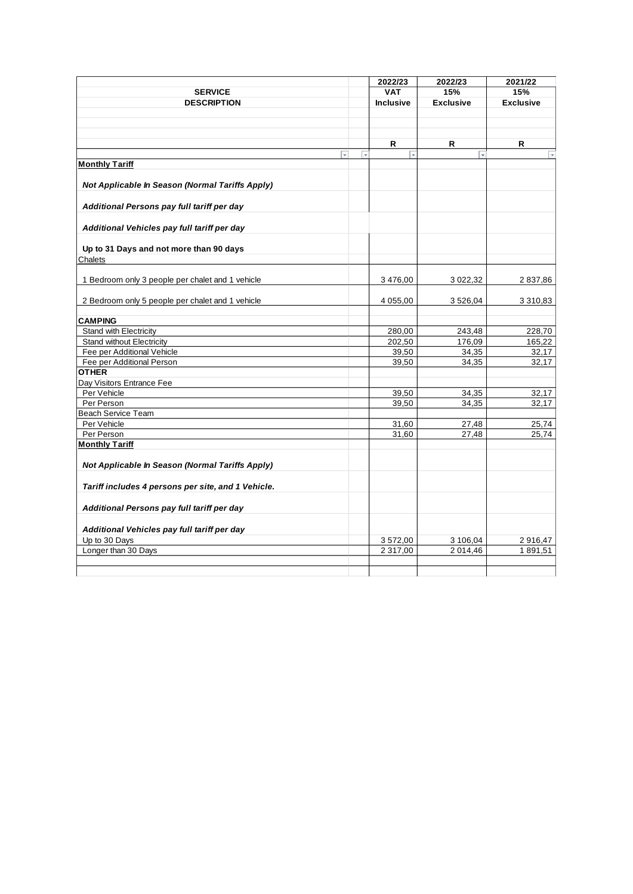|                                                        |                          | 2022/23    | 2022/23                 | 2021/22          |
|--------------------------------------------------------|--------------------------|------------|-------------------------|------------------|
| <b>SERVICE</b>                                         |                          | <b>VAT</b> | 15%                     | 15%              |
| <b>DESCRIPTION</b>                                     |                          | Inclusive  | <b>Exclusive</b>        | <b>Exclusive</b> |
|                                                        |                          |            |                         |                  |
|                                                        |                          |            |                         |                  |
|                                                        |                          |            |                         |                  |
|                                                        |                          | R.         | R                       | R                |
| $\overline{\phantom{a}}$                               | $\overline{\phantom{a}}$ | l v        | $\overline{\mathbf{v}}$ |                  |
| <b>Monthly Tariff</b>                                  |                          |            |                         |                  |
| Not Applicable In Season (Normal Tariffs Apply)        |                          |            |                         |                  |
|                                                        |                          |            |                         |                  |
| Additional Persons pay full tariff per day             |                          |            |                         |                  |
|                                                        |                          |            |                         |                  |
| Additional Vehicles pay full tariff per day            |                          |            |                         |                  |
|                                                        |                          |            |                         |                  |
| Up to 31 Days and not more than 90 days                |                          |            |                         |                  |
| Chalets                                                |                          |            |                         |                  |
|                                                        |                          |            |                         |                  |
| 1 Bedroom only 3 people per chalet and 1 vehicle       |                          | 3 476,00   | 3 0 2 2 , 3 2           | 2837,86          |
|                                                        |                          |            |                         |                  |
| 2 Bedroom only 5 people per chalet and 1 vehicle       |                          | 4 055,00   | 3 5 26, 04              | 3 3 1 0 , 8 3    |
| <b>CAMPING</b>                                         |                          |            |                         |                  |
| <b>Stand with Electricity</b>                          |                          | 280,00     | 243,48                  | 228,70           |
| <b>Stand without Electricity</b>                       |                          | 202,50     | 176,09                  | 165,22           |
| Fee per Additional Vehicle                             |                          | 39,50      | 34,35                   | 32,17            |
| Fee per Additional Person                              |                          | 39,50      | 34.35                   | 32,17            |
| <b>OTHER</b>                                           |                          |            |                         |                  |
| Day Visitors Entrance Fee                              |                          |            |                         |                  |
| Per Vehicle                                            |                          | 39,50      | 34,35                   | 32,17            |
| Per Person                                             |                          | 39,50      | 34,35                   | 32,17            |
| <b>Beach Service Team</b>                              |                          |            |                         |                  |
| Per Vehicle                                            |                          | 31,60      | 27,48                   | 25,74            |
| Per Person<br><b>Monthly Tariff</b>                    |                          | 31,60      | 27,48                   | 25,74            |
|                                                        |                          |            |                         |                  |
| <b>Not Applicable In Season (Normal Tariffs Apply)</b> |                          |            |                         |                  |
|                                                        |                          |            |                         |                  |
| Tariff includes 4 persons per site, and 1 Vehicle.     |                          |            |                         |                  |
|                                                        |                          |            |                         |                  |
| Additional Persons pay full tariff per day             |                          |            |                         |                  |
|                                                        |                          |            |                         |                  |
| Additional Vehicles pay full tariff per day            |                          |            |                         |                  |
| Up to 30 Days                                          |                          | 3 572,00   | 3 106,04                | 2916,47          |
| Longer than 30 Days                                    |                          | 2 317,00   | 2014.46                 | 1891,51          |
|                                                        |                          |            |                         |                  |
|                                                        |                          |            |                         |                  |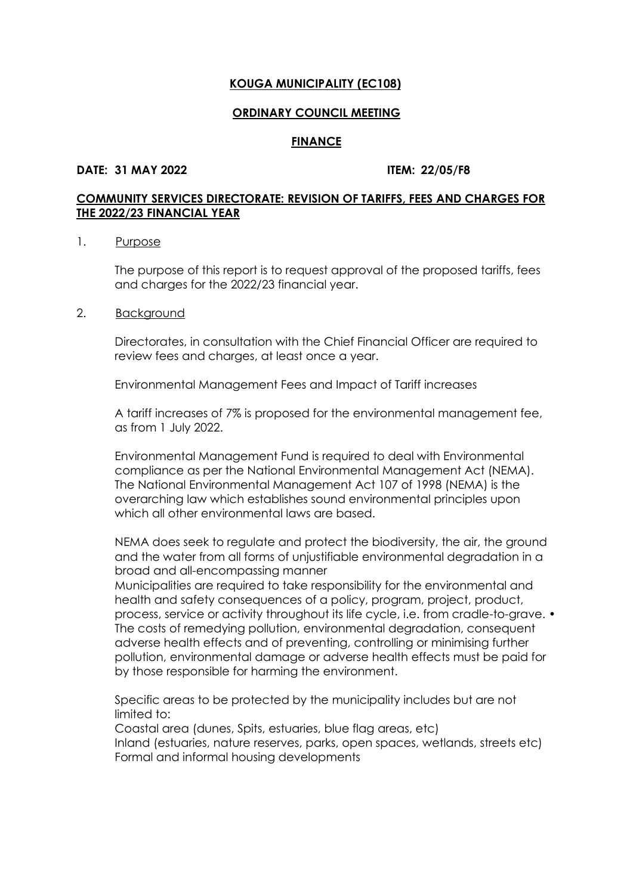#### **ORDINARY COUNCIL MEETING**

#### **FINANCE**

#### **DATE: 31 MAY 2022 ITEM: 22/05/F8**

# **COMMUNITY SERVICES DIRECTORATE: REVISION OF TARIFFS, FEES AND CHARGES FOR THE 2022/23 FINANCIAL YEAR**

#### 1. Purpose

The purpose of this report is to request approval of the proposed tariffs, fees and charges for the 2022/23 financial year.

#### 2. Background

Directorates, in consultation with the Chief Financial Officer are required to review fees and charges, at least once a year.

Environmental Management Fees and Impact of Tariff increases

A tariff increases of 7% is proposed for the environmental management fee, as from 1 July 2022.

Environmental Management Fund is required to deal with Environmental compliance as per the National Environmental Management Act (NEMA). The National Environmental Management Act 107 of 1998 (NEMA) is the overarching law which establishes sound environmental principles upon which all other environmental laws are based.

NEMA does seek to regulate and protect the biodiversity, the air, the ground and the water from all forms of unjustifiable environmental degradation in a broad and all-encompassing manner

Municipalities are required to take responsibility for the environmental and health and safety consequences of a policy, program, project, product, process, service or activity throughout its life cycle, i.e. from cradle-to-grave. • The costs of remedying pollution, environmental degradation, consequent adverse health effects and of preventing, controlling or minimising further pollution, environmental damage or adverse health effects must be paid for by those responsible for harming the environment.

Specific areas to be protected by the municipality includes but are not limited to:

Coastal area (dunes, Spits, estuaries, blue flag areas, etc) Inland (estuaries, nature reserves, parks, open spaces, wetlands, streets etc) Formal and informal housing developments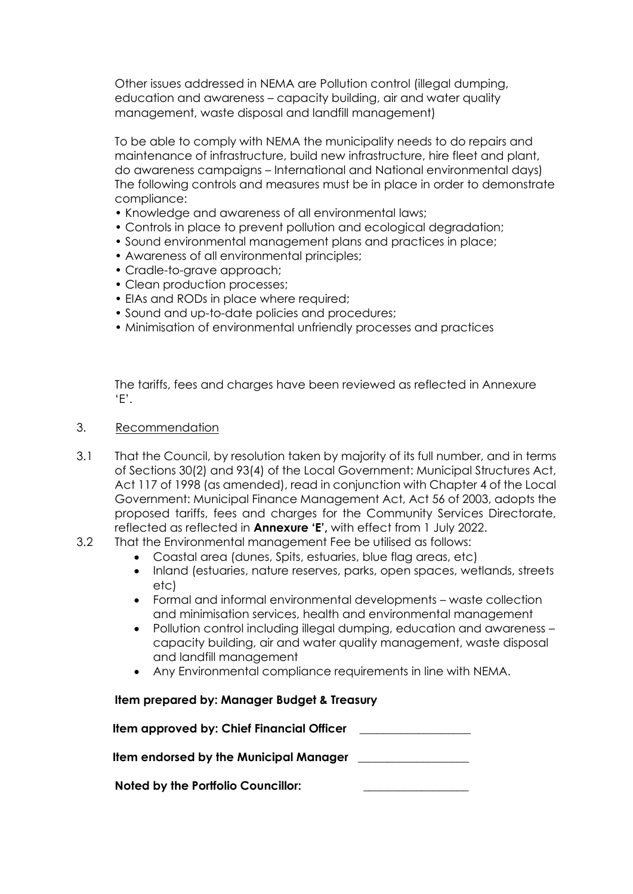Other issues addressed in NEMA are Pollution control (illegal dumping, education and awareness – capacity building, air and water quality management, waste disposal and landfill management)

To be able to comply with NEMA the municipality needs to do repairs and maintenance of infrastructure, build new infrastructure, hire fleet and plant, do awareness campaigns – International and National environmental days) The following controls and measures must be in place in order to demonstrate compliance:

- Knowledge and awareness of all environmental laws;
- Controls in place to prevent pollution and ecological degradation;
- Sound environmental management plans and practices in place;
- Awareness of all environmental principles;
- Cradle-to-grave approach;
- Clean production processes;
- EIAs and RODs in place where required;
- Sound and up-to-date policies and procedures;
- Minimisation of environmental unfriendly processes and practices

The tariffs, fees and charges have been reviewed as reflected in Annexure 'E'.

- 3. Recommendation
- 3.1 That the Council, by resolution taken by majority of its full number, and in terms of Sections 30(2) and 93(4) of the Local Government: Municipal Structures Act, Act 117 of 1998 (as amended), read in conjunction with Chapter 4 of the Local Government: Municipal Finance Management Act, Act 56 of 2003, adopts the proposed tariffs, fees and charges for the Community Services Directorate, reflected as reflected in **Annexure 'E',** with effect from 1 July 2022.
- 3.2 That the Environmental management Fee be utilised as follows:
	- Coastal area (dunes, Spits, estuaries, blue flag areas, etc)
	- Inland (estuaries, nature reserves, parks, open spaces, wetlands, streets etc)
	- Formal and informal environmental developments waste collection and minimisation services, health and environmental management
	- Pollution control including illegal dumping, education and awareness capacity building, air and water quality management, waste disposal and landfill management
	- Any Environmental compliance requirements in line with NEMA.

| Item prepared by: Manager Budget & Treasury |  |
|---------------------------------------------|--|
| Item approved by: Chief Financial Officer   |  |
| Item endorsed by the Municipal Manager      |  |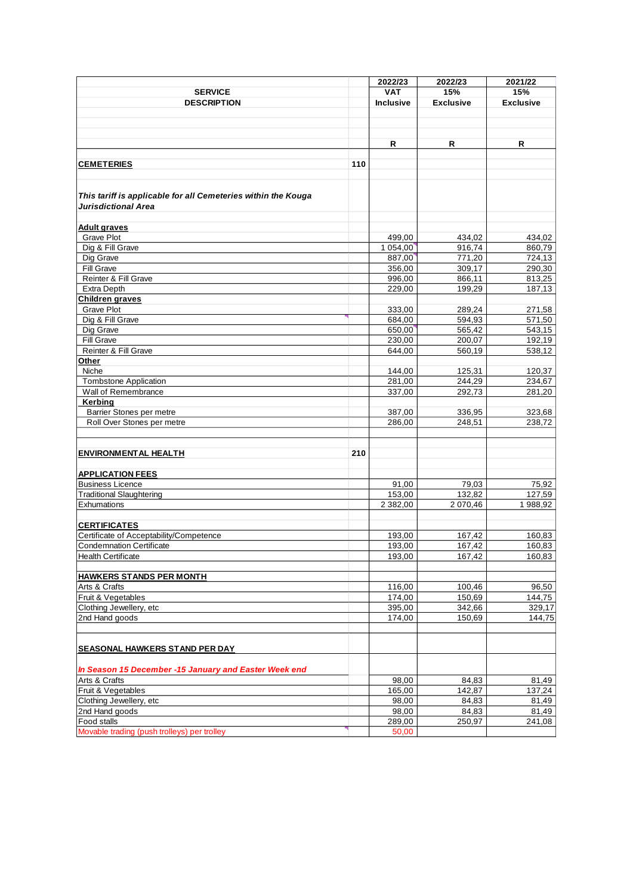|                                                               |     | 2022/23    | 2022/23          | 2021/22          |
|---------------------------------------------------------------|-----|------------|------------------|------------------|
| <b>SERVICE</b>                                                |     | <b>VAT</b> | 15%              | 15%              |
| <b>DESCRIPTION</b>                                            |     | Inclusive  | <b>Exclusive</b> | <b>Exclusive</b> |
|                                                               |     |            |                  |                  |
|                                                               |     |            |                  |                  |
|                                                               |     |            |                  |                  |
|                                                               |     | R          | R                | R                |
|                                                               |     |            |                  |                  |
| <b>CEMETERIES</b>                                             | 110 |            |                  |                  |
|                                                               |     |            |                  |                  |
|                                                               |     |            |                  |                  |
| This tariff is applicable for all Cemeteries within the Kouga |     |            |                  |                  |
| Jurisdictional Area                                           |     |            |                  |                  |
|                                                               |     |            |                  |                  |
|                                                               |     |            |                  |                  |
| <b>Adult graves</b>                                           |     |            |                  |                  |
| <b>Grave Plot</b>                                             |     | 499,00     | 434,02           | 434,02           |
| Dig & Fill Grave                                              |     | 1 054,00   | 916,74           | 860,79           |
| Dig Grave                                                     |     | 887,00     | 771,20           | 724,13           |
| <b>Fill Grave</b>                                             |     | 356,00     | 309,17           | 290,30           |
| Reinter & Fill Grave                                          |     | 996,00     | 866,11           | 813,25           |
| <b>Extra Depth</b>                                            |     | 229,00     | 199,29           | 187,13           |
| Children graves                                               |     |            |                  |                  |
| <b>Grave Plot</b>                                             |     | 333,00     | 289,24           | 271,58           |
| Dig & Fill Grave                                              |     | 684,00     | 594.93           | 571,50           |
| Dig Grave                                                     |     | 650,00     | 565,42           | 543,15           |
| Fill Grave                                                    |     | 230,00     | 200,07           | 192,19           |
| Reinter & Fill Grave                                          |     | 644,00     | 560,19           | 538,12           |
| Other                                                         |     |            |                  |                  |
| Niche                                                         |     | 144,00     | 125,31           | 120,37           |
| <b>Tombstone Application</b>                                  |     | 281,00     | 244,29           | 234,67           |
| Wall of Remembrance                                           |     | 337,00     | 292,73           | 281,20           |
| Kerbing                                                       |     |            |                  |                  |
| Barrier Stones per metre                                      |     | 387,00     | 336,95           | 323,68           |
| Roll Over Stones per metre                                    |     | 286,00     | 248,51           | 238,72           |
|                                                               |     |            |                  |                  |
|                                                               |     |            |                  |                  |
| <b>ENVIRONMENTAL HEALTH</b>                                   | 210 |            |                  |                  |
|                                                               |     |            |                  |                  |
| <b>APPLICATION FEES</b>                                       |     |            |                  |                  |
| <b>Business Licence</b>                                       |     | 91,00      | 79,03            | 75,92            |
| <b>Traditional Slaughtering</b>                               |     | 153,00     | 132,82           | 127,59           |
| Exhumations                                                   |     | 2 382,00   | 2 070,46         | 1988,92          |
|                                                               |     |            |                  |                  |
| <b>CERTIFICATES</b>                                           |     |            |                  |                  |
| Certificate of Acceptability/Competence                       |     | 193,00     | 167,42           | 160,83           |
| <b>Condemnation Certificate</b>                               |     | 193,00     | 167,42           | 160,83           |
| Health Certificate                                            |     | 193,00     | 167,42           | 160,83           |
|                                                               |     |            |                  |                  |
| <b>HAWKERS STANDS PER MONTH</b>                               |     |            |                  |                  |
| Arts & Crafts                                                 |     | 116,00     | 100,46           | 96,50            |
| Fruit & Vegetables                                            |     | 174,00     | 150,69           | 144,75           |
| Clothing Jewellery, etc                                       |     | 395,00     | 342,66           | 329,17           |
| 2nd Hand goods                                                |     | 174,00     | 150,69           | 144,75           |
|                                                               |     |            |                  |                  |
|                                                               |     |            |                  |                  |
| <b>SEASONAL HAWKERS STAND PER DAY</b>                         |     |            |                  |                  |
|                                                               |     |            |                  |                  |
|                                                               |     |            |                  |                  |
| In Season 15 December -15 January and Easter Week end         |     |            |                  |                  |
| Arts & Crafts                                                 |     | 98,00      | 84,83            | 81,49            |
| Fruit & Vegetables                                            |     | 165,00     | 142,87           | 137,24           |
| Clothing Jewellery, etc                                       |     | 98,00      | 84,83            | 81,49            |
| 2nd Hand goods                                                |     | 98,00      | 84,83            | 81,49            |
| Food stalls                                                   |     | 289,00     | 250,97           | 241,08           |
| Movable trading (push trolleys) per trolley                   |     | 50,00      |                  |                  |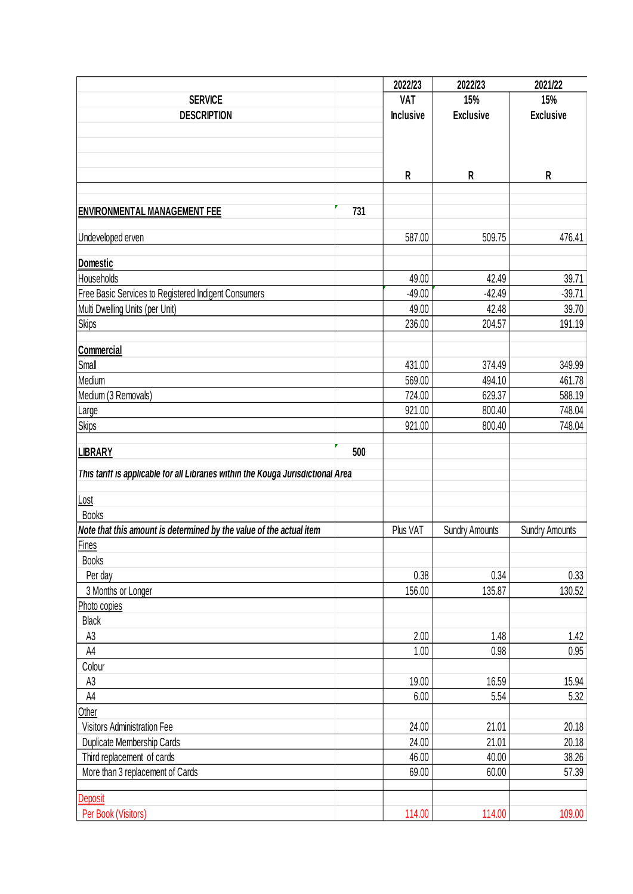|                                                                                  |     | 2022/23          | 2022/23               | 2021/22               |
|----------------------------------------------------------------------------------|-----|------------------|-----------------------|-----------------------|
| <b>SERVICE</b>                                                                   |     | <b>VAT</b>       | 15%                   | 15%                   |
| <b>DESCRIPTION</b>                                                               |     | <b>Inclusive</b> | <b>Exclusive</b>      | <b>Exclusive</b>      |
|                                                                                  |     |                  |                       |                       |
|                                                                                  |     |                  |                       |                       |
|                                                                                  |     |                  |                       |                       |
|                                                                                  |     | R                | R                     | R                     |
|                                                                                  |     |                  |                       |                       |
| <b>ENVIRONMENTAL MANAGEMENT FEE</b>                                              | 731 |                  |                       |                       |
|                                                                                  |     |                  |                       |                       |
| Undeveloped erven                                                                |     | 587.00           | 509.75                | 476.41                |
|                                                                                  |     |                  |                       |                       |
| Domestic<br>Households                                                           |     | 49.00            | 42.49                 | 39.71                 |
|                                                                                  |     |                  |                       |                       |
| Free Basic Services to Registered Indigent Consumers                             |     | $-49.00$         | $-42.49$              | $-39.71$              |
| Multi Dwelling Units (per Unit)                                                  |     | 49.00            | 42.48                 | 39.70                 |
| Skips                                                                            |     | 236.00           | 204.57                | 191.19                |
| Commercial                                                                       |     |                  |                       |                       |
| Small                                                                            |     | 431.00           | 374.49                | 349.99                |
| Medium                                                                           |     | 569.00           | 494.10                | 461.78                |
| Medium (3 Removals)                                                              |     | 724.00           | 629.37                | 588.19                |
|                                                                                  |     | 921.00           | 800.40                | 748.04                |
| Large                                                                            |     |                  |                       |                       |
| <b>Skips</b>                                                                     |     | 921.00           | 800.40                | 748.04                |
| <b>LIBRARY</b>                                                                   | 500 |                  |                       |                       |
|                                                                                  |     |                  |                       |                       |
| This tariff is applicable for all Libraries within the Kouga Jurisdictional Area |     |                  |                       |                       |
| Lost                                                                             |     |                  |                       |                       |
| <b>Books</b>                                                                     |     |                  |                       |                       |
| Note that this amount is determined by the value of the actual item              |     | Plus VAT         | <b>Sundry Amounts</b> | <b>Sundry Amounts</b> |
| <b>Fines</b>                                                                     |     |                  |                       |                       |
| <b>Books</b>                                                                     |     |                  |                       |                       |
| Per day                                                                          |     | 0.38             | 0.34                  | 0.33                  |
| 3 Months or Longer                                                               |     | 156.00           | 135.87                | 130.52                |
| Photo copies                                                                     |     |                  |                       |                       |
| <b>Black</b>                                                                     |     |                  |                       |                       |
| A <sub>3</sub>                                                                   |     | 2.00             | 1.48                  | 1.42                  |
| A4                                                                               |     | 1.00             | 0.98                  | 0.95                  |
| Colour                                                                           |     |                  |                       |                       |
| A <sub>3</sub>                                                                   |     | 19.00            | 16.59                 | 15.94                 |
| A4                                                                               |     | 6.00             | 5.54                  | 5.32                  |
| Other                                                                            |     |                  |                       |                       |
|                                                                                  |     |                  |                       |                       |
| Visitors Administration Fee                                                      |     | 24.00            | 21.01                 | 20.18                 |
| Duplicate Membership Cards                                                       |     | 24.00            | 21.01                 | 20.18                 |
| Third replacement of cards                                                       |     | 46.00            | 40.00                 | 38.26                 |
| More than 3 replacement of Cards                                                 |     | 69.00            | 60.00                 | 57.39                 |
| <b>Deposit</b>                                                                   |     |                  |                       |                       |
| Per Book (Visitors)                                                              |     | 114.00           | 114.00                | 109.00                |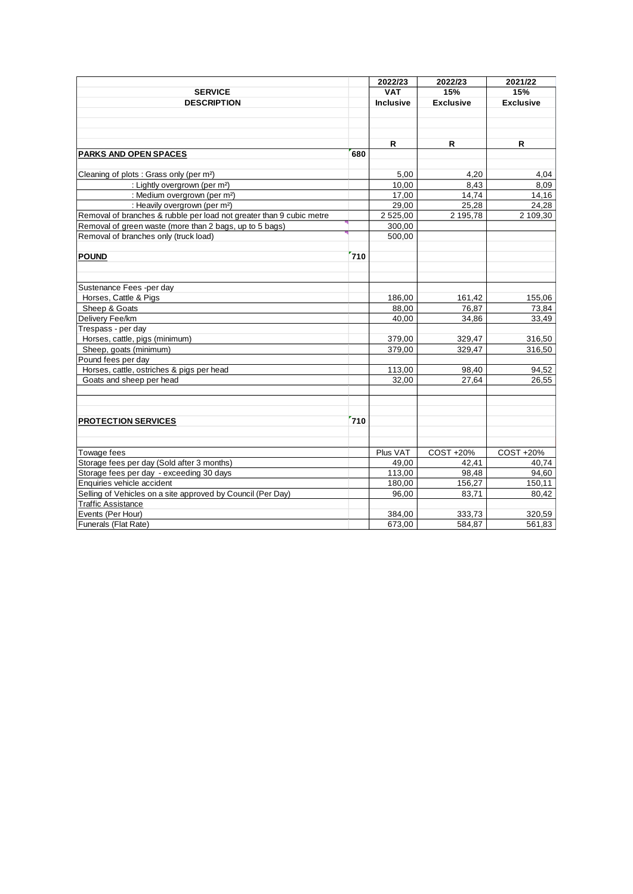|                                                                      |     | 2022/23          | 2022/23          | 2021/22          |
|----------------------------------------------------------------------|-----|------------------|------------------|------------------|
| <b>SERVICE</b>                                                       |     | <b>VAT</b>       | 15%              | 15%              |
| <b>DESCRIPTION</b>                                                   |     | <b>Inclusive</b> | <b>Exclusive</b> | <b>Exclusive</b> |
|                                                                      |     |                  |                  |                  |
|                                                                      |     |                  |                  |                  |
|                                                                      |     |                  |                  |                  |
|                                                                      |     | R                | R                | R                |
| <b>PARKS AND OPEN SPACES</b>                                         | 680 |                  |                  |                  |
|                                                                      |     |                  |                  |                  |
| Cleaning of plots : Grass only (per m <sup>2</sup> )                 |     | 5,00             | 4,20             | 4,04             |
| : Lightly overgrown (per m <sup>2</sup> )                            |     | 10,00            | 8,43             | 8,09             |
| : Medium overgrown (per m <sup>2</sup> )                             |     | 17,00            | 14,74            | 14,16            |
| : Heavily overgrown (per m <sup>2</sup> )                            |     | 29,00            | 25,28            | 24,28            |
| Removal of branches & rubble per load not greater than 9 cubic metre |     | 2 525,00         | 2 195,78         | 2 109,30         |
| Removal of green waste (more than 2 bags, up to 5 bags)              |     | 300,00           |                  |                  |
| Removal of branches only (truck load)                                |     | 500,00           |                  |                  |
|                                                                      |     |                  |                  |                  |
| <b>POUND</b>                                                         | 710 |                  |                  |                  |
|                                                                      |     |                  |                  |                  |
|                                                                      |     |                  |                  |                  |
| Sustenance Fees -per day                                             |     |                  |                  |                  |
| Horses, Cattle & Pigs                                                |     | 186,00           | 161,42           | 155,06           |
| Sheep & Goats                                                        |     | 88,00            | 76,87            | 73,84            |
| Delivery Fee/km                                                      |     | 40.00            | 34,86            | 33,49            |
| Trespass - per day                                                   |     |                  |                  |                  |
| Horses, cattle, pigs (minimum)                                       |     | 379,00           | 329,47           | 316,50           |
| Sheep, goats (minimum)                                               |     | 379,00           | 329,47           | 316,50           |
| Pound fees per day                                                   |     |                  |                  |                  |
| Horses, cattle, ostriches & pigs per head                            |     | 113,00           | 98,40            | 94,52            |
| Goats and sheep per head                                             |     | 32,00            | 27,64            | 26,55            |
|                                                                      |     |                  |                  |                  |
|                                                                      |     |                  |                  |                  |
|                                                                      |     |                  |                  |                  |
| <b>PROTECTION SERVICES</b>                                           | 710 |                  |                  |                  |
|                                                                      |     |                  |                  |                  |
|                                                                      |     |                  |                  |                  |
| Towage fees                                                          |     | Plus VAT         | COST +20%        | COST +20%        |
| Storage fees per day (Sold after 3 months)                           |     | 49,00            | 42,41            | 40.74            |
| Storage fees per day - exceeding 30 days                             |     | 113,00           | 98,48            | 94,60            |
| Enquiries vehicle accident                                           |     | 180,00           | 156,27           | 150,11           |
| Selling of Vehicles on a site approved by Council (Per Day)          |     | 96,00            | 83,71            | 80,42            |
| <b>Traffic Assistance</b>                                            |     |                  |                  |                  |
| Events (Per Hour)                                                    |     | 384,00           | 333,73           | 320,59           |
| Funerals (Flat Rate)                                                 |     | 673,00           | 584,87           | 561,83           |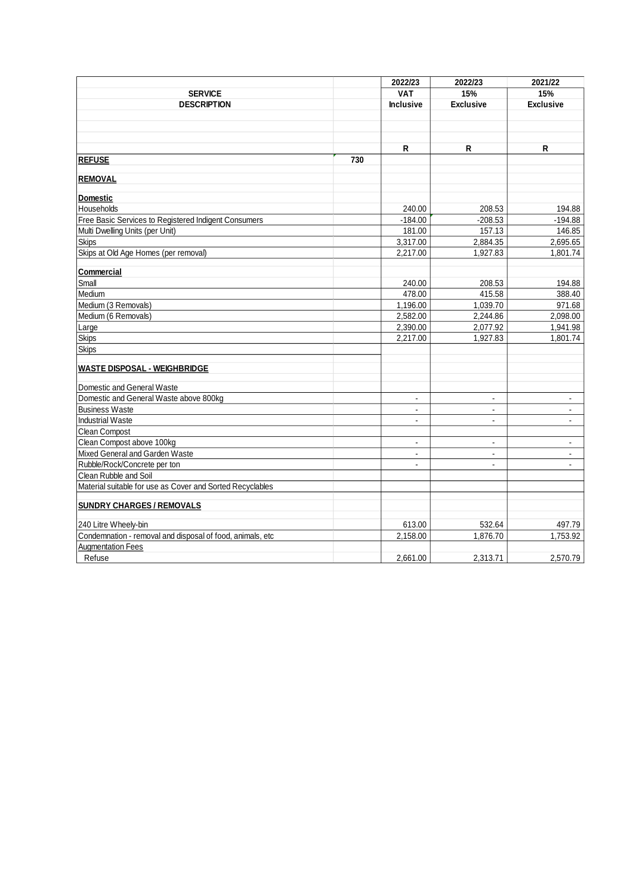|                                                           |     | 2022/23          | 2022/23          | 2021/22          |
|-----------------------------------------------------------|-----|------------------|------------------|------------------|
| <b>SERVICE</b>                                            |     | <b>VAT</b>       | 15%              | 15%              |
| <b>DESCRIPTION</b>                                        |     | <b>Inclusive</b> | <b>Exclusive</b> | <b>Exclusive</b> |
|                                                           |     |                  |                  |                  |
|                                                           |     |                  |                  |                  |
|                                                           |     |                  |                  |                  |
|                                                           |     | R                | R                | R                |
| <b>REFUSE</b>                                             | 730 |                  |                  |                  |
| <b>REMOVAL</b>                                            |     |                  |                  |                  |
|                                                           |     |                  |                  |                  |
| <b>Domestic</b>                                           |     |                  |                  |                  |
| Households                                                |     | 240.00           | 208.53           | 194.88           |
| Free Basic Services to Registered Indigent Consumers      |     | $-184.00$        | $-208.53$        | $-194.88$        |
| Multi Dwelling Units (per Unit)                           |     | 181.00           | 157.13           | 146.85           |
| <b>Skips</b>                                              |     | 3,317.00         | 2,884.35         | 2,695.65         |
| Skips at Old Age Homes (per removal)                      |     | 2.217.00         | 1.927.83         | 1.801.74         |
| Commercial                                                |     |                  |                  |                  |
| Small                                                     |     | 240.00           | 208.53           | 194.88           |
| Medium                                                    |     | 478.00           | 415.58           | 388.40           |
| Medium (3 Removals)                                       |     | 1,196.00         | 1,039.70         | 971.68           |
| Medium (6 Removals)                                       |     | 2,582.00         | 2,244.86         | 2,098.00         |
| Large                                                     |     | 2,390.00         | 2,077.92         | 1,941.98         |
| <b>Skips</b>                                              |     | 2,217.00         | 1,927.83         | 1,801.74         |
| <b>Skips</b>                                              |     |                  |                  |                  |
|                                                           |     |                  |                  |                  |
| <b>WASTE DISPOSAL - WEIGHBRIDGE</b>                       |     |                  |                  |                  |
| Domestic and General Waste                                |     |                  |                  |                  |
| Domestic and General Waste above 800kg                    |     | $\blacksquare$   | $\blacksquare$   | $\mathbf{r}$     |
| <b>Business Waste</b>                                     |     | $\blacksquare$   | $\blacksquare$   | $\blacksquare$   |
| <b>Industrial Waste</b>                                   |     | $\blacksquare$   | $\overline{a}$   | $\blacksquare$   |
| Clean Compost                                             |     |                  |                  |                  |
| Clean Compost above 100kg                                 |     | $\blacksquare$   | $\blacksquare$   | $\blacksquare$   |
| Mixed General and Garden Waste                            |     | $\blacksquare$   | $\blacksquare$   | $\blacksquare$   |
| Rubble/Rock/Concrete per ton                              |     | $\blacksquare$   |                  |                  |
| Clean Rubble and Soil                                     |     |                  |                  |                  |
| Material suitable for use as Cover and Sorted Recyclables |     |                  |                  |                  |
| <b>SUNDRY CHARGES / REMOVALS</b>                          |     |                  |                  |                  |
| 240 Litre Wheely-bin                                      |     | 613.00           | 532.64           | 497.79           |
| Condemnation - removal and disposal of food, animals, etc |     | 2,158.00         | 1.876.70         | 1,753.92         |
| <b>Augmentation Fees</b>                                  |     |                  |                  |                  |
| Refuse                                                    |     | 2.661.00         | 2.313.71         | 2,570.79         |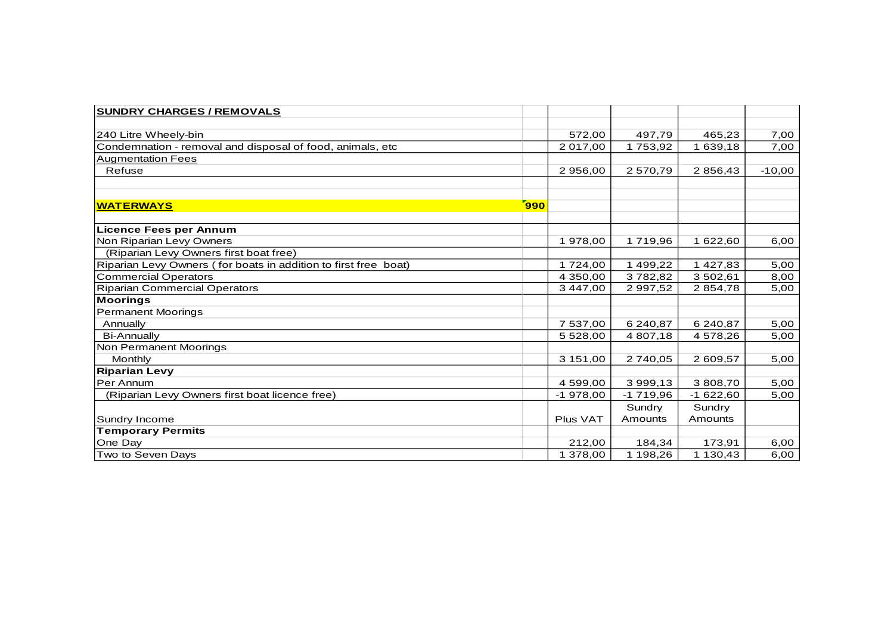| <b>SUNDRY CHARGES / REMOVALS</b>                                |     |            |               |            |          |
|-----------------------------------------------------------------|-----|------------|---------------|------------|----------|
|                                                                 |     |            |               |            |          |
| 240 Litre Wheely-bin                                            |     | 572,00     | 497,79        | 465,23     | 7,00     |
| Condemnation - removal and disposal of food, animals, etc       |     | 2 017,00   | 1753,92       | 1 639,18   | 7,00     |
| <b>Augmentation Fees</b>                                        |     |            |               |            |          |
| Refuse                                                          |     | 2 956,00   | 2570,79       | 2 856,43   | $-10,00$ |
|                                                                 |     |            |               |            |          |
| <b>WATERWAYS</b>                                                | 990 |            |               |            |          |
| <b>Licence Fees per Annum</b>                                   |     |            |               |            |          |
| Non Riparian Levy Owners                                        |     | 1978,00    | 1719,96       | 1 622,60   | 6,00     |
| (Riparian Levy Owners first boat free)                          |     |            |               |            |          |
| Riparian Levy Owners (for boats in addition to first free boat) |     | 1724,00    | 1 499,22      | 1 427,83   | 5,00     |
| <b>Commercial Operators</b>                                     |     | 4 350,00   | 3782,82       | 3 502,61   | 8,00     |
| <b>Riparian Commercial Operators</b>                            |     | 3 447,00   | 2 9 9 7 , 5 2 | 2854,78    | 5,00     |
| <b>Moorings</b>                                                 |     |            |               |            |          |
| <b>Permanent Moorings</b>                                       |     |            |               |            |          |
| Annually                                                        |     | 7 537,00   | 6 240,87      | 6 240,87   | 5,00     |
| <b>Bi-Annually</b>                                              |     | 5 5 28,00  | 4 807,18      | 4 578,26   | 5,00     |
| Non Permanent Moorings                                          |     |            |               |            |          |
| Monthly                                                         |     | 3 151,00   | 2740,05       | 2 609,57   | 5,00     |
| <b>Riparian Levy</b>                                            |     |            |               |            |          |
| Per Annum                                                       |     | 4 599,00   | 3 999,13      | 3 808,70   | 5,00     |
| (Riparian Levy Owners first boat licence free)                  |     | $-1978,00$ | $-1719,96$    | $-1622,60$ | 5,00     |
|                                                                 |     |            | Sundry        | Sundry     |          |
| Sundry Income                                                   |     | Plus VAT   | Amounts       | Amounts    |          |
| <b>Temporary Permits</b>                                        |     |            |               |            |          |
| One Day                                                         |     | 212,00     | 184,34        | 173,91     | 6,00     |
| Two to Seven Days                                               |     | 1 378,00   | 1 198,26      | 1 130,43   | 6,00     |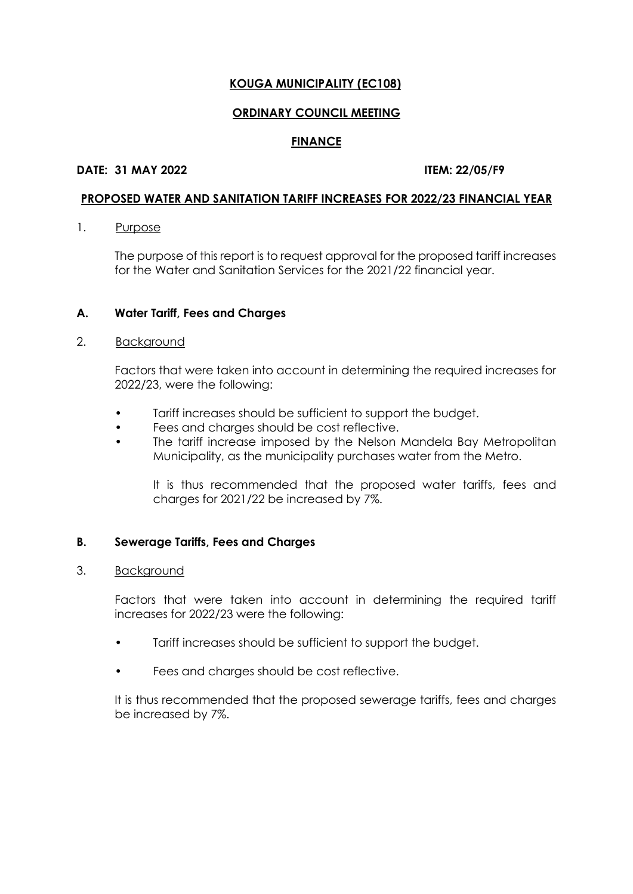# **ORDINARY COUNCIL MEETING**

### **FINANCE**

# **DATE: 31 MAY 2022 ITEM: 22/05/F9**

### **PROPOSED WATER AND SANITATION TARIFF INCREASES FOR 2022/23 FINANCIAL YEAR**

1. Purpose

The purpose of this report is to request approval for the proposed tariff increases for the Water and Sanitation Services for the 2021/22 financial year.

# **A. Water Tariff, Fees and Charges**

#### 2. Background

Factors that were taken into account in determining the required increases for 2022/23, were the following:

- Tariff increases should be sufficient to support the budget.
- Fees and charges should be cost reflective.
- The tariff increase imposed by the Nelson Mandela Bay Metropolitan Municipality, as the municipality purchases water from the Metro.

It is thus recommended that the proposed water tariffs, fees and charges for 2021/22 be increased by 7%.

# **B. Sewerage Tariffs, Fees and Charges**

#### 3. Background

Factors that were taken into account in determining the required tariff increases for 2022/23 were the following:

- Tariff increases should be sufficient to support the budget.
- Fees and charges should be cost reflective.

It is thus recommended that the proposed sewerage tariffs, fees and charges be increased by 7%.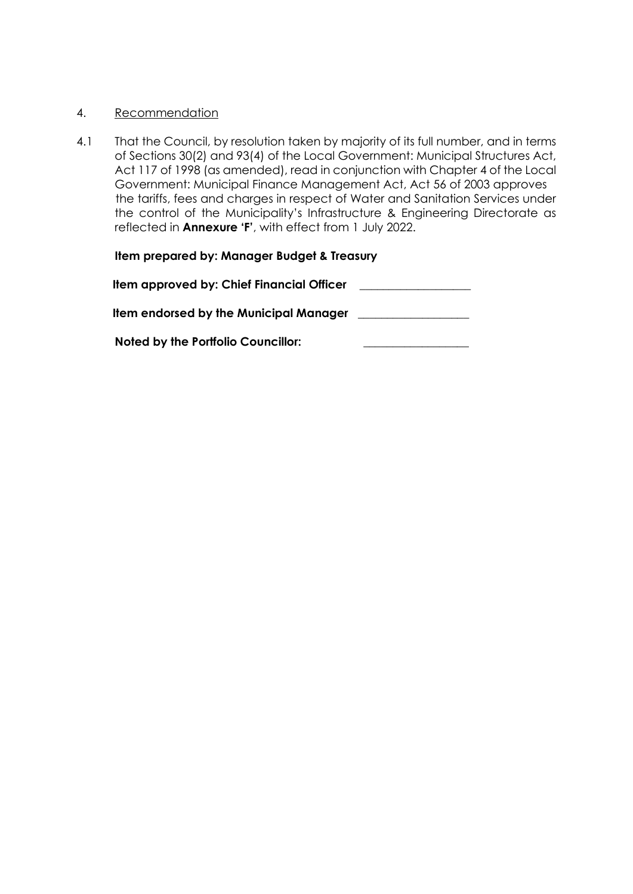### 4. Recommendation

4.1 That the Council, by resolution taken by majority of its full number, and in terms of Sections 30(2) and 93(4) of the Local Government: Municipal Structures Act, Act 117 of 1998 (as amended), read in conjunction with Chapter 4 of the Local Government: Municipal Finance Management Act, Act 56 of 2003 approves the tariffs, fees and charges in respect of Water and Sanitation Services under the control of the Municipality's Infrastructure & Engineering Directorate as reflected in **Annexure 'F'**, with effect from 1 July 2022.

# **Item prepared by: Manager Budget & Treasury**

| Item approved by: Chief Financial Officer     |  |
|-----------------------------------------------|--|
| <b>Item endorsed by the Municipal Manager</b> |  |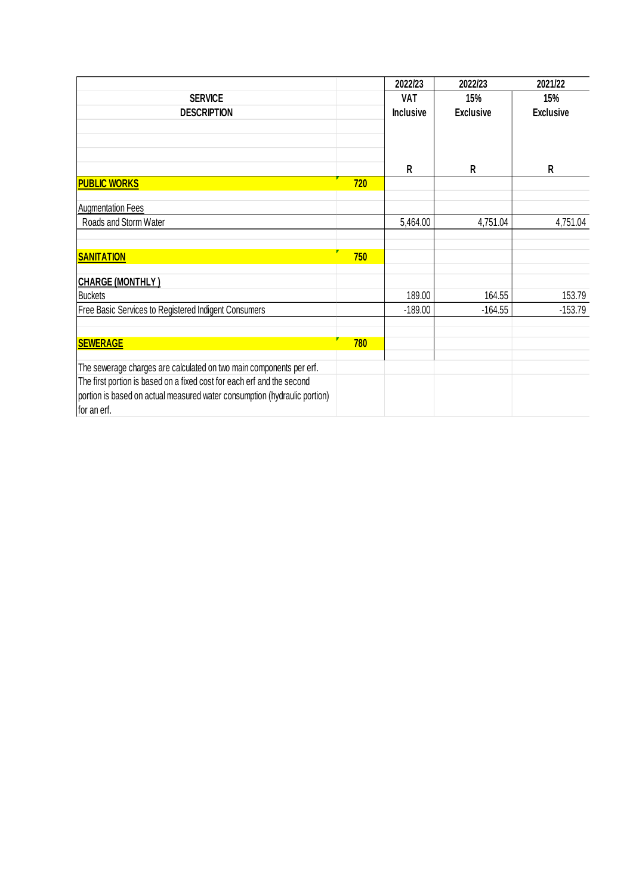|                                                                           |     | 2022/23          | 2022/23          | 2021/22          |
|---------------------------------------------------------------------------|-----|------------------|------------------|------------------|
| <b>SERVICE</b>                                                            |     | <b>VAT</b>       | 15%              | 15%              |
| <b>DESCRIPTION</b>                                                        |     | <b>Inclusive</b> | <b>Exclusive</b> | <b>Exclusive</b> |
|                                                                           |     |                  |                  |                  |
|                                                                           |     |                  |                  |                  |
|                                                                           |     | $\mathsf{R}$     | R                | R                |
| <b>PUBLIC WORKS</b>                                                       | 720 |                  |                  |                  |
| <b>Augmentation Fees</b>                                                  |     |                  |                  |                  |
| Roads and Storm Water                                                     |     | 5,464.00         | 4,751.04         | 4,751.04         |
|                                                                           |     |                  |                  |                  |
| <b>SANITATION</b>                                                         | 750 |                  |                  |                  |
| <b>CHARGE (MONTHLY)</b>                                                   |     |                  |                  |                  |
| <b>Buckets</b>                                                            |     | 189.00           | 164.55           | 153.79           |
| Free Basic Services to Registered Indigent Consumers                      |     | $-189.00$        | $-164.55$        | $-153.79$        |
|                                                                           |     |                  |                  |                  |
| <b>SEWERAGE</b>                                                           | 780 |                  |                  |                  |
| The sewerage charges are calculated on two main components per erf.       |     |                  |                  |                  |
| The first portion is based on a fixed cost for each erf and the second    |     |                  |                  |                  |
| portion is based on actual measured water consumption (hydraulic portion) |     |                  |                  |                  |
| for an erf.                                                               |     |                  |                  |                  |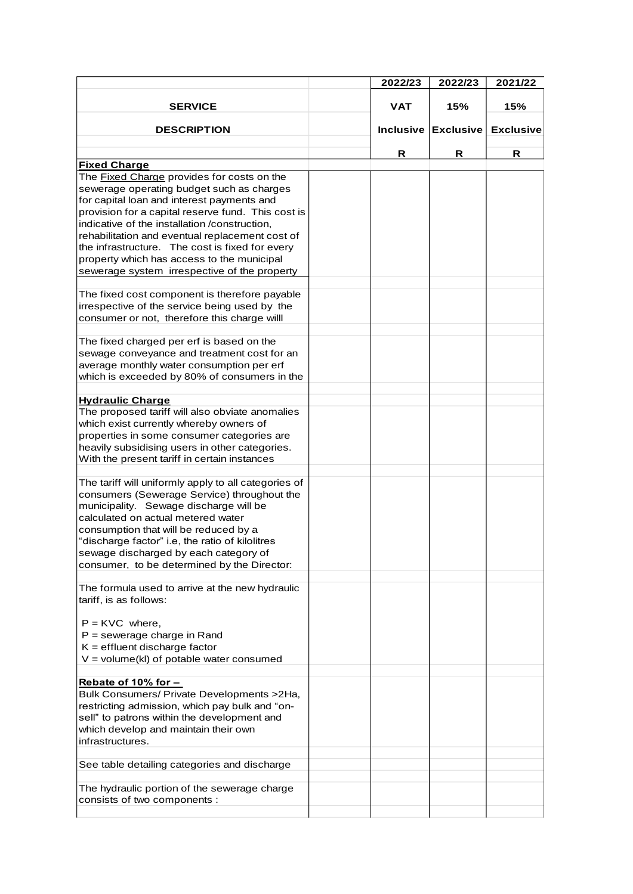|                                                                                                    | 2022/23          | 2022/23          | 2021/22          |
|----------------------------------------------------------------------------------------------------|------------------|------------------|------------------|
| <b>SERVICE</b>                                                                                     | <b>VAT</b>       | 15%              | 15%              |
| <b>DESCRIPTION</b>                                                                                 | <b>Inclusive</b> | <b>Exclusive</b> | <b>Exclusive</b> |
|                                                                                                    | R                | R                | R                |
| <b>Fixed Charge</b>                                                                                |                  |                  |                  |
| The Fixed Charge provides for costs on the<br>sewerage operating budget such as charges            |                  |                  |                  |
| for capital loan and interest payments and<br>provision for a capital reserve fund. This cost is   |                  |                  |                  |
| indicative of the installation /construction,                                                      |                  |                  |                  |
| rehabilitation and eventual replacement cost of<br>the infrastructure. The cost is fixed for every |                  |                  |                  |
| property which has access to the municipal                                                         |                  |                  |                  |
| sewerage system irrespective of the property                                                       |                  |                  |                  |
| The fixed cost component is therefore payable                                                      |                  |                  |                  |
| irrespective of the service being used by the                                                      |                  |                  |                  |
| consumer or not, therefore this charge will                                                        |                  |                  |                  |
| The fixed charged per erf is based on the                                                          |                  |                  |                  |
| sewage conveyance and treatment cost for an<br>average monthly water consumption per erf           |                  |                  |                  |
| which is exceeded by 80% of consumers in the                                                       |                  |                  |                  |
| <b>Hydraulic Charge</b>                                                                            |                  |                  |                  |
| The proposed tariff will also obviate anomalies                                                    |                  |                  |                  |
| which exist currently whereby owners of                                                            |                  |                  |                  |
| properties in some consumer categories are                                                         |                  |                  |                  |
| heavily subsidising users in other categories.                                                     |                  |                  |                  |
| With the present tariff in certain instances                                                       |                  |                  |                  |
| The tariff will uniformly apply to all categories of                                               |                  |                  |                  |
| consumers (Sewerage Service) throughout the                                                        |                  |                  |                  |
| municipality. Sewage discharge will be<br>calculated on actual metered water                       |                  |                  |                  |
| consumption that will be reduced by a                                                              |                  |                  |                  |
| "discharge factor" i.e, the ratio of kilolitres                                                    |                  |                  |                  |
| sewage discharged by each category of                                                              |                  |                  |                  |
| consumer, to be determined by the Director:                                                        |                  |                  |                  |
| The formula used to arrive at the new hydraulic                                                    |                  |                  |                  |
| tariff, is as follows:                                                                             |                  |                  |                  |
| $P =$ KVC where,                                                                                   |                  |                  |                  |
| $P =$ sewerage charge in Rand                                                                      |                  |                  |                  |
| $K =$ effluent discharge factor                                                                    |                  |                  |                  |
| $V = volume(kl)$ of potable water consumed                                                         |                  |                  |                  |
| Rebate of 10% for -                                                                                |                  |                  |                  |
| Bulk Consumers/ Private Developments > 2Ha,<br>restricting admission, which pay bulk and "on-      |                  |                  |                  |
| sell" to patrons within the development and                                                        |                  |                  |                  |
| which develop and maintain their own                                                               |                  |                  |                  |
| infrastructures.                                                                                   |                  |                  |                  |
| See table detailing categories and discharge                                                       |                  |                  |                  |
|                                                                                                    |                  |                  |                  |
| The hydraulic portion of the sewerage charge<br>consists of two components :                       |                  |                  |                  |
|                                                                                                    |                  |                  |                  |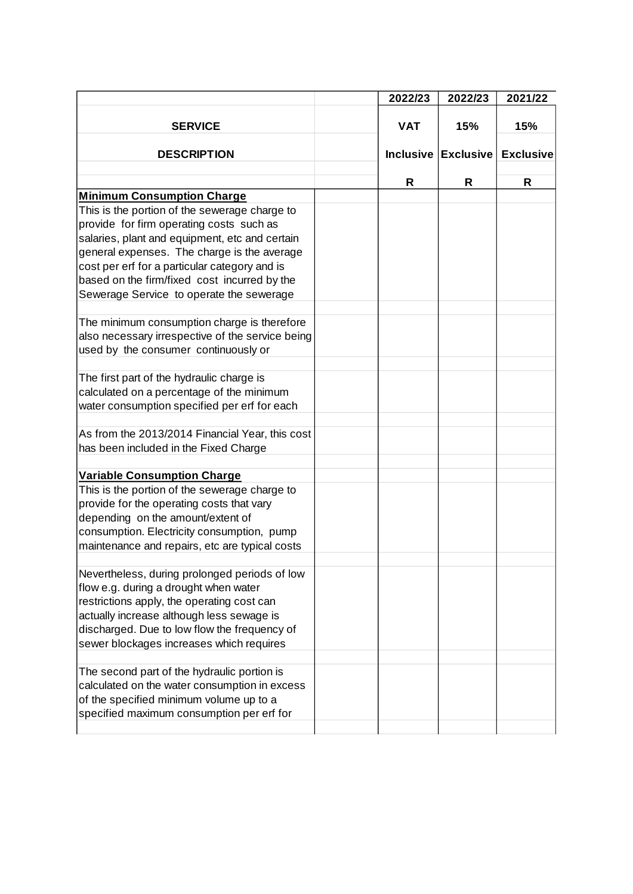|                                                                                                                                                                                                                                                                                                                                                                                                                          | 2022/23      | 2022/23             | 2021/22          |
|--------------------------------------------------------------------------------------------------------------------------------------------------------------------------------------------------------------------------------------------------------------------------------------------------------------------------------------------------------------------------------------------------------------------------|--------------|---------------------|------------------|
| <b>SERVICE</b>                                                                                                                                                                                                                                                                                                                                                                                                           | <b>VAT</b>   | 15%                 | 15%              |
| <b>DESCRIPTION</b>                                                                                                                                                                                                                                                                                                                                                                                                       |              | Inclusive Exclusive | <b>Exclusive</b> |
|                                                                                                                                                                                                                                                                                                                                                                                                                          | $\mathsf{R}$ | R                   | R                |
| <b>Minimum Consumption Charge</b>                                                                                                                                                                                                                                                                                                                                                                                        |              |                     |                  |
| This is the portion of the sewerage charge to<br>provide for firm operating costs such as<br>salaries, plant and equipment, etc and certain<br>general expenses. The charge is the average<br>cost per erf for a particular category and is<br>based on the firm/fixed cost incurred by the<br>Sewerage Service to operate the sewerage<br>The minimum consumption charge is therefore                                   |              |                     |                  |
| also necessary irrespective of the service being<br>used by the consumer continuously or                                                                                                                                                                                                                                                                                                                                 |              |                     |                  |
| The first part of the hydraulic charge is<br>calculated on a percentage of the minimum<br>water consumption specified per erf for each                                                                                                                                                                                                                                                                                   |              |                     |                  |
| As from the 2013/2014 Financial Year, this cost<br>has been included in the Fixed Charge                                                                                                                                                                                                                                                                                                                                 |              |                     |                  |
| <b>Variable Consumption Charge</b>                                                                                                                                                                                                                                                                                                                                                                                       |              |                     |                  |
| This is the portion of the sewerage charge to<br>provide for the operating costs that vary<br>depending on the amount/extent of<br>consumption. Electricity consumption, pump<br>maintenance and repairs, etc are typical costs                                                                                                                                                                                          |              |                     |                  |
| Nevertheless, during prolonged periods of low<br>flow e.g. during a drought when water<br>restrictions apply, the operating cost can<br>actually increase although less sewage is<br>discharged. Due to low flow the frequency of<br>sewer blockages increases which requires<br>The second part of the hydraulic portion is<br>calculated on the water consumption in excess<br>of the specified minimum volume up to a |              |                     |                  |
| specified maximum consumption per erf for                                                                                                                                                                                                                                                                                                                                                                                |              |                     |                  |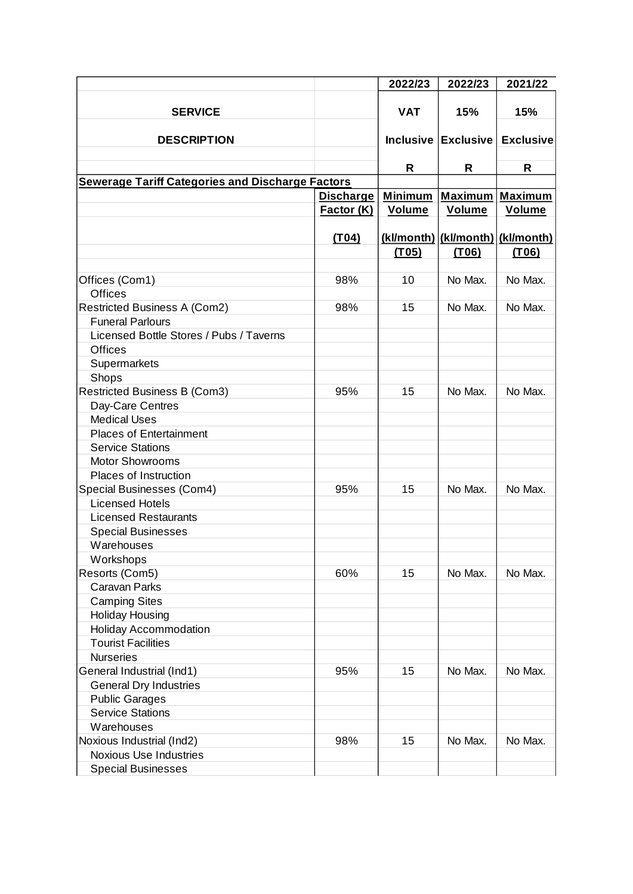|                                                         |                   | 2022/23        | 2022/23                          | 2021/22                       |
|---------------------------------------------------------|-------------------|----------------|----------------------------------|-------------------------------|
|                                                         |                   |                |                                  |                               |
| <b>SERVICE</b>                                          |                   | <b>VAT</b>     | 15%                              | 15%                           |
| <b>DESCRIPTION</b>                                      |                   |                |                                  | Inclusive Exclusive Exclusive |
|                                                         |                   |                |                                  |                               |
|                                                         |                   | R              | R                                | R                             |
| <b>Sewerage Tariff Categories and Discharge Factors</b> |                   |                |                                  |                               |
|                                                         | <b>Discharge</b>  | <b>Minimum</b> | <b>Maximum</b>                   | <b>Maximum</b>                |
|                                                         | <b>Factor (K)</b> | <b>Volume</b>  | <b>Volume</b>                    | <b>Volume</b>                 |
|                                                         |                   |                |                                  |                               |
|                                                         | (T04)             |                | (kl/month) (kl/month) (kl/month) |                               |
|                                                         |                   | (T05)          | (T06)                            | (T06)                         |
|                                                         |                   |                |                                  |                               |
| Offices (Com1)                                          | 98%               | 10             | No Max.                          | No Max.                       |
| <b>Offices</b>                                          |                   |                |                                  |                               |
| Restricted Business A (Com2)                            | 98%               | 15             | No Max.                          | No Max.                       |
| <b>Funeral Parlours</b>                                 |                   |                |                                  |                               |
| Licensed Bottle Stores / Pubs / Taverns                 |                   |                |                                  |                               |
| <b>Offices</b>                                          |                   |                |                                  |                               |
| Supermarkets                                            |                   |                |                                  |                               |
| Shops                                                   |                   |                |                                  |                               |
| <b>Restricted Business B (Com3)</b>                     | 95%               | 15             | No Max.                          | No Max.                       |
| Day-Care Centres                                        |                   |                |                                  |                               |
| <b>Medical Uses</b>                                     |                   |                |                                  |                               |
| <b>Places of Entertainment</b>                          |                   |                |                                  |                               |
| <b>Service Stations</b>                                 |                   |                |                                  |                               |
| <b>Motor Showrooms</b>                                  |                   |                |                                  |                               |
| Places of Instruction                                   |                   |                |                                  |                               |
| Special Businesses (Com4)                               | 95%               | 15             | No Max.                          | No Max.                       |
| <b>Licensed Hotels</b>                                  |                   |                |                                  |                               |
| <b>Licensed Restaurants</b>                             |                   |                |                                  |                               |
| <b>Special Businesses</b>                               |                   |                |                                  |                               |
| Warehouses                                              |                   |                |                                  |                               |
| Workshops                                               |                   |                |                                  |                               |
| Resorts (Com5)                                          | 60%               | 15             | No Max.                          | No Max.                       |
| <b>Caravan Parks</b>                                    |                   |                |                                  |                               |
| <b>Camping Sites</b>                                    |                   |                |                                  |                               |
| <b>Holiday Housing</b>                                  |                   |                |                                  |                               |
| <b>Holiday Accommodation</b>                            |                   |                |                                  |                               |
| <b>Tourist Facilities</b>                               |                   |                |                                  |                               |
| <b>Nurseries</b>                                        |                   |                |                                  |                               |
| General Industrial (Ind1)                               | 95%               | 15             | No Max.                          | No Max.                       |
| <b>General Dry Industries</b>                           |                   |                |                                  |                               |
| <b>Public Garages</b>                                   |                   |                |                                  |                               |
| <b>Service Stations</b>                                 |                   |                |                                  |                               |
| Warehouses                                              |                   |                |                                  |                               |
| Noxious Industrial (Ind2)                               | 98%               | 15             | No Max.                          | No Max.                       |
| <b>Noxious Use Industries</b>                           |                   |                |                                  |                               |
| <b>Special Businesses</b>                               |                   |                |                                  |                               |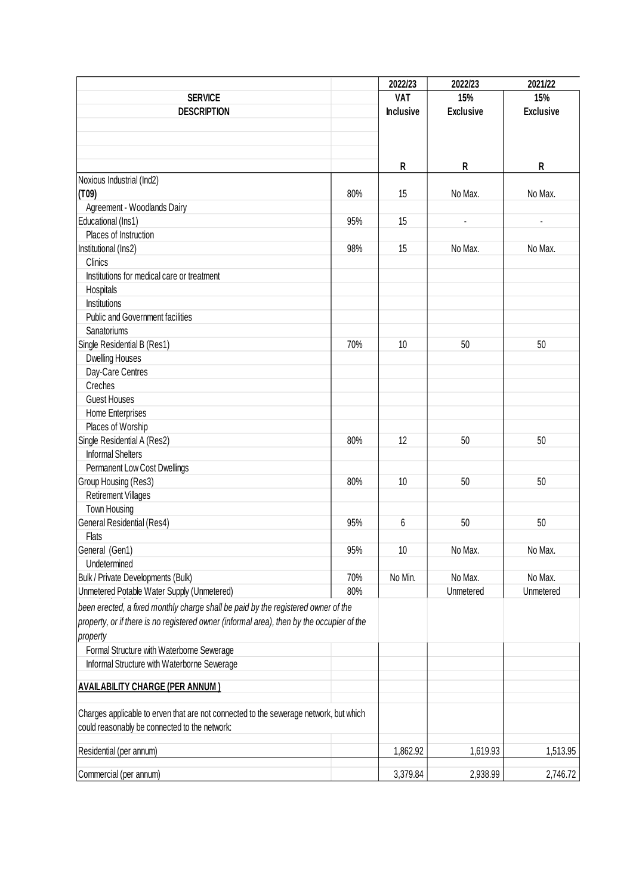|                                                                                           |     | 2022/23          | 2022/23          | 2021/22          |
|-------------------------------------------------------------------------------------------|-----|------------------|------------------|------------------|
| <b>SERVICE</b>                                                                            |     | <b>VAT</b>       | 15%              | 15%              |
| <b>DESCRIPTION</b>                                                                        |     | <b>Inclusive</b> | <b>Exclusive</b> | <b>Exclusive</b> |
|                                                                                           |     |                  |                  |                  |
|                                                                                           |     |                  |                  |                  |
|                                                                                           |     |                  |                  |                  |
|                                                                                           |     | R                | R                | R                |
| Noxious Industrial (Ind2)                                                                 |     |                  |                  |                  |
| (T09)                                                                                     | 80% | 15               | No Max.          | No Max.          |
| Agreement - Woodlands Dairy                                                               |     |                  |                  |                  |
| Educational (Ins1)                                                                        | 95% | 15               |                  |                  |
| Places of Instruction                                                                     |     |                  |                  |                  |
| Institutional (Ins2)                                                                      | 98% | 15               | No Max.          | No Max.          |
| Clinics                                                                                   |     |                  |                  |                  |
| Institutions for medical care or treatment                                                |     |                  |                  |                  |
| Hospitals                                                                                 |     |                  |                  |                  |
| Institutions                                                                              |     |                  |                  |                  |
| <b>Public and Government facilities</b>                                                   |     |                  |                  |                  |
| Sanatoriums                                                                               |     |                  |                  |                  |
| Single Residential B (Res1)                                                               | 70% | 10               | 50               | 50               |
| <b>Dwelling Houses</b>                                                                    |     |                  |                  |                  |
| Day-Care Centres                                                                          |     |                  |                  |                  |
| Creches                                                                                   |     |                  |                  |                  |
| <b>Guest Houses</b>                                                                       |     |                  |                  |                  |
| Home Enterprises                                                                          |     |                  |                  |                  |
| Places of Worship                                                                         |     |                  |                  |                  |
| Single Residential A (Res2)                                                               | 80% | 12               | 50               | 50               |
| <b>Informal Shelters</b>                                                                  |     |                  |                  |                  |
| Permanent Low Cost Dwellings                                                              |     |                  |                  |                  |
|                                                                                           | 80% | 10               | 50               | 50               |
| Group Housing (Res3)                                                                      |     |                  |                  |                  |
| <b>Retirement Villages</b>                                                                |     |                  |                  |                  |
| Town Housing                                                                              |     |                  |                  |                  |
| General Residential (Res4)                                                                | 95% | 6                | 50               | 50               |
| Flats                                                                                     |     |                  |                  |                  |
| General (Gen1)                                                                            | 95% | 10               | No Max.          | No Max.          |
| Undetermined                                                                              |     |                  |                  |                  |
| Bulk / Private Developments (Bulk)                                                        | 70% | No Min.          | No Max.          | No Max.          |
| Unmetered Potable Water Supply (Unmetered)                                                | 80% |                  | Unmetered        | Unmetered        |
| been erected, a fixed monthly charge shall be paid by the registered owner of the         |     |                  |                  |                  |
| property, or if there is no registered owner (informal area), then by the occupier of the |     |                  |                  |                  |
| property                                                                                  |     |                  |                  |                  |
| Formal Structure with Waterborne Sewerage                                                 |     |                  |                  |                  |
| Informal Structure with Waterborne Sewerage                                               |     |                  |                  |                  |
|                                                                                           |     |                  |                  |                  |
| <b>AVAILABILITY CHARGE (PER ANNUM)</b>                                                    |     |                  |                  |                  |
|                                                                                           |     |                  |                  |                  |
| Charges applicable to erven that are not connected to the sewerage network, but which     |     |                  |                  |                  |
| could reasonably be connected to the network:                                             |     |                  |                  |                  |
| Residential (per annum)                                                                   |     | 1,862.92         | 1,619.93         | 1,513.95         |
|                                                                                           |     |                  |                  |                  |
| Commercial (per annum)                                                                    |     | 3,379.84         | 2,938.99         | 2,746.72         |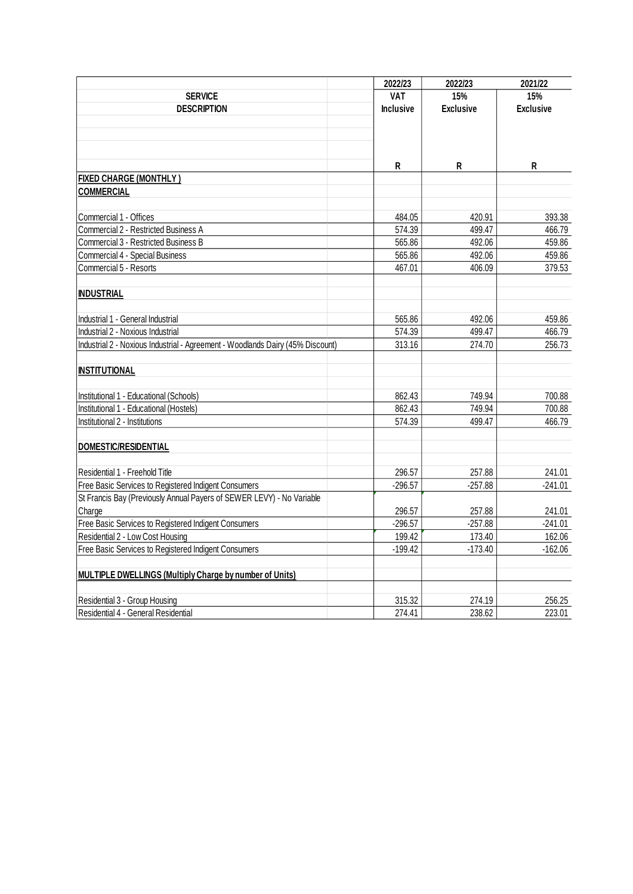|                                                                                | 2022/23          | 2022/23          | 2021/22          |
|--------------------------------------------------------------------------------|------------------|------------------|------------------|
| <b>SERVICE</b>                                                                 | <b>VAT</b>       | 15%              | 15%              |
| <b>DESCRIPTION</b>                                                             | <b>Inclusive</b> | <b>Exclusive</b> | <b>Exclusive</b> |
|                                                                                |                  |                  |                  |
|                                                                                |                  |                  |                  |
|                                                                                |                  |                  |                  |
|                                                                                | R                | R                | R                |
| <b>FIXED CHARGE (MONTHLY)</b>                                                  |                  |                  |                  |
| <b>COMMERCIAL</b>                                                              |                  |                  |                  |
|                                                                                |                  |                  |                  |
| Commercial 1 - Offices                                                         | 484.05           | 420.91           | 393.38           |
| Commercial 2 - Restricted Business A                                           | 574.39           | 499.47           | 466.79           |
| Commercial 3 - Restricted Business B                                           | 565.86           | 492.06           | 459.86           |
| Commercial 4 - Special Business                                                | 565.86           | 492.06           | 459.86           |
| Commercial 5 - Resorts                                                         | 467.01           | 406.09           | 379.53           |
|                                                                                |                  |                  |                  |
| <b>INDUSTRIAL</b>                                                              |                  |                  |                  |
|                                                                                |                  |                  |                  |
| Industrial 1 - General Industrial                                              | 565.86           | 492.06           | 459.86           |
| Industrial 2 - Noxious Industrial                                              | 574.39           | 499.47           | 466.79           |
| Industrial 2 - Noxious Industrial - Agreement - Woodlands Dairy (45% Discount) | 313.16           | 274.70           | 256.73           |
|                                                                                |                  |                  |                  |
| <b>INSTITUTIONAL</b>                                                           |                  |                  |                  |
|                                                                                |                  |                  |                  |
| Institutional 1 - Educational (Schools)                                        | 862.43           | 749.94           | 700.88           |
| Institutional 1 - Educational (Hostels)                                        | 862.43           | 749.94           | 700.88           |
| Institutional 2 - Institutions                                                 | 574.39           | 499.47           | 466.79           |
|                                                                                |                  |                  |                  |
| DOMESTIC/RESIDENTIAL                                                           |                  |                  |                  |
|                                                                                |                  |                  |                  |
| Residential 1 - Freehold Title                                                 | 296.57           | 257.88           | 241.01           |
| Free Basic Services to Registered Indigent Consumers                           | $-296.57$        | $-257.88$        | $-241.01$        |
| St Francis Bay (Previously Annual Payers of SEWER LEVY) - No Variable          |                  |                  |                  |
| Charge                                                                         | 296.57           | 257.88           | 241.01           |
| Free Basic Services to Registered Indigent Consumers                           | $-296.57$        | $-257.88$        | $-241.01$        |
| Residential 2 - Low Cost Housing                                               | 199.42           | 173.40           | 162.06           |
| Free Basic Services to Registered Indigent Consumers                           | $-199.42$        | $-173.40$        | $-162.06$        |
|                                                                                |                  |                  |                  |
| <b>MULTIPLE DWELLINGS (Multiply Charge by number of Units)</b>                 |                  |                  |                  |
|                                                                                |                  |                  |                  |
| Residential 3 - Group Housing                                                  | 315.32           | 274.19           | 256.25           |
| Residential 4 - General Residential                                            | 274.41           | 238.62           | 223.01           |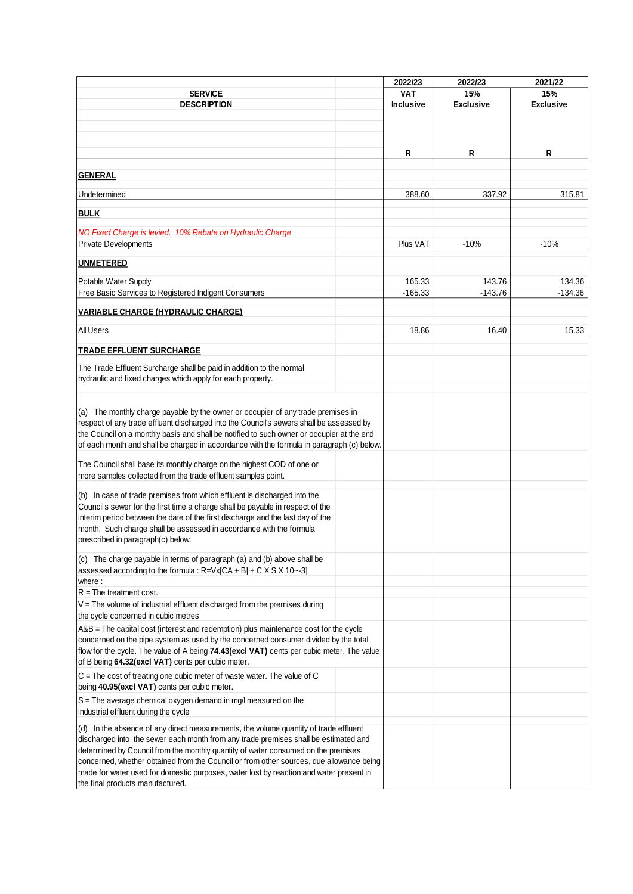|                                                                                                                                                                                                                                                                                                                                                                                                                                                                                                                  | 2022/23             | 2022/23             | 2021/22          |
|------------------------------------------------------------------------------------------------------------------------------------------------------------------------------------------------------------------------------------------------------------------------------------------------------------------------------------------------------------------------------------------------------------------------------------------------------------------------------------------------------------------|---------------------|---------------------|------------------|
| <b>SERVICE</b>                                                                                                                                                                                                                                                                                                                                                                                                                                                                                                   | <b>VAT</b>          | 15%                 | 15%              |
| <b>DESCRIPTION</b>                                                                                                                                                                                                                                                                                                                                                                                                                                                                                               | <b>Inclusive</b>    | <b>Exclusive</b>    | <b>Exclusive</b> |
|                                                                                                                                                                                                                                                                                                                                                                                                                                                                                                                  |                     |                     |                  |
|                                                                                                                                                                                                                                                                                                                                                                                                                                                                                                                  |                     |                     |                  |
|                                                                                                                                                                                                                                                                                                                                                                                                                                                                                                                  |                     |                     |                  |
|                                                                                                                                                                                                                                                                                                                                                                                                                                                                                                                  | R                   | R                   | R                |
|                                                                                                                                                                                                                                                                                                                                                                                                                                                                                                                  |                     |                     |                  |
| <b>GENERAL</b>                                                                                                                                                                                                                                                                                                                                                                                                                                                                                                   |                     |                     |                  |
|                                                                                                                                                                                                                                                                                                                                                                                                                                                                                                                  |                     |                     |                  |
| Undetermined                                                                                                                                                                                                                                                                                                                                                                                                                                                                                                     | 388.60              | 337.92              | 315.81           |
| <b>BULK</b>                                                                                                                                                                                                                                                                                                                                                                                                                                                                                                      |                     |                     |                  |
|                                                                                                                                                                                                                                                                                                                                                                                                                                                                                                                  |                     |                     |                  |
| NO Fixed Charge is levied. 10% Rebate on Hydraulic Charge                                                                                                                                                                                                                                                                                                                                                                                                                                                        |                     |                     |                  |
| <b>Private Developments</b>                                                                                                                                                                                                                                                                                                                                                                                                                                                                                      | Plus VAT            | $-10%$              | $-10%$           |
| <b>UNMETERED</b>                                                                                                                                                                                                                                                                                                                                                                                                                                                                                                 |                     |                     |                  |
|                                                                                                                                                                                                                                                                                                                                                                                                                                                                                                                  |                     |                     |                  |
| Potable Water Supply<br>Free Basic Services to Registered Indigent Consumers                                                                                                                                                                                                                                                                                                                                                                                                                                     | 165.33<br>$-165.33$ | 143.76<br>$-143.76$ | 134.36           |
|                                                                                                                                                                                                                                                                                                                                                                                                                                                                                                                  |                     |                     | $-134.36$        |
| <b>VARIABLE CHARGE (HYDRAULIC CHARGE)</b>                                                                                                                                                                                                                                                                                                                                                                                                                                                                        |                     |                     |                  |
|                                                                                                                                                                                                                                                                                                                                                                                                                                                                                                                  |                     |                     |                  |
| All Users                                                                                                                                                                                                                                                                                                                                                                                                                                                                                                        | 18.86               | 16.40               | 15.33            |
| <b>TRADE EFFLUENT SURCHARGE</b>                                                                                                                                                                                                                                                                                                                                                                                                                                                                                  |                     |                     |                  |
|                                                                                                                                                                                                                                                                                                                                                                                                                                                                                                                  |                     |                     |                  |
| The Trade Effluent Surcharge shall be paid in addition to the normal                                                                                                                                                                                                                                                                                                                                                                                                                                             |                     |                     |                  |
| hydraulic and fixed charges which apply for each property.                                                                                                                                                                                                                                                                                                                                                                                                                                                       |                     |                     |                  |
| (a) The monthly charge payable by the owner or occupier of any trade premises in<br>respect of any trade effluent discharged into the Council's sewers shall be assessed by<br>the Council on a monthly basis and shall be notified to such owner or occupier at the end<br>of each month and shall be charged in accordance with the formula in paragraph (c) below.<br>The Council shall base its monthly charge on the highest COD of one or<br>more samples collected from the trade effluent samples point. |                     |                     |                  |
| (b) In case of trade premises from which effluent is discharged into the<br>Council's sewer for the first time a charge shall be payable in respect of the<br>interim period between the date of the first discharge and the last day of the<br>month. Such charge shall be assessed in accordance with the formula<br>prescribed in paragraph(c) below.                                                                                                                                                         |                     |                     |                  |
| (c) The charge payable in terms of paragraph (a) and (b) above shall be                                                                                                                                                                                                                                                                                                                                                                                                                                          |                     |                     |                  |
| assessed according to the formula : $R = Vx[CA + B] + C \times S \times 10 - 3$<br>where:                                                                                                                                                                                                                                                                                                                                                                                                                        |                     |                     |                  |
| $R =$ The treatment cost.                                                                                                                                                                                                                                                                                                                                                                                                                                                                                        |                     |                     |                  |
| $V =$ The volume of industrial effluent discharged from the premises during<br>the cycle concerned in cubic metres                                                                                                                                                                                                                                                                                                                                                                                               |                     |                     |                  |
| A&B = The capital cost (interest and redemption) plus maintenance cost for the cycle<br>concerned on the pipe system as used by the concerned consumer divided by the total<br>flow for the cycle. The value of A being 74.43(excl VAT) cents per cubic meter. The value<br>of B being 64.32(excl VAT) cents per cubic meter.                                                                                                                                                                                    |                     |                     |                  |
| $C =$ The cost of treating one cubic meter of waste water. The value of $C$<br>being 40.95(excl VAT) cents per cubic meter.                                                                                                                                                                                                                                                                                                                                                                                      |                     |                     |                  |
| S = The average chemical oxygen demand in mg/l measured on the<br>industrial effluent during the cycle                                                                                                                                                                                                                                                                                                                                                                                                           |                     |                     |                  |
| (d) In the absence of any direct measurements, the volume quantity of trade effluent<br>discharged into the sewer each month from any trade premises shall be estimated and<br>determined by Council from the monthly quantity of water consumed on the premises<br>concerned, whether obtained from the Council or from other sources, due allowance being<br>made for water used for domestic purposes, water lost by reaction and water present in<br>the final products manufactured.                        |                     |                     |                  |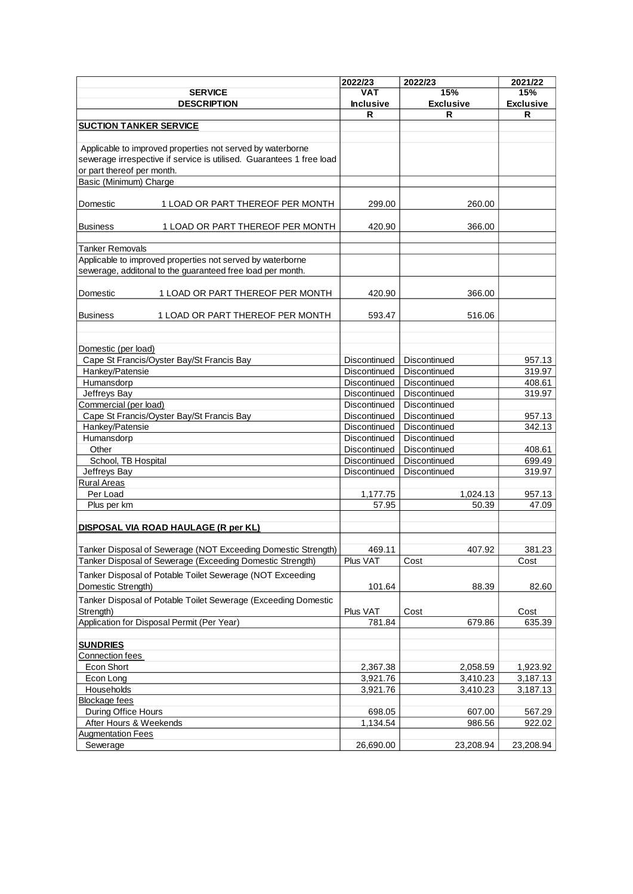| 15%<br>VAT<br>15%<br><b>SERVICE</b><br><b>DESCRIPTION</b><br><b>Inclusive</b><br><b>Exclusive</b><br><b>Exclusive</b><br>R<br>R<br>R<br><b>SUCTION TANKER SERVICE</b><br>Applicable to improved properties not served by waterborne |
|-------------------------------------------------------------------------------------------------------------------------------------------------------------------------------------------------------------------------------------|
|                                                                                                                                                                                                                                     |
|                                                                                                                                                                                                                                     |
|                                                                                                                                                                                                                                     |
|                                                                                                                                                                                                                                     |
|                                                                                                                                                                                                                                     |
|                                                                                                                                                                                                                                     |
| sewerage irrespective if service is utilised. Guarantees 1 free load                                                                                                                                                                |
| or part thereof per month.                                                                                                                                                                                                          |
| Basic (Minimum) Charge                                                                                                                                                                                                              |
|                                                                                                                                                                                                                                     |
| Domestic<br>1 LOAD OR PART THEREOF PER MONTH<br>299.00<br>260.00                                                                                                                                                                    |
|                                                                                                                                                                                                                                     |
| <b>Business</b><br>1 LOAD OR PART THEREOF PER MONTH<br>420.90<br>366.00                                                                                                                                                             |
|                                                                                                                                                                                                                                     |
| Tanker Removals                                                                                                                                                                                                                     |
| Applicable to improved properties not served by waterborne                                                                                                                                                                          |
| sewerage, additonal to the guaranteed free load per month.                                                                                                                                                                          |
|                                                                                                                                                                                                                                     |
| Domestic<br>1 LOAD OR PART THEREOF PER MONTH<br>420.90<br>366.00                                                                                                                                                                    |
|                                                                                                                                                                                                                                     |
| <b>Business</b><br>1 LOAD OR PART THEREOF PER MONTH<br>593.47<br>516.06                                                                                                                                                             |
|                                                                                                                                                                                                                                     |
|                                                                                                                                                                                                                                     |
| Domestic (per load)                                                                                                                                                                                                                 |
| Cape St Francis/Oyster Bay/St Francis Bay<br>Discontinued<br>Discontinued<br>957.13                                                                                                                                                 |
| Hankey/Patensie<br>Discontinued<br>Discontinued<br>319.97                                                                                                                                                                           |
| Humansdorp<br>Discontinued<br>Discontinued<br>408.61                                                                                                                                                                                |
| Jeffreys Bay<br>319.97<br>Discontinued<br>Discontinued                                                                                                                                                                              |
| Commercial (per load)<br>Discontinued<br>Discontinued                                                                                                                                                                               |
| Cape St Francis/Oyster Bay/St Francis Bay<br>Discontinued<br>Discontinued<br>957.13                                                                                                                                                 |
| Hankey/Patensie<br>Discontinued<br>Discontinued<br>342.13                                                                                                                                                                           |
| Humansdorp<br>Discontinued<br>Discontinued                                                                                                                                                                                          |
| 408.61<br>Other<br>Discontinued<br>Discontinued                                                                                                                                                                                     |
| School, TB Hospital<br>699.49<br>Discontinued<br>Discontinued                                                                                                                                                                       |
| Jeffreys Bay<br>Discontinued<br>Discontinued<br>319.97                                                                                                                                                                              |
| <b>Rural Areas</b>                                                                                                                                                                                                                  |
| Per Load<br>1,024.13<br>957.13<br>1,177.75                                                                                                                                                                                          |
| 57.95<br>50.39<br>47.09<br>Plus per km                                                                                                                                                                                              |
|                                                                                                                                                                                                                                     |
| DISPOSAL VIA ROAD HAULAGE (R per KL)                                                                                                                                                                                                |
|                                                                                                                                                                                                                                     |
| 469.11<br>407.92<br>381.23<br>Tanker Disposal of Sewerage (NOT Exceeding Domestic Strength)                                                                                                                                         |
| Plus VAT<br>Tanker Disposal of Sewerage (Exceeding Domestic Strength)<br>Cost<br>Cost                                                                                                                                               |
|                                                                                                                                                                                                                                     |
| Tanker Disposal of Potable Toilet Sewerage (NOT Exceeding                                                                                                                                                                           |
| Domestic Strength)<br>101.64<br>88.39<br>82.60                                                                                                                                                                                      |
| Tanker Disposal of Potable Toilet Sewerage (Exceeding Domestic                                                                                                                                                                      |
| Plus VAT<br>Cost<br>Strength)<br>Cost                                                                                                                                                                                               |
| 635.39<br>Application for Disposal Permit (Per Year)<br>781.84<br>679.86                                                                                                                                                            |
|                                                                                                                                                                                                                                     |
| <b>SUNDRIES</b>                                                                                                                                                                                                                     |
| Connection fees                                                                                                                                                                                                                     |
| Econ Short<br>2,367.38<br>2,058.59<br>1,923.92                                                                                                                                                                                      |
| 3,410.23<br>3,187.13<br>Econ Long<br>3,921.76                                                                                                                                                                                       |
| Households<br>3,921.76<br>3,410.23<br>3,187.13                                                                                                                                                                                      |
| <b>Blockage fees</b>                                                                                                                                                                                                                |
| During Office Hours<br>607.00<br>567.29<br>698.05                                                                                                                                                                                   |
| 1,134.54<br>986.56<br>922.02<br>After Hours & Weekends                                                                                                                                                                              |
| <b>Augmentation Fees</b>                                                                                                                                                                                                            |
| 26,690.00<br>Sewerage<br>23,208.94<br>23,208.94                                                                                                                                                                                     |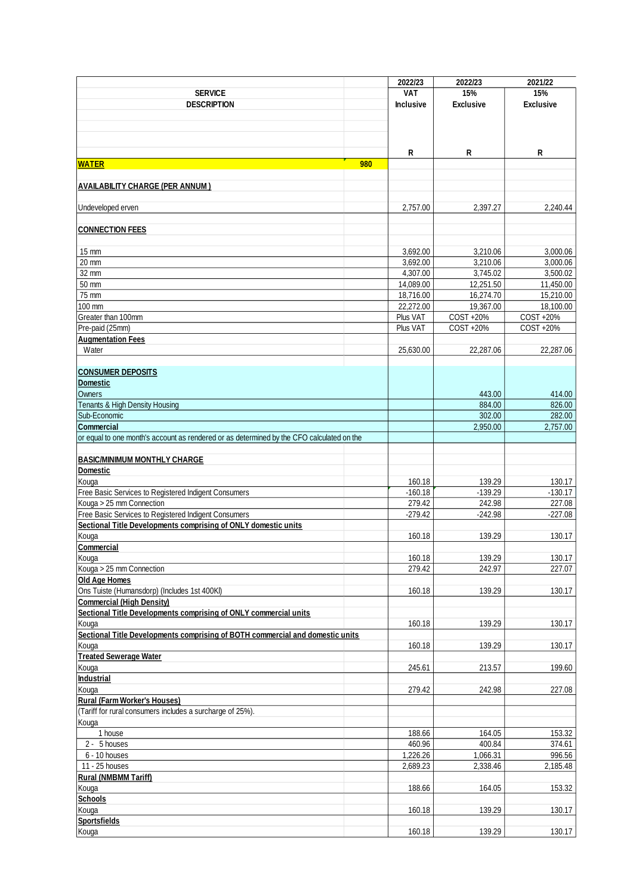|                                                                                           |     | 2022/23          | 2022/23          | 2021/22          |
|-------------------------------------------------------------------------------------------|-----|------------------|------------------|------------------|
| <b>SERVICE</b>                                                                            |     | <b>VAT</b>       | 15%              | 15%              |
| <b>DESCRIPTION</b>                                                                        |     | <b>Inclusive</b> | <b>Exclusive</b> | <b>Exclusive</b> |
|                                                                                           |     |                  |                  |                  |
|                                                                                           |     |                  |                  |                  |
|                                                                                           |     |                  |                  |                  |
|                                                                                           |     |                  |                  |                  |
|                                                                                           |     | R                | R                | R                |
| <b>WATER</b>                                                                              | 980 |                  |                  |                  |
|                                                                                           |     |                  |                  |                  |
| <b>AVAILABILITY CHARGE (PER ANNUM)</b>                                                    |     |                  |                  |                  |
| Undeveloped erven                                                                         |     | 2,757.00         | 2,397.27         | 2,240.44         |
|                                                                                           |     |                  |                  |                  |
| <b>CONNECTION FEES</b>                                                                    |     |                  |                  |                  |
|                                                                                           |     |                  |                  |                  |
| 15 mm                                                                                     |     | 3,692.00         | 3,210.06         | 3,000.06         |
| 20 mm                                                                                     |     | 3,692.00         | 3,210.06         | 3,000.06         |
| 32 mm                                                                                     |     | 4,307.00         | 3,745.02         | 3,500.02         |
| 50 mm                                                                                     |     | 14,089.00        | 12,251.50        | 11,450.00        |
| 75 mm                                                                                     |     | 18,716.00        | 16,274.70        | 15,210.00        |
| 100 mm                                                                                    |     | 22,272.00        | 19,367.00        | 18,100.00        |
| Greater than 100mm                                                                        |     | Plus VAT         | COST +20%        | COST +20%        |
| Pre-paid (25mm)                                                                           |     | Plus VAT         | COST +20%        | COST +20%        |
| <b>Augmentation Fees</b>                                                                  |     |                  |                  |                  |
| Water                                                                                     |     | 25,630.00        | 22,287.06        | 22,287.06        |
|                                                                                           |     |                  |                  |                  |
| <b>CONSUMER DEPOSITS</b>                                                                  |     |                  |                  |                  |
| <b>Domestic</b>                                                                           |     |                  |                  |                  |
| Owners                                                                                    |     |                  | 443.00           | 414.00           |
| Tenants & High Density Housing                                                            |     |                  | 884.00           | 826.00           |
| Sub-Economic                                                                              |     |                  | 302.00           | 282.00           |
| <b>Commercial</b>                                                                         |     |                  | 2,950.00         | 2,757.00         |
| or equal to one month's account as rendered or as determined by the CFO calculated on the |     |                  |                  |                  |
|                                                                                           |     |                  |                  |                  |
| <b>BASIC/MINIMUM MONTHLY CHARGE</b>                                                       |     |                  |                  |                  |
| Domestic                                                                                  |     |                  |                  |                  |
| Kouga                                                                                     |     | 160.18           | 139.29           | 130.17           |
| Free Basic Services to Registered Indigent Consumers                                      |     | $-160.18$        | $-139.29$        | $-130.17$        |
| Kouga > 25 mm Connection                                                                  |     | 279.42           | 242.98           | 227.08           |
| Free Basic Services to Registered Indigent Consumers                                      |     | $-279.42$        | $-242.98$        | $-227.08$        |
| Sectional Title Developments comprising of ONLY domestic units                            |     |                  |                  |                  |
| Kouga                                                                                     |     | 160.18           | 139.29           | 130.17           |
| Commercial                                                                                |     |                  |                  |                  |
| Kouga                                                                                     |     | 160.18           | 139.29           | 130.17           |
| Kouga > 25 mm Connection                                                                  |     | 279.42           | 242.97           | 227.07           |
| Old Age Homes                                                                             |     |                  |                  |                  |
| Ons Tuiste (Humansdorp) (Includes 1st 400Kl)                                              |     | 160.18           | 139.29           | 130.17           |
| <b>Commercial (High Density)</b>                                                          |     |                  |                  |                  |
| Sectional Title Developments comprising of ONLY commercial units                          |     |                  |                  |                  |
| Kouga                                                                                     |     | 160.18           | 139.29           | 130.17           |
| Sectional Title Developments comprising of BOTH commercial and domestic units             |     |                  |                  |                  |
| Kouga                                                                                     |     | 160.18           | 139.29           | 130.17           |
| <b>Treated Sewerage Water</b>                                                             |     |                  |                  |                  |
| Kouga                                                                                     |     | 245.61           | 213.57           | 199.60           |
| <b>Industrial</b>                                                                         |     |                  |                  |                  |
| Kouga                                                                                     |     | 279.42           | 242.98           | 227.08           |
| <b>Rural (Farm Worker's Houses)</b>                                                       |     |                  |                  |                  |
| (Tariff for rural consumers includes a surcharge of 25%).                                 |     |                  |                  |                  |
| Kouga                                                                                     |     |                  |                  |                  |
| 1 house                                                                                   |     | 188.66           | 164.05           | 153.32           |
| 2 - 5 houses                                                                              |     | 460.96           | 400.84           | 374.61           |
| 6 - 10 houses                                                                             |     | 1,226.26         | 1,066.31         | 996.56           |
| 11 - 25 houses                                                                            |     | 2,689.23         | 2,338.46         | 2,185.48         |
| <b>Rural (NMBMM Tariff)</b>                                                               |     |                  |                  |                  |
| Kouga                                                                                     |     | 188.66           | 164.05           | 153.32           |
| <b>Schools</b>                                                                            |     |                  |                  |                  |
| Kouga                                                                                     |     | 160.18           | 139.29           | 130.17           |
| <b>Sportsfields</b>                                                                       |     |                  |                  |                  |
| Kouga                                                                                     |     | 160.18           | 139.29           | 130.17           |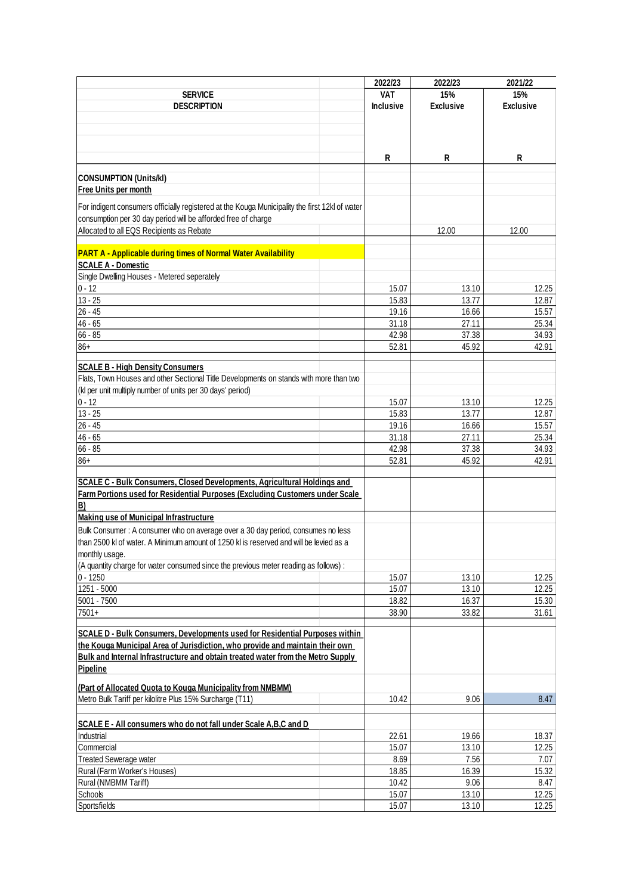|                                                                                                | 2022/23          | 2022/23          | 2021/22          |
|------------------------------------------------------------------------------------------------|------------------|------------------|------------------|
| <b>SERVICE</b>                                                                                 | <b>VAT</b>       | 15%              | 15%              |
| <b>DESCRIPTION</b>                                                                             | <b>Inclusive</b> | <b>Exclusive</b> | <b>Exclusive</b> |
|                                                                                                |                  |                  |                  |
|                                                                                                |                  |                  |                  |
|                                                                                                |                  |                  |                  |
|                                                                                                |                  |                  |                  |
|                                                                                                | R                | R                | R                |
| <b>CONSUMPTION (Units/kl)</b>                                                                  |                  |                  |                  |
| Free Units per month                                                                           |                  |                  |                  |
|                                                                                                |                  |                  |                  |
| For indigent consumers officially registered at the Kouga Municipality the first 12kl of water |                  |                  |                  |
| consumption per 30 day period will be afforded free of charge                                  |                  |                  |                  |
| Allocated to all EQS Recipients as Rebate                                                      |                  | 12.00            | 12.00            |
|                                                                                                |                  |                  |                  |
| <b>PART A - Applicable during times of Normal Water Availability</b>                           |                  |                  |                  |
| <b>SCALE A - Domestic</b>                                                                      |                  |                  |                  |
| Single Dwelling Houses - Metered seperately                                                    |                  |                  |                  |
| $0 - 12$                                                                                       | 15.07            | 13.10            | 12.25            |
| $13 - 25$                                                                                      | 15.83            | 13.77            | 12.87            |
| $26 - 45$                                                                                      | 19.16            | 16.66            | 15.57            |
| $46 - 65$                                                                                      | 31.18            | 27.11            | 25.34            |
| $66 - 85$                                                                                      | 42.98            | 37.38            | 34.93            |
| $86+$                                                                                          | 52.81            | 45.92            | 42.91            |
|                                                                                                |                  |                  |                  |
| <b>SCALE B - High Density Consumers</b>                                                        |                  |                  |                  |
| Flats, Town Houses and other Sectional Title Developments on stands with more than two         |                  |                  |                  |
| (kl per unit multiply number of units per 30 days' period)                                     |                  |                  |                  |
| $0 - 12$                                                                                       | 15.07            | 13.10            | 12.25            |
| $13 - 25$                                                                                      | 15.83            | 13.77            | 12.87            |
| $26 - 45$                                                                                      | 19.16            | 16.66            | 15.57            |
| $46 - 65$                                                                                      | 31.18            | 27.11            | 25.34            |
| $66 - 85$                                                                                      | 42.98            | 37.38            | 34.93            |
| $86+$                                                                                          | 52.81            | 45.92            | 42.91            |
|                                                                                                |                  |                  |                  |
| SCALE C - Bulk Consumers, Closed Developments, Agricultural Holdings and                       |                  |                  |                  |
| Farm Portions used for Residential Purposes (Excluding Customers under Scale                   |                  |                  |                  |
| B)                                                                                             |                  |                  |                  |
| Making use of Municipal Infrastructure                                                         |                  |                  |                  |
| Bulk Consumer: A consumer who on average over a 30 day period, consumes no less                |                  |                  |                  |
| than 2500 kl of water. A Minimum amount of 1250 kl is reserved and will be levied as a         |                  |                  |                  |
| monthly usage.                                                                                 |                  |                  |                  |
| (A quantity charge for water consumed since the previous meter reading as follows):            |                  |                  |                  |
| $0 - 1250$                                                                                     | 15.07            | 13.10            | 12.25            |
| $\overline{1251} - 5000$                                                                       | 15.07            | 13.10            | 12.25            |
| 5001 - 7500                                                                                    | 18.82            | 16.37            | 15.30            |
| $7501+$                                                                                        | 38.90            | 33.82            | 31.61            |
|                                                                                                |                  |                  |                  |
| SCALE D - Bulk Consumers, Developments used for Residential Purposes within                    |                  |                  |                  |
| the Kouga Municipal Area of Jurisdiction, who provide and maintain their own                   |                  |                  |                  |
| Bulk and Internal Infrastructure and obtain treated water from the Metro Supply                |                  |                  |                  |
| Pipeline                                                                                       |                  |                  |                  |
|                                                                                                |                  |                  |                  |
| (Part of Allocated Quota to Kouga Municipality from NMBMM)                                     |                  |                  |                  |
| Metro Bulk Tariff per kilolitre Plus 15% Surcharge (T11)                                       | 10.42            | 9.06             | 8.47             |
|                                                                                                |                  |                  |                  |
| SCALE E - All consumers who do not fall under Scale A,B,C and D                                |                  |                  |                  |
| Industrial                                                                                     | 22.61            | 19.66            | 18.37            |
| Commercial                                                                                     | 15.07            | 13.10            | 12.25            |
| <b>Treated Sewerage water</b>                                                                  | 8.69             | 7.56             | 7.07             |
| Rural (Farm Worker's Houses)                                                                   | 18.85            | 16.39            | 15.32            |
| Rural (NMBMM Tariff)                                                                           | 10.42            | 9.06             | 8.47             |
| Schools                                                                                        | 15.07            | 13.10            | 12.25            |
| Sportsfields                                                                                   | 15.07            | 13.10            | 12.25            |
|                                                                                                |                  |                  |                  |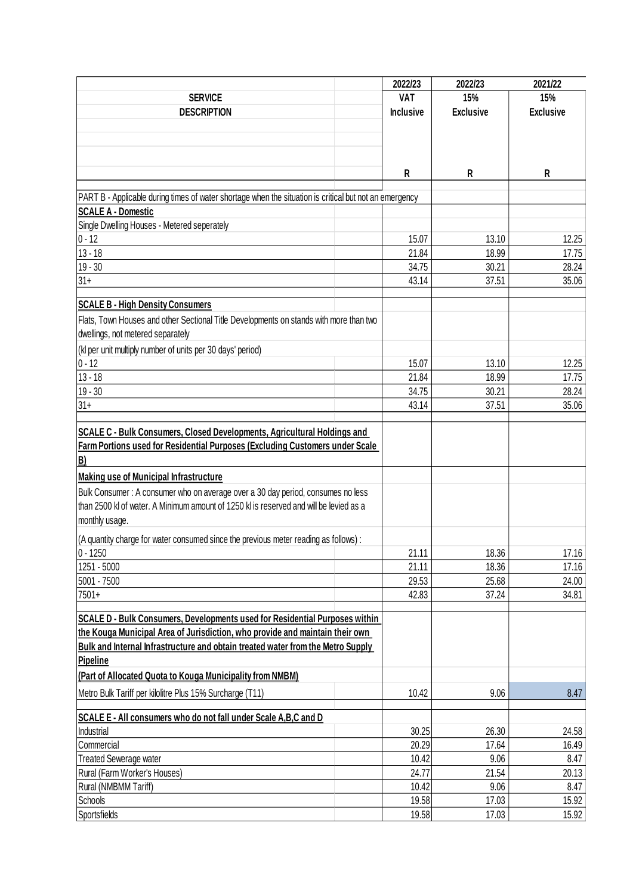|                                                                                                        | 2022/23          | 2022/23          | 2021/22          |
|--------------------------------------------------------------------------------------------------------|------------------|------------------|------------------|
| <b>SERVICE</b>                                                                                         | <b>VAT</b>       | 15%              | 15%              |
| <b>DESCRIPTION</b>                                                                                     | <b>Inclusive</b> | <b>Exclusive</b> | <b>Exclusive</b> |
|                                                                                                        |                  |                  |                  |
|                                                                                                        |                  |                  |                  |
|                                                                                                        |                  |                  |                  |
|                                                                                                        | R                |                  |                  |
|                                                                                                        |                  | R                | R                |
| PART B - Applicable during times of water shortage when the situation is critical but not an emergency |                  |                  |                  |
| <b>SCALE A - Domestic</b>                                                                              |                  |                  |                  |
| Single Dwelling Houses - Metered seperately                                                            |                  |                  |                  |
| $ 0 - 12 $                                                                                             | 15.07            | 13.10            | 12.25            |
| $13 - 18$                                                                                              | 21.84            | 18.99            | 17.75            |
| $19 - 30$                                                                                              | 34.75            | 30.21            | 28.24            |
| $31 +$                                                                                                 | 43.14            | 37.51            | 35.06            |
|                                                                                                        |                  |                  |                  |
| <b>SCALE B - High Density Consumers</b>                                                                |                  |                  |                  |
| Flats, Town Houses and other Sectional Title Developments on stands with more than two                 |                  |                  |                  |
| dwellings, not metered separately                                                                      |                  |                  |                  |
| (kl per unit multiply number of units per 30 days' period)                                             |                  |                  |                  |
| $0 - 12$                                                                                               | 15.07            | 13.10            | 12.25            |
| $13 - 18$                                                                                              | 21.84            | 18.99            | 17.75            |
| $19 - 30$                                                                                              | 34.75            | 30.21            | 28.24            |
| $31 +$                                                                                                 | 43.14            | 37.51            | 35.06            |
|                                                                                                        |                  |                  |                  |
| <b>SCALE C - Bulk Consumers, Closed Developments, Agricultural Holdings and</b>                        |                  |                  |                  |
| Farm Portions used for Residential Purposes (Excluding Customers under Scale                           |                  |                  |                  |
| B)                                                                                                     |                  |                  |                  |
| <b>Making use of Municipal Infrastructure</b>                                                          |                  |                  |                  |
| Bulk Consumer: A consumer who on average over a 30 day period, consumes no less                        |                  |                  |                  |
| than 2500 kl of water. A Minimum amount of 1250 kl is reserved and will be levied as a                 |                  |                  |                  |
| monthly usage.                                                                                         |                  |                  |                  |
|                                                                                                        |                  |                  |                  |
| (A quantity charge for water consumed since the previous meter reading as follows):<br>$0 - 1250$      | 21.11            | 18.36            | 17.16            |
| 1251 - 5000                                                                                            | 21.11            | 18.36            | 17.16            |
| 5001 - 7500                                                                                            | 29.53            | 25.68            | 24.00            |
| 7501+                                                                                                  | 42.83            | 37.24            | 34.81            |
|                                                                                                        |                  |                  |                  |
| SCALE D - Bulk Consumers, Developments used for Residential Purposes within                            |                  |                  |                  |
| the Kouga Municipal Area of Jurisdiction, who provide and maintain their own                           |                  |                  |                  |
| Bulk and Internal Infrastructure and obtain treated water from the Metro Supply                        |                  |                  |                  |
| Pipeline                                                                                               |                  |                  |                  |
| (Part of Allocated Quota to Kouga Municipality from NMBM)                                              |                  |                  |                  |
| Metro Bulk Tariff per kilolitre Plus 15% Surcharge (T11)                                               | 10.42            | 9.06             | 8.47             |
|                                                                                                        |                  |                  |                  |
| SCALE E - All consumers who do not fall under Scale A, B, C and D                                      |                  |                  |                  |
| Industrial                                                                                             | 30.25            | 26.30            | 24.58            |
| Commercial                                                                                             | 20.29            | 17.64            | 16.49            |
| <b>Treated Sewerage water</b>                                                                          | 10.42            | 9.06             | 8.47             |
| Rural (Farm Worker's Houses)                                                                           | 24.77            | 21.54            | 20.13            |
| Rural (NMBMM Tariff)                                                                                   | 10.42            | 9.06             | 8.47             |
| Schools                                                                                                | 19.58            | 17.03            | 15.92            |
| Sportsfields                                                                                           | 19.58            | 17.03            | 15.92            |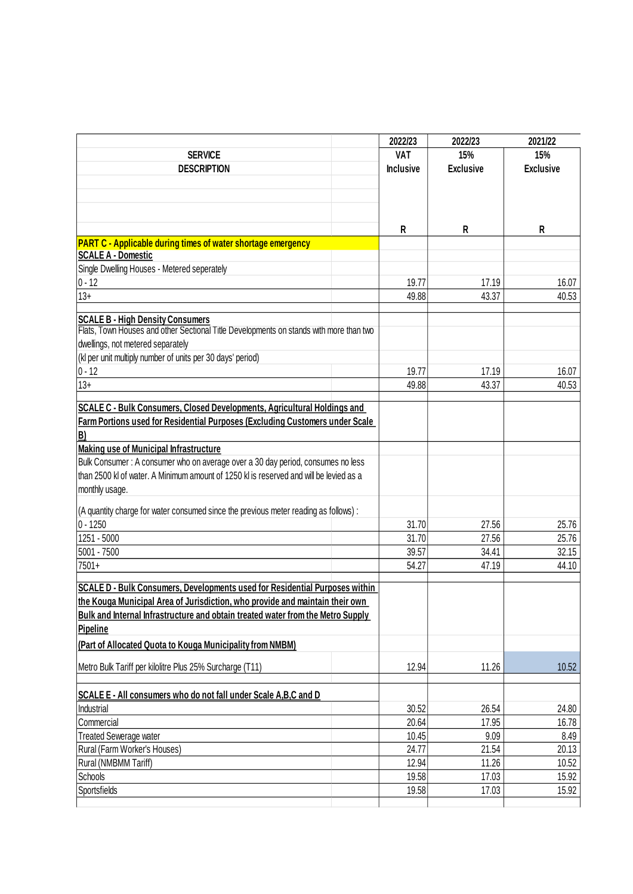|                                                                                        | 2022/23          | 2022/23          | 2021/22          |
|----------------------------------------------------------------------------------------|------------------|------------------|------------------|
| <b>SERVICE</b>                                                                         | <b>VAT</b>       | 15%              | 15%              |
| <b>DESCRIPTION</b>                                                                     | <b>Inclusive</b> | <b>Exclusive</b> | <b>Exclusive</b> |
|                                                                                        |                  |                  |                  |
|                                                                                        |                  |                  |                  |
|                                                                                        |                  |                  |                  |
|                                                                                        | R                | R                | R                |
| <b>PART C - Applicable during times of water shortage emergency</b>                    |                  |                  |                  |
| <b>SCALE A - Domestic</b>                                                              |                  |                  |                  |
| Single Dwelling Houses - Metered seperately                                            |                  |                  |                  |
| $0 - 12$                                                                               | 19.77            | 17.19            | 16.07            |
| $13+$                                                                                  | 49.88            | 43.37            | 40.53            |
|                                                                                        |                  |                  |                  |
| <b>SCALE B - High Density Consumers</b>                                                |                  |                  |                  |
| Flats, Town Houses and other Sectional Title Developments on stands with more than two |                  |                  |                  |
| dwellings, not metered separately                                                      |                  |                  |                  |
| (kl per unit multiply number of units per 30 days' period)                             |                  |                  |                  |
| $0 - 12$                                                                               | 19.77            | 17.19            | 16.07            |
| $13+$                                                                                  | 49.88            | 43.37            | 40.53            |
| SCALE C - Bulk Consumers, Closed Developments, Agricultural Holdings and               |                  |                  |                  |
| Farm Portions used for Residential Purposes (Excluding Customers under Scale           |                  |                  |                  |
| B)                                                                                     |                  |                  |                  |
| <b>Making use of Municipal Infrastructure</b>                                          |                  |                  |                  |
| Bulk Consumer: A consumer who on average over a 30 day period, consumes no less        |                  |                  |                  |
| than 2500 kl of water. A Minimum amount of 1250 kl is reserved and will be levied as a |                  |                  |                  |
| monthly usage.                                                                         |                  |                  |                  |
|                                                                                        |                  |                  |                  |
| (A quantity charge for water consumed since the previous meter reading as follows):    |                  |                  |                  |
| $0 - 1250$                                                                             | 31.70            | 27.56            | 25.76            |
| 1251 - 5000                                                                            | 31.70            | 27.56            | 25.76            |
| 5001 - 7500                                                                            | 39.57            | 34.41            | 32.15            |
| 7501+                                                                                  | 54.27            | 47.19            | 44.10            |
| SCALE D - Bulk Consumers, Developments used for Residential Purposes within            |                  |                  |                  |
| the Kouga Municipal Area of Jurisdiction, who provide and maintain their own           |                  |                  |                  |
| Bulk and Internal Infrastructure and obtain treated water from the Metro Supply        |                  |                  |                  |
| Pipeline                                                                               |                  |                  |                  |
| (Part of Allocated Quota to Kouga Municipality from NMBM)                              |                  |                  |                  |
|                                                                                        |                  |                  |                  |
| Metro Bulk Tariff per kilolitre Plus 25% Surcharge (T11)                               | 12.94            | 11.26            | 10.52            |
|                                                                                        |                  |                  |                  |
| SCALE E - All consumers who do not fall under Scale A,B,C and D                        |                  |                  |                  |
| Industrial                                                                             | 30.52            | 26.54            | 24.80            |
| Commercial                                                                             | 20.64            | 17.95            | 16.78            |
| <b>Treated Sewerage water</b>                                                          | 10.45            | 9.09             | 8.49             |
| Rural (Farm Worker's Houses)                                                           | 24.77            | 21.54            | 20.13            |
| Rural (NMBMM Tariff)                                                                   | 12.94            | 11.26            | 10.52            |
| Schools                                                                                | 19.58            | 17.03            | 15.92            |
| Sportsfields                                                                           | 19.58            | 17.03            | 15.92            |
|                                                                                        |                  |                  |                  |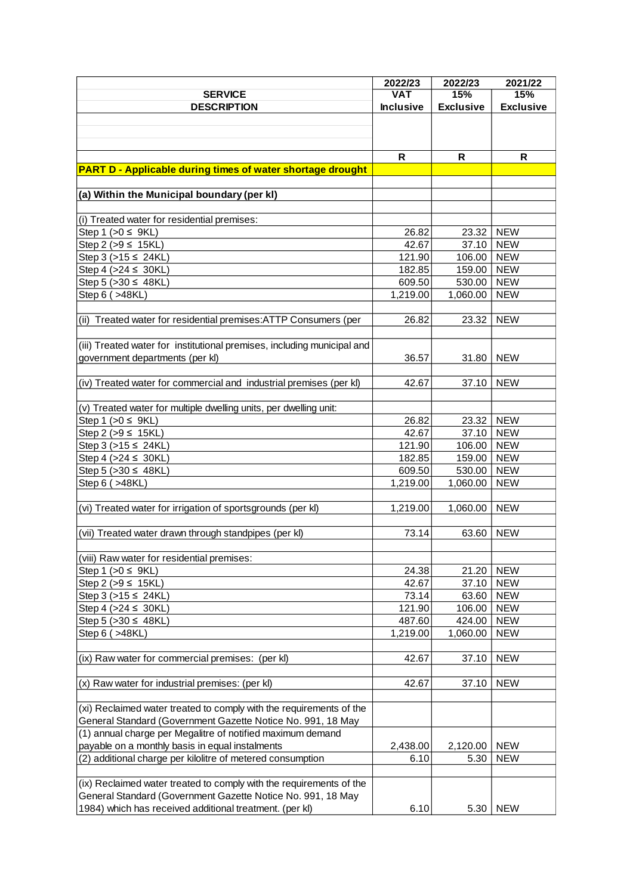|                                                                         | 2022/23          | 2022/23          | 2021/22          |
|-------------------------------------------------------------------------|------------------|------------------|------------------|
| <b>SERVICE</b>                                                          | <b>VAT</b>       | 15%              | 15%              |
| <b>DESCRIPTION</b>                                                      | <b>Inclusive</b> | <b>Exclusive</b> | <b>Exclusive</b> |
|                                                                         |                  |                  |                  |
|                                                                         |                  |                  |                  |
|                                                                         |                  |                  |                  |
|                                                                         | R                | R                | R                |
| <b>PART D - Applicable during times of water shortage drought</b>       |                  |                  |                  |
|                                                                         |                  |                  |                  |
| (a) Within the Municipal boundary (per kl)                              |                  |                  |                  |
|                                                                         |                  |                  |                  |
| (i) Treated water for residential premises:                             |                  |                  |                  |
| Step 1 ( $>0 \leq 9KL$ )                                                |                  |                  | <b>NEW</b>       |
| Step 2 ( $>9 \le 15$ KL)                                                | 26.82            | 23.32            | <b>NEW</b>       |
|                                                                         | 42.67            | 37.10            |                  |
| Step 3 ( $>15 \le 24$ KL)                                               | 121.90           | 106.00           | <b>NEW</b>       |
| Step 4 ( $>24 \leq 30$ KL)                                              | 182.85           | 159.00           | <b>NEW</b>       |
| Step 5 (> 30 ≤ 48KL)                                                    | 609.50           | 530.00           | <b>NEW</b>       |
| Step 6 ( > 48KL)                                                        | 1,219.00         | 1,060.00         | <b>NEW</b>       |
|                                                                         |                  |                  |                  |
| (ii) Treated water for residential premises: ATTP Consumers (per        | 26.82            | 23.32            | <b>NEW</b>       |
|                                                                         |                  |                  |                  |
| (iii) Treated water for institutional premises, including municipal and |                  |                  |                  |
| government departments (per kl)                                         | 36.57            | 31.80            | <b>NEW</b>       |
|                                                                         |                  |                  |                  |
| (iv) Treated water for commercial and industrial premises (per kl)      | 42.67            | 37.10            | <b>NEW</b>       |
|                                                                         |                  |                  |                  |
| (v) Treated water for multiple dwelling units, per dwelling unit:       |                  |                  |                  |
| Step 1 ( $>0 \leq 9KL$ )                                                | 26.82            | 23.32            | <b>NEW</b>       |
| Step 2 (>9 ≤ 15KL)                                                      | 42.67            | 37.10            | <b>NEW</b>       |
| Step 3 (>15 ≤ 24KL)                                                     | 121.90           | 106.00           | <b>NEW</b>       |
| Step 4 (>24 ≤ 30KL)                                                     | 182.85           | 159.00           | <b>NEW</b>       |
| Step 5 (> 30 ≤ 48KL)                                                    | 609.50           | 530.00           | <b>NEW</b>       |
| Step 6 ( > 48KL)                                                        | 1,219.00         | 1,060.00         | <b>NEW</b>       |
|                                                                         |                  |                  |                  |
| (vi) Treated water for irrigation of sportsgrounds (per kl)             | 1,219.00         | 1,060.00         | <b>NEW</b>       |
|                                                                         |                  |                  |                  |
|                                                                         |                  |                  |                  |
| (vii) Treated water drawn through standpipes (per kl)                   | 73.14            | 63.60            | <b>NEW</b>       |
|                                                                         |                  |                  |                  |
| (viii) Raw water for residential premises:                              |                  |                  |                  |
| Step 1 ( $>0 \leq 9KL$ )                                                | 24.38            | 21.20            | <b>NEW</b>       |
| Step 2 (>9 ≤ 15KL)                                                      | 42.67            | 37.10            | <b>NEW</b>       |
| Step 3 (>15 ≤ 24KL)                                                     | 73.14            | 63.60            | <b>NEW</b>       |
| Step 4 ( $>24 \leq 30KL$ )                                              | 121.90           | 106.00           | <b>NEW</b>       |
| Step 5 (> 30 ≤ 48KL)                                                    | 487.60           | 424.00           | <b>NEW</b>       |
| Step 6 ( > 48KL)                                                        | 1,219.00         | 1,060.00         | <b>NEW</b>       |
|                                                                         |                  |                  |                  |
| (ix) Raw water for commercial premises: (per kl)                        | 42.67            | 37.10            | <b>NEW</b>       |
|                                                                         |                  |                  |                  |
| (x) Raw water for industrial premises: (per kl)                         | 42.67            | 37.10            | <b>NEW</b>       |
|                                                                         |                  |                  |                  |
| (xi) Reclaimed water treated to comply with the requirements of the     |                  |                  |                  |
| General Standard (Government Gazette Notice No. 991, 18 May             |                  |                  |                  |
| (1) annual charge per Megalitre of notified maximum demand              |                  |                  |                  |
| payable on a monthly basis in equal instalments                         | 2,438.00         | 2,120.00         | <b>NEW</b>       |
| (2) additional charge per kilolitre of metered consumption              | 6.10             | 5.30             | <b>NEW</b>       |
|                                                                         |                  |                  |                  |
| (ix) Reclaimed water treated to comply with the requirements of the     |                  |                  |                  |
| General Standard (Government Gazette Notice No. 991, 18 May             |                  |                  |                  |
|                                                                         |                  |                  |                  |
| 1984) which has received additional treatment. (per kl)                 | 6.10             | 5.30             | <b>NEW</b>       |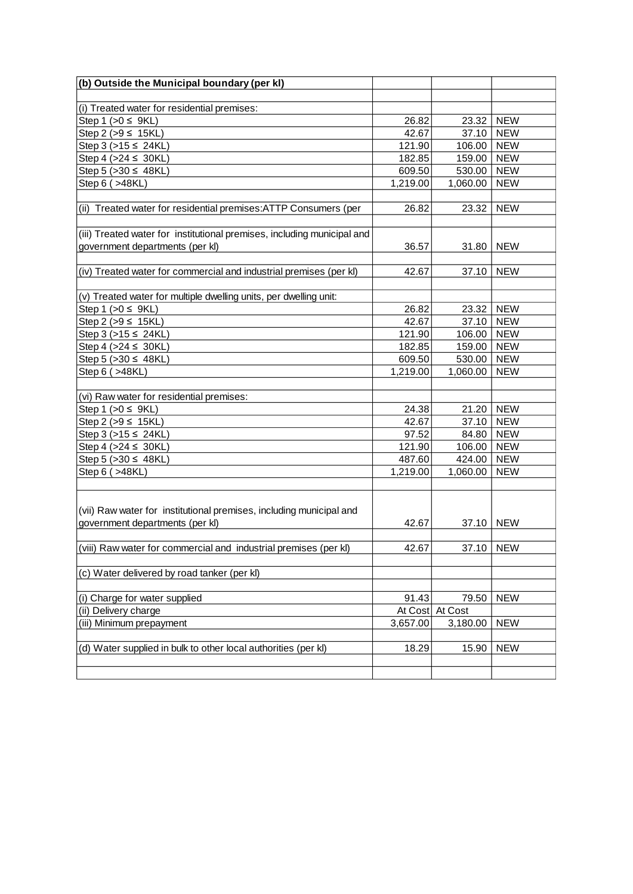| (b) Outside the Municipal boundary (per kl)                             |          |           |            |
|-------------------------------------------------------------------------|----------|-----------|------------|
|                                                                         |          |           |            |
| (i) Treated water for residential premises:                             |          |           |            |
| Step 1 ( $>0 \leq 9KL$ )                                                | 26.82    | 23.32     | <b>NEW</b> |
| Step 2 (>9 ≤ 15KL)                                                      | 42.67    | 37.10     | <b>NEW</b> |
| Step 3 (>15 ≤ 24KL)                                                     | 121.90   | 106.00    | <b>NEW</b> |
| Step 4 (>24 ≤ 30KL)                                                     | 182.85   | 159.00    | <b>NEW</b> |
| Step 5 (>30 ≤ 48KL)                                                     | 609.50   | 530.00    | <b>NEW</b> |
| Step 6 ( > 48KL)                                                        | 1,219.00 | 1,060.00  | <b>NEW</b> |
|                                                                         |          |           |            |
| (ii) Treated water for residential premises: ATTP Consumers (per        | 26.82    | 23.32     | <b>NEW</b> |
|                                                                         |          |           |            |
| (iii) Treated water for institutional premises, including municipal and |          |           |            |
| government departments (per kl)                                         | 36.57    | 31.80     | <b>NEW</b> |
|                                                                         |          |           |            |
| (iv) Treated water for commercial and industrial premises (per kl)      | 42.67    | 37.10     | <b>NEW</b> |
|                                                                         |          |           |            |
| (v) Treated water for multiple dwelling units, per dwelling unit:       |          |           |            |
| Step 1 ( $>0 \leq 9KL$ )                                                | 26.82    | 23.32     | <b>NEW</b> |
| Step 2 (>9 ≤ 15KL)                                                      | 42.67    | 37.10     | <b>NEW</b> |
| Step 3 (>15 ≤ 24KL)                                                     | 121.90   | 106.00    | <b>NEW</b> |
| Step 4 ( $>24 \le 30$ KL)                                               | 182.85   | 159.00    | <b>NEW</b> |
| Step 5 ( $>30 \leq 48$ KL)                                              | 609.50   | 530.00    | <b>NEW</b> |
| Step 6 ( > 48KL)                                                        | 1,219.00 | 1,060.00  | <b>NEW</b> |
|                                                                         |          |           |            |
| (vi) Raw water for residential premises:                                |          |           |            |
| Step 1 ( $>0 \leq 9KL$ )                                                | 24.38    | 21.20     | <b>NEW</b> |
| Step 2 (>9 ≤ 15KL)                                                      | 42.67    | 37.10     | <b>NEW</b> |
| Step 3 (>15 ≤ 24KL)                                                     | 97.52    | 84.80     | <b>NEW</b> |
| Step 4 ( $>24 \le 30$ KL)                                               | 121.90   | 106.00    | <b>NEW</b> |
| Step 5 (>30 ≤ 48KL)                                                     | 487.60   | 424.00    | <b>NEW</b> |
| Step 6 ( > 48KL)                                                        | 1,219.00 | 1,060.00  | <b>NEW</b> |
|                                                                         |          |           |            |
|                                                                         |          |           |            |
| (vii) Raw water for institutional premises, including municipal and     |          |           |            |
| government departments (per kl)                                         | 42.67    | 37.10     | <b>NEW</b> |
|                                                                         |          |           |            |
| (viii) Raw water for commercial and industrial premises (per kl)        | 42.67    | 37.10 NEW |            |
|                                                                         |          |           |            |
| (c) Water delivered by road tanker (per kl)                             |          |           |            |
|                                                                         |          |           |            |
| (i) Charge for water supplied                                           | 91.43    | 79.50     | <b>NEW</b> |
| (ii) Delivery charge                                                    | At Cost  | At Cost   |            |
| (iii) Minimum prepayment                                                | 3,657.00 | 3,180.00  | <b>NEW</b> |
|                                                                         |          |           |            |
| (d) Water supplied in bulk to other local authorities (per kl)          | 18.29    | 15.90     | <b>NEW</b> |
|                                                                         |          |           |            |
|                                                                         |          |           |            |
|                                                                         |          |           |            |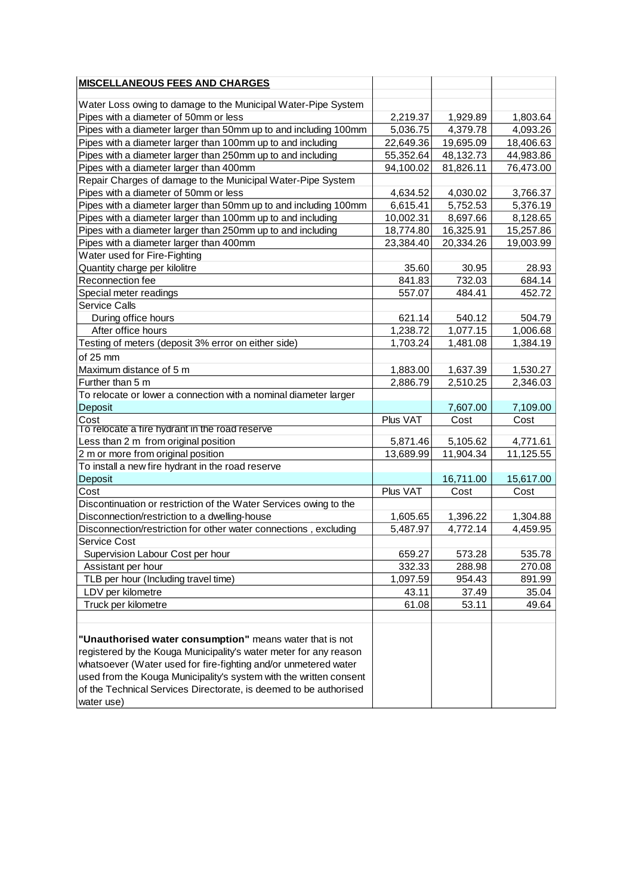| <b>MISCELLANEOUS FEES AND CHARGES</b>                                                                                      |                        |                       |                       |
|----------------------------------------------------------------------------------------------------------------------------|------------------------|-----------------------|-----------------------|
|                                                                                                                            |                        |                       |                       |
| Water Loss owing to damage to the Municipal Water-Pipe System                                                              |                        |                       |                       |
| Pipes with a diameter of 50mm or less                                                                                      | 2,219.37<br>5,036.75   | 1,929.89<br>4,379.78  | 1,803.64<br>4,093.26  |
| Pipes with a diameter larger than 50mm up to and including 100mm                                                           |                        |                       |                       |
| Pipes with a diameter larger than 100mm up to and including                                                                | 22,649.36              | 19,695.09             | 18,406.63             |
| Pipes with a diameter larger than 250mm up to and including                                                                | 55,352.64              | 48,132.73             | 44,983.86             |
| Pipes with a diameter larger than 400mm                                                                                    | 94,100.02              | 81,826.11             | 76,473.00             |
| Repair Charges of damage to the Municipal Water-Pipe System                                                                |                        |                       |                       |
| Pipes with a diameter of 50mm or less<br>Pipes with a diameter larger than 50mm up to and including 100mm                  | 4,634.52<br>6,615.41   | 4,030.02<br>5,752.53  | 3,766.37<br>5,376.19  |
|                                                                                                                            |                        |                       |                       |
| Pipes with a diameter larger than 100mm up to and including<br>Pipes with a diameter larger than 250mm up to and including | 10,002.31<br>18,774.80 | 8,697.66<br>16,325.91 | 8,128.65<br>15,257.86 |
| Pipes with a diameter larger than 400mm                                                                                    | 23,384.40              | 20,334.26             | 19,003.99             |
| Water used for Fire-Fighting                                                                                               |                        |                       |                       |
|                                                                                                                            |                        |                       |                       |
| Quantity charge per kilolitre<br>Reconnection fee                                                                          | 35.60<br>841.83        | 30.95<br>732.03       | 28.93<br>684.14       |
| Special meter readings                                                                                                     | 557.07                 | 484.41                | 452.72                |
| <b>Service Calls</b>                                                                                                       |                        |                       |                       |
| During office hours                                                                                                        | 621.14                 | 540.12                | 504.79                |
| After office hours                                                                                                         | 1,238.72               | 1,077.15              | 1,006.68              |
| Testing of meters (deposit 3% error on either side)                                                                        | 1,703.24               | 1,481.08              | 1,384.19              |
|                                                                                                                            |                        |                       |                       |
| of 25 mm                                                                                                                   |                        |                       |                       |
| Maximum distance of 5 m<br>Further than 5 m                                                                                | 1,883.00<br>2,886.79   | 1,637.39<br>2,510.25  | 1,530.27              |
|                                                                                                                            |                        |                       | 2,346.03              |
| To relocate or lower a connection with a nominal diameter larger<br>Deposit                                                |                        |                       |                       |
| Cost                                                                                                                       | Plus VAT               | 7,607.00<br>Cost      | 7,109.00<br>Cost      |
| To relocate a fire hydrant in the road reserve                                                                             |                        |                       |                       |
| Less than 2 m from original position                                                                                       | 5,871.46               | 5,105.62              | 4,771.61              |
| 2 m or more from original position                                                                                         | 13,689.99              | 11,904.34             | 11,125.55             |
| To install a new fire hydrant in the road reserve                                                                          |                        |                       |                       |
| Deposit                                                                                                                    |                        | 16,711.00             | 15,617.00             |
| Cost                                                                                                                       | Plus VAT               | Cost                  | Cost                  |
| Discontinuation or restriction of the Water Services owing to the                                                          |                        |                       |                       |
| Disconnection/restriction to a dwelling-house                                                                              | 1,605.65               | 1,396.22              | 1,304.88              |
| Disconnection/restriction for other water connections, excluding                                                           | 5,487.97               | 4,772.14              | 4,459.95              |
| Service Cost                                                                                                               |                        |                       |                       |
| Supervision Labour Cost per hour                                                                                           | 659.27                 | 573.28                | 535.78                |
| Assistant per hour                                                                                                         | 332.33                 | 288.98                | 270.08                |
| TLB per hour (Including travel time)                                                                                       | 1,097.59               | 954.43                | 891.99                |
| LDV per kilometre                                                                                                          | 43.11                  | 37.49                 | 35.04                 |
| Truck per kilometre                                                                                                        | 61.08                  | 53.11                 | 49.64                 |
|                                                                                                                            |                        |                       |                       |
|                                                                                                                            |                        |                       |                       |
| "Unauthorised water consumption" means water that is not                                                                   |                        |                       |                       |
| registered by the Kouga Municipality's water meter for any reason                                                          |                        |                       |                       |
| whatsoever (Water used for fire-fighting and/or unmetered water                                                            |                        |                       |                       |
| used from the Kouga Municipality's system with the written consent                                                         |                        |                       |                       |
| of the Technical Services Directorate, is deemed to be authorised                                                          |                        |                       |                       |
| water use)                                                                                                                 |                        |                       |                       |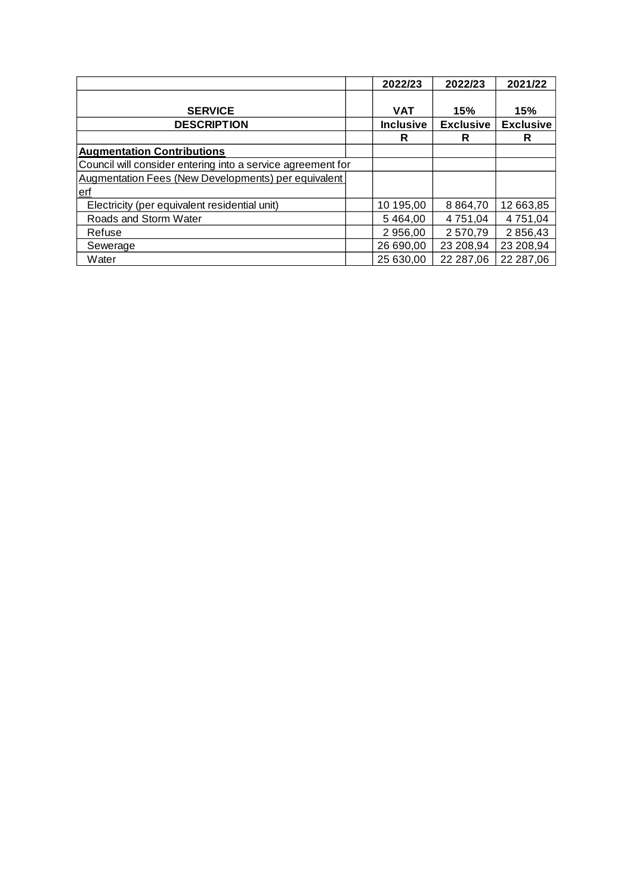|                                                             | 2022/23          | 2022/23          | 2021/22          |
|-------------------------------------------------------------|------------------|------------------|------------------|
| <b>SERVICE</b>                                              | <b>VAT</b>       | 15%              | 15%              |
| <b>DESCRIPTION</b>                                          | <b>Inclusive</b> | <b>Exclusive</b> | <b>Exclusive</b> |
|                                                             | R                | R                | R                |
| <b>Augmentation Contributions</b>                           |                  |                  |                  |
| Council will consider entering into a service agreement for |                  |                  |                  |
| Augmentation Fees (New Developments) per equivalent         |                  |                  |                  |
| erf                                                         |                  |                  |                  |
| Electricity (per equivalent residential unit)               | 10 195,00        | 8 8 6 4 7 0      | 12 663,85        |
| Roads and Storm Water                                       | 5 4 6 4 ,00      | 4 751,04         | 4 751,04         |
| Refuse                                                      | 2 956,00         | 2570.79          | 2856,43          |
| Sewerage                                                    | 26 690,00        | 23 208,94        | 23 208,94        |
| Water                                                       | 25 630,00        | 22 287,06        | 22 287,06        |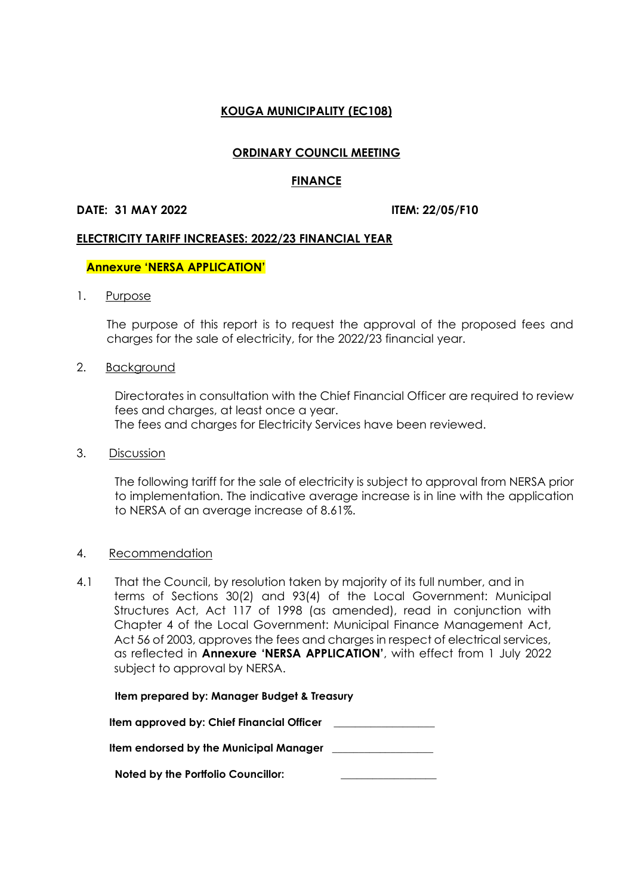# **ORDINARY COUNCIL MEETING**

#### **FINANCE**

#### **DATE: 31 MAY 2022 ITEM: 22/05/F10**

#### **ELECTRICITY TARIFF INCREASES: 2022/23 FINANCIAL YEAR**

#### **Annexure 'NERSA APPLICATION'**

1. Purpose

The purpose of this report is to request the approval of the proposed fees and charges for the sale of electricity, for the 2022/23 financial year.

#### 2. Background

Directorates in consultation with the Chief Financial Officer are required to review fees and charges, at least once a year. The fees and charges for Electricity Services have been reviewed.

3. Discussion

The following tariff for the sale of electricity is subject to approval from NERSA prior to implementation. The indicative average increase is in line with the application to NERSA of an average increase of 8.61%.

#### 4. Recommendation

4.1 That the Council, by resolution taken by majority of its full number, and in terms of Sections 30(2) and 93(4) of the Local Government: Municipal Structures Act, Act 117 of 1998 (as amended), read in conjunction with Chapter 4 of the Local Government: Municipal Finance Management Act, Act 56 of 2003, approves the fees and charges in respect of electrical services, as reflected in **Annexure 'NERSA APPLICATION'**, with effect from 1 July 2022 subject to approval by NERSA.

# **Item prepared by: Manager Budget & Treasury**

| Item approved by: Chief Financial Officer |  |
|-------------------------------------------|--|
|-------------------------------------------|--|

 **Item endorsed by the Municipal Manager \_\_\_\_\_\_\_\_\_\_\_\_\_\_\_\_\_\_\_**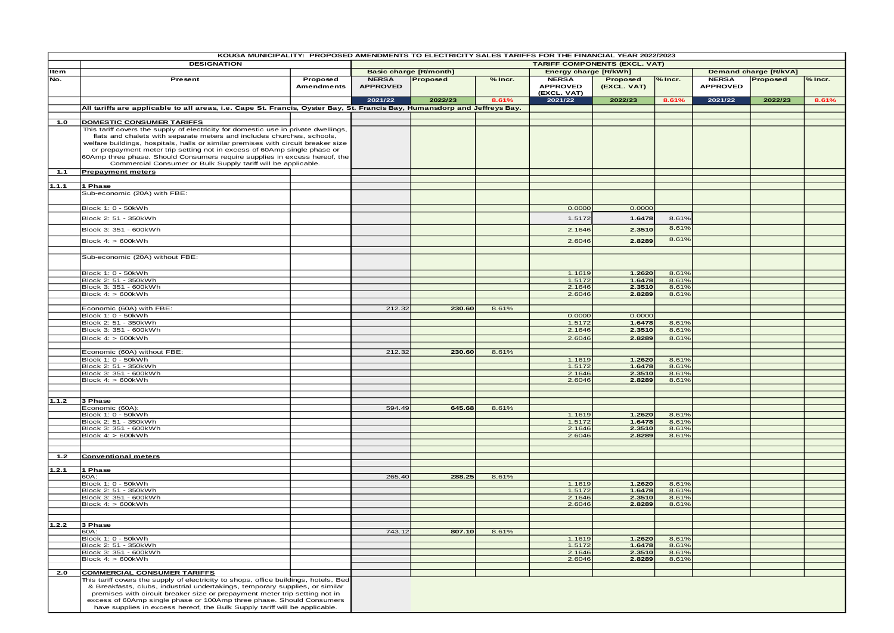|             | KOUGA MUNICIPALITY: PROPOSED AMENDMENTS TO ELECTRICITY SALES TARIFFS FOR THE FINANCIAL YEAR 2022/2023                                                                                                                                                                                                                                                                                                    |                               |                                 |          |         |                                 |                                      |                |                                 |                       |         |
|-------------|----------------------------------------------------------------------------------------------------------------------------------------------------------------------------------------------------------------------------------------------------------------------------------------------------------------------------------------------------------------------------------------------------------|-------------------------------|---------------------------------|----------|---------|---------------------------------|--------------------------------------|----------------|---------------------------------|-----------------------|---------|
|             | <b>DESIGNATION</b>                                                                                                                                                                                                                                                                                                                                                                                       |                               |                                 |          |         |                                 | <b>TARIFF COMPONENTS (EXCL. VAT)</b> |                |                                 |                       |         |
| <b>Item</b> |                                                                                                                                                                                                                                                                                                                                                                                                          |                               | <b>Basic charge [R/month]</b>   |          |         | Energy charge [R/kWh]           |                                      |                |                                 | Demand charge [R/kVA] |         |
| No.         | Present                                                                                                                                                                                                                                                                                                                                                                                                  | Proposed<br><b>Amendments</b> | <b>NERSA</b><br><b>APPROVED</b> | Proposed | % Incr. | <b>NERSA</b><br><b>APPROVED</b> | Proposed<br>(EXCL. VAT)              | % Incr.        | <b>NERSA</b><br><b>APPROVED</b> | Proposed              | % Incr. |
|             |                                                                                                                                                                                                                                                                                                                                                                                                          |                               | 2021/22                         | 2022/23  | 8.61%   | (EXCL. VAT)<br>2021/22          | 2022/23                              | 8.61%          | 2021/22                         | 2022/23               | 8.61%   |
|             | All tariffs are applicable to all areas, i.e. Cape St. Francis, Oyster Bay, St. Francis Bay, Humansdorp and Jeffreys Bay.                                                                                                                                                                                                                                                                                |                               |                                 |          |         |                                 |                                      |                |                                 |                       |         |
|             |                                                                                                                                                                                                                                                                                                                                                                                                          |                               |                                 |          |         |                                 |                                      |                |                                 |                       |         |
| 1.0         | <b>DOMESTIC CONSUMER TARIFFS</b>                                                                                                                                                                                                                                                                                                                                                                         |                               |                                 |          |         |                                 |                                      |                |                                 |                       |         |
|             | This tariff covers the supply of electricity for domestic use in private dwellings.                                                                                                                                                                                                                                                                                                                      |                               |                                 |          |         |                                 |                                      |                |                                 |                       |         |
|             | flats and chalets with separate meters and includes churches, schools,<br>welfare buildings, hospitals, halls or similar premises with circuit breaker size                                                                                                                                                                                                                                              |                               |                                 |          |         |                                 |                                      |                |                                 |                       |         |
|             | or prepayment meter trip setting not in excess of 60Amp single phase or                                                                                                                                                                                                                                                                                                                                  |                               |                                 |          |         |                                 |                                      |                |                                 |                       |         |
|             | 60Amp three phase. Should Consumers require supplies in excess hereof, the                                                                                                                                                                                                                                                                                                                               |                               |                                 |          |         |                                 |                                      |                |                                 |                       |         |
|             | Commercial Consumer or Bulk Supply tariff will be applicable.                                                                                                                                                                                                                                                                                                                                            |                               |                                 |          |         |                                 |                                      |                |                                 |                       |         |
| 1.1         | <b>Prepayment meters</b>                                                                                                                                                                                                                                                                                                                                                                                 |                               |                                 |          |         |                                 |                                      |                |                                 |                       |         |
|             |                                                                                                                                                                                                                                                                                                                                                                                                          |                               |                                 |          |         |                                 |                                      |                |                                 |                       |         |
| 1.1.1       | 1 Phase                                                                                                                                                                                                                                                                                                                                                                                                  |                               |                                 |          |         |                                 |                                      |                |                                 |                       |         |
|             | Sub-economic (20A) with FBE:                                                                                                                                                                                                                                                                                                                                                                             |                               |                                 |          |         |                                 |                                      |                |                                 |                       |         |
|             | Block 1: 0 - 50kWh                                                                                                                                                                                                                                                                                                                                                                                       |                               |                                 |          |         | 0.0000                          | 0.0000                               |                |                                 |                       |         |
|             |                                                                                                                                                                                                                                                                                                                                                                                                          |                               |                                 |          |         |                                 |                                      |                |                                 |                       |         |
|             | Block 2: 51 - 350kWh                                                                                                                                                                                                                                                                                                                                                                                     |                               |                                 |          |         | 1.5172                          | 1.6478                               | 8.61%          |                                 |                       |         |
|             | Block 3: 351 - 600kWh                                                                                                                                                                                                                                                                                                                                                                                    |                               |                                 |          |         | 2.1646                          | 2.3510                               | 8.61%          |                                 |                       |         |
|             | Block 4: > 600kWh                                                                                                                                                                                                                                                                                                                                                                                        |                               |                                 |          |         | 2.6046                          | 2.8289                               | 8.61%          |                                 |                       |         |
|             |                                                                                                                                                                                                                                                                                                                                                                                                          |                               |                                 |          |         |                                 |                                      |                |                                 |                       |         |
|             | Sub-economic (20A) without FBE:                                                                                                                                                                                                                                                                                                                                                                          |                               |                                 |          |         |                                 |                                      |                |                                 |                       |         |
|             |                                                                                                                                                                                                                                                                                                                                                                                                          |                               |                                 |          |         |                                 |                                      |                |                                 |                       |         |
|             | Block 1: 0 - 50kWh                                                                                                                                                                                                                                                                                                                                                                                       |                               |                                 |          |         | 1.1619                          | 1.2620                               | 8.61%          |                                 |                       |         |
|             | Block 2: 51 - 350kWh                                                                                                                                                                                                                                                                                                                                                                                     |                               |                                 |          |         | 1.5172                          | 1.6478                               | 8.61%          |                                 |                       |         |
|             | Block 3: 351 - 600kWh                                                                                                                                                                                                                                                                                                                                                                                    |                               |                                 |          |         | 2.1646                          | 2.3510                               | 8.61%          |                                 |                       |         |
|             | Block 4: > 600kWh                                                                                                                                                                                                                                                                                                                                                                                        |                               |                                 |          |         | 2.6046                          | 2.8289                               | 8.61%          |                                 |                       |         |
|             |                                                                                                                                                                                                                                                                                                                                                                                                          |                               |                                 |          |         |                                 |                                      |                |                                 |                       |         |
|             | Economic (60A) with FBE:<br>Block 1: 0 - 50kWh                                                                                                                                                                                                                                                                                                                                                           |                               | 212.32                          | 230.60   | 8.61%   | 0.0000                          | 0.0000                               |                |                                 |                       |         |
|             | Block 2: 51 - 350kWh                                                                                                                                                                                                                                                                                                                                                                                     |                               |                                 |          |         | 1.5172                          | 1.6478                               | 8.61%          |                                 |                       |         |
|             | Block 3: 351 - 600kWh                                                                                                                                                                                                                                                                                                                                                                                    |                               |                                 |          |         | 2.1646                          | 2.3510                               | 8.61%          |                                 |                       |         |
|             | Block 4: > 600kWh                                                                                                                                                                                                                                                                                                                                                                                        |                               |                                 |          |         | 2.6046                          | 2.8289                               | 8.61%          |                                 |                       |         |
|             |                                                                                                                                                                                                                                                                                                                                                                                                          |                               |                                 |          |         |                                 |                                      |                |                                 |                       |         |
|             | Economic (60A) without FBE:                                                                                                                                                                                                                                                                                                                                                                              |                               | 212.32                          | 230.60   | 8.61%   |                                 |                                      |                |                                 |                       |         |
|             | Block 1: 0 - 50kWh<br>Block 2: 51 - 350kWh                                                                                                                                                                                                                                                                                                                                                               |                               |                                 |          |         | 1.1619<br>1.5172                | 1.2620<br>1.6478                     | 8.61%<br>8.61% |                                 |                       |         |
|             | Block 3: 351 - 600kWh                                                                                                                                                                                                                                                                                                                                                                                    |                               |                                 |          |         | 2.1646                          | 2.3510                               | 8.61%          |                                 |                       |         |
|             | Block 4: > 600kWh                                                                                                                                                                                                                                                                                                                                                                                        |                               |                                 |          |         | 2.6046                          | 2.8289                               | 8.61%          |                                 |                       |         |
|             |                                                                                                                                                                                                                                                                                                                                                                                                          |                               |                                 |          |         |                                 |                                      |                |                                 |                       |         |
|             |                                                                                                                                                                                                                                                                                                                                                                                                          |                               |                                 |          |         |                                 |                                      |                |                                 |                       |         |
| 1.1.2       | 3 Phase<br>Economic (60A):                                                                                                                                                                                                                                                                                                                                                                               |                               | 594.49                          | 645.68   | 8.61%   |                                 |                                      |                |                                 |                       |         |
|             | Block 1: 0 - 50kWh                                                                                                                                                                                                                                                                                                                                                                                       |                               |                                 |          |         | 1.1619                          | 1.2620                               | 8.61%          |                                 |                       |         |
|             | Block 2: 51 - 350kWh                                                                                                                                                                                                                                                                                                                                                                                     |                               |                                 |          |         | 1.5172                          | 1.6478                               | 8.61%          |                                 |                       |         |
|             | Block 3: 351 - 600kWh                                                                                                                                                                                                                                                                                                                                                                                    |                               |                                 |          |         | 2.1646                          | 2.3510                               | 8.61%          |                                 |                       |         |
|             | Block 4: > 600kWh                                                                                                                                                                                                                                                                                                                                                                                        |                               |                                 |          |         | 2.6046                          | 2.8289                               | 8.61%          |                                 |                       |         |
|             |                                                                                                                                                                                                                                                                                                                                                                                                          |                               |                                 |          |         |                                 |                                      |                |                                 |                       |         |
| 1.2         | <b>Conventional meters</b>                                                                                                                                                                                                                                                                                                                                                                               |                               |                                 |          |         |                                 |                                      |                |                                 |                       |         |
|             |                                                                                                                                                                                                                                                                                                                                                                                                          |                               |                                 |          |         |                                 |                                      |                |                                 |                       |         |
| 1.2.1       | 1 Phase                                                                                                                                                                                                                                                                                                                                                                                                  |                               |                                 |          |         |                                 |                                      |                |                                 |                       |         |
|             | 60A:<br>Block 1: 0 - 50kWh                                                                                                                                                                                                                                                                                                                                                                               |                               | 265.40                          | 288.25   | 8.61%   | 1.1619                          | 1.2620                               | 8.61%          |                                 |                       |         |
|             | Block 2: 51 - 350kWh                                                                                                                                                                                                                                                                                                                                                                                     |                               |                                 |          |         | 1.5172                          | 1.6478                               | 8.61%          |                                 |                       |         |
|             | Block 3: 351 - 600kWh                                                                                                                                                                                                                                                                                                                                                                                    |                               |                                 |          |         | 2.1646                          | 2.3510                               | 8.61%          |                                 |                       |         |
|             | Block 4: > 600kWh                                                                                                                                                                                                                                                                                                                                                                                        |                               |                                 |          |         | 2.6046                          | 2.8289                               | 8.61%          |                                 |                       |         |
|             |                                                                                                                                                                                                                                                                                                                                                                                                          |                               |                                 |          |         |                                 |                                      |                |                                 |                       |         |
| 1.2.2       | 3 Phase                                                                                                                                                                                                                                                                                                                                                                                                  |                               |                                 |          |         |                                 |                                      |                |                                 |                       |         |
|             | 60A:                                                                                                                                                                                                                                                                                                                                                                                                     |                               | 743.12                          | 807.10   | 8.61%   |                                 |                                      |                |                                 |                       |         |
|             | Block 1: 0 - 50kWh                                                                                                                                                                                                                                                                                                                                                                                       |                               |                                 |          |         | 1.1619                          | 1.2620                               | 8.61%          |                                 |                       |         |
|             | Block 2: 51 - 350kWh                                                                                                                                                                                                                                                                                                                                                                                     |                               |                                 |          |         | 1.5172                          | 1.6478                               | 8.61%          |                                 |                       |         |
|             | Block 3: 351 - 600kWh<br>Block 4: > 600kWh                                                                                                                                                                                                                                                                                                                                                               |                               |                                 |          |         | 2.1646<br>2.6046                | 2.3510<br>2.8289                     | 8.61%<br>8.61% |                                 |                       |         |
|             |                                                                                                                                                                                                                                                                                                                                                                                                          |                               |                                 |          |         |                                 |                                      |                |                                 |                       |         |
| 2.0         | <b>COMMERCIAL CONSUMER TARIFFS</b>                                                                                                                                                                                                                                                                                                                                                                       |                               |                                 |          |         |                                 |                                      |                |                                 |                       |         |
|             | This tariff covers the supply of electricity to shops, office buildings, hotels, Bed<br>& Breakfasts, clubs, industrial undertakings, temporary supplies, or similar<br>premises with circuit breaker size or prepayment meter trip setting not in<br>excess of 60Amp single phase or 100Amp three phase. Should Consumers<br>have supplies in excess hereof, the Bulk Supply tariff will be applicable. |                               |                                 |          |         |                                 |                                      |                |                                 |                       |         |
|             |                                                                                                                                                                                                                                                                                                                                                                                                          |                               |                                 |          |         |                                 |                                      |                |                                 |                       |         |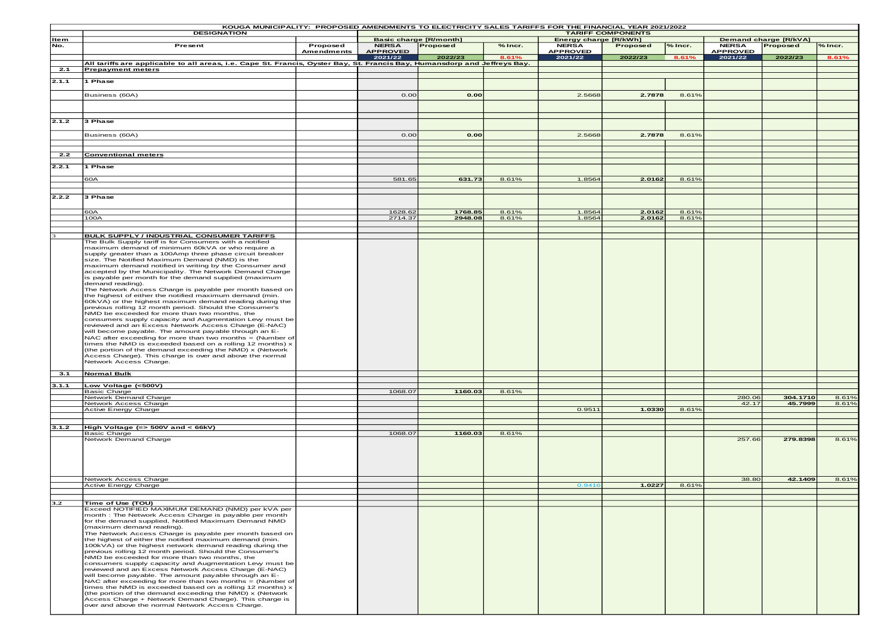|       | KOUGA MUNICIPALITY: PROPOSED AMENDMENTS TO ELECTRICITY SALES TARIFFS FOR THE FINANCIAL YEAR 2021/2022<br><b>TARIFF COMPONENTS</b> |            |                 |                                           |         |                 |                                                       |         |                 |                     |                |  |
|-------|-----------------------------------------------------------------------------------------------------------------------------------|------------|-----------------|-------------------------------------------|---------|-----------------|-------------------------------------------------------|---------|-----------------|---------------------|----------------|--|
| Item  | <b>DESIGNATION</b>                                                                                                                |            |                 |                                           |         |                 | Energy charge [R/kWh]<br><b>Demand charge [R/kVA]</b> |         |                 |                     |                |  |
| No.   | Present                                                                                                                           | Proposed   | <b>NERSA</b>    | <b>Basic charge [R/month]</b><br>Proposed | % Incr. | <b>NERSA</b>    | Proposed                                              | % Incr. | <b>NERSA</b>    | Proposed            | % Incr.        |  |
|       |                                                                                                                                   | Amendments | <b>APPROVED</b> |                                           |         | <b>APPROVED</b> |                                                       |         | <b>APPROVED</b> |                     |                |  |
|       |                                                                                                                                   |            | 2021/22         | 2022/23                                   | 8.61%   | 2021/22         | 2022/23                                               | 8.61%   | 2021/22         | 2022/23             | 8.61%          |  |
|       | All tariffs are applicable to all areas, i.e. Cape St. Francis, Oyster Bay, St. Francis Bay, Humansdorp and Jeffreys Bay.         |            |                 |                                           |         |                 |                                                       |         |                 |                     |                |  |
| 2.1   | <b>Prepayment meters</b>                                                                                                          |            |                 |                                           |         |                 |                                                       |         |                 |                     |                |  |
|       |                                                                                                                                   |            |                 |                                           |         |                 |                                                       |         |                 |                     |                |  |
| 2.1.1 | 1 Phase                                                                                                                           |            |                 |                                           |         |                 |                                                       |         |                 |                     |                |  |
|       | Business (60A)                                                                                                                    |            | 0.00            | 0.00                                      |         | 2.5668          | 2.7878                                                | 8.61%   |                 |                     |                |  |
|       |                                                                                                                                   |            |                 |                                           |         |                 |                                                       |         |                 |                     |                |  |
|       |                                                                                                                                   |            |                 |                                           |         |                 |                                                       |         |                 |                     |                |  |
|       |                                                                                                                                   |            |                 |                                           |         |                 |                                                       |         |                 |                     |                |  |
| 2.1.2 | 3 Phase                                                                                                                           |            |                 |                                           |         |                 |                                                       |         |                 |                     |                |  |
|       |                                                                                                                                   |            |                 |                                           |         |                 |                                                       |         |                 |                     |                |  |
|       | Business (60A)                                                                                                                    |            | 0.00            | 0.00                                      |         | 2.5668          | 2.7878                                                | 8.61%   |                 |                     |                |  |
|       |                                                                                                                                   |            |                 |                                           |         |                 |                                                       |         |                 |                     |                |  |
|       |                                                                                                                                   |            |                 |                                           |         |                 |                                                       |         |                 |                     |                |  |
| 2.2   | <b>Conventional meters</b>                                                                                                        |            |                 |                                           |         |                 |                                                       |         |                 |                     |                |  |
| 2.2.1 | 1 Phase                                                                                                                           |            |                 |                                           |         |                 |                                                       |         |                 |                     |                |  |
|       |                                                                                                                                   |            |                 |                                           |         |                 |                                                       |         |                 |                     |                |  |
|       | 60A                                                                                                                               |            | 581.65          | 631.73                                    | 8.61%   | 1.8564          | 2.0162                                                | 8.61%   |                 |                     |                |  |
|       |                                                                                                                                   |            |                 |                                           |         |                 |                                                       |         |                 |                     |                |  |
| 2.2.2 | 3 Phase                                                                                                                           |            |                 |                                           |         |                 |                                                       |         |                 |                     |                |  |
|       |                                                                                                                                   |            |                 |                                           |         |                 |                                                       |         |                 |                     |                |  |
|       | 60A                                                                                                                               |            | 1628.62         | 1768.85                                   | 8.61%   | 1.8564          | 2.0162                                                | 8.61%   |                 |                     |                |  |
|       | 100A                                                                                                                              |            | 2714.37         | 2948.08                                   | 8.61%   | 1.8564          | 2.0162                                                | 8.61%   |                 |                     |                |  |
|       |                                                                                                                                   |            |                 |                                           |         |                 |                                                       |         |                 |                     |                |  |
|       |                                                                                                                                   |            |                 |                                           |         |                 |                                                       |         |                 |                     |                |  |
|       | <b>BULK SUPPLY / INDUSTRIAL CONSUMER TARIFFS</b>                                                                                  |            |                 |                                           |         |                 |                                                       |         |                 |                     |                |  |
|       | The Bulk Supply tariff is for Consumers with a notified<br>maximum demand of minimum 60kVA or who require a                       |            |                 |                                           |         |                 |                                                       |         |                 |                     |                |  |
|       | supply greater than a 100Amp three phase circuit breaker                                                                          |            |                 |                                           |         |                 |                                                       |         |                 |                     |                |  |
|       | size. The Notified Maximum Demand (NMD) is the                                                                                    |            |                 |                                           |         |                 |                                                       |         |                 |                     |                |  |
|       | maximum demand notified in writing by the Consumer and                                                                            |            |                 |                                           |         |                 |                                                       |         |                 |                     |                |  |
|       | accepted by the Municipality. The Network Demand Charge                                                                           |            |                 |                                           |         |                 |                                                       |         |                 |                     |                |  |
|       | s payable per month for the demand supplied (maximum                                                                              |            |                 |                                           |         |                 |                                                       |         |                 |                     |                |  |
|       | demand reading).<br>The Network Access Charge is payable per month based on                                                       |            |                 |                                           |         |                 |                                                       |         |                 |                     |                |  |
|       | the highest of either the notified maximum demand (min.                                                                           |            |                 |                                           |         |                 |                                                       |         |                 |                     |                |  |
|       | 60kVA) or the highest maximum demand reading during the                                                                           |            |                 |                                           |         |                 |                                                       |         |                 |                     |                |  |
|       | previous rolling 12 month period. Should the Consumer's                                                                           |            |                 |                                           |         |                 |                                                       |         |                 |                     |                |  |
|       | NMD be exceeded for more than two months, the                                                                                     |            |                 |                                           |         |                 |                                                       |         |                 |                     |                |  |
|       | consumers supply capacity and Augmentation Levy must be<br>reviewed and an Excess Network Access Charge (E-NAC)                   |            |                 |                                           |         |                 |                                                       |         |                 |                     |                |  |
|       | will become payable. The amount payable through an E-                                                                             |            |                 |                                           |         |                 |                                                       |         |                 |                     |                |  |
|       | NAC after exceeding for more than two months $=$ (Number of                                                                       |            |                 |                                           |         |                 |                                                       |         |                 |                     |                |  |
|       | times the NMD is exceeded based on a rolling 12 months) x                                                                         |            |                 |                                           |         |                 |                                                       |         |                 |                     |                |  |
|       | (the portion of the demand exceeding the NMD) x (Network                                                                          |            |                 |                                           |         |                 |                                                       |         |                 |                     |                |  |
|       | Access Charge). This charge is over and above the normal                                                                          |            |                 |                                           |         |                 |                                                       |         |                 |                     |                |  |
|       | Network Access Charge.                                                                                                            |            |                 |                                           |         |                 |                                                       |         |                 |                     |                |  |
| 3.1   | <b>Normal Bulk</b>                                                                                                                |            |                 |                                           |         |                 |                                                       |         |                 |                     |                |  |
|       |                                                                                                                                   |            |                 |                                           |         |                 |                                                       |         |                 |                     |                |  |
| 3.1.1 | Low Voltage (<500V)                                                                                                               |            |                 |                                           |         |                 |                                                       |         |                 |                     |                |  |
|       | <b>Basic Charge</b>                                                                                                               |            | 1068.07         | 1160.03                                   | 8.61%   |                 |                                                       |         |                 |                     |                |  |
|       | Network Demand Charge<br>Network Access Charge                                                                                    |            |                 |                                           |         |                 |                                                       |         | 280.06<br>42.17 | 304.1710<br>45.7999 | 8.61%<br>8.61% |  |
|       | Active Energy Charge                                                                                                              |            |                 |                                           |         | 0.9511          | 1.0330                                                | 8.61%   |                 |                     |                |  |
|       |                                                                                                                                   |            |                 |                                           |         |                 |                                                       |         |                 |                     |                |  |
|       |                                                                                                                                   |            |                 |                                           |         |                 |                                                       |         |                 |                     |                |  |
| 3.1.2 | High Voltage (=> $500V$ and < $66kV$ )                                                                                            |            |                 |                                           |         |                 |                                                       |         |                 |                     |                |  |
|       | <b>Basic Charge</b><br>Network Demand Charge                                                                                      |            | 1068.07         | 1160.03                                   | 8.61%   |                 |                                                       |         | 257.66          | 279.8398            | 8.61%          |  |
|       |                                                                                                                                   |            |                 |                                           |         |                 |                                                       |         |                 |                     |                |  |
|       |                                                                                                                                   |            |                 |                                           |         |                 |                                                       |         |                 |                     |                |  |
|       |                                                                                                                                   |            |                 |                                           |         |                 |                                                       |         |                 |                     |                |  |
|       |                                                                                                                                   |            |                 |                                           |         |                 |                                                       |         |                 |                     |                |  |
|       |                                                                                                                                   |            |                 |                                           |         |                 |                                                       |         |                 |                     |                |  |
|       | Network Access Charge                                                                                                             |            |                 |                                           |         |                 |                                                       |         | 38.80           | 42.1409             | 8.61%          |  |
|       | <b>Active Energy Charge</b>                                                                                                       |            |                 |                                           |         | 0.941           | 1.0227                                                | 8.61%   |                 |                     |                |  |
|       |                                                                                                                                   |            |                 |                                           |         |                 |                                                       |         |                 |                     |                |  |
| 3.2   | Time of Use (TOU)                                                                                                                 |            |                 |                                           |         |                 |                                                       |         |                 |                     |                |  |
|       | Exceed NOTIFIED MAXIMUM DEMAND (NMD) per kVA per                                                                                  |            |                 |                                           |         |                 |                                                       |         |                 |                     |                |  |
|       | month : The Network Access Charge is payable per month                                                                            |            |                 |                                           |         |                 |                                                       |         |                 |                     |                |  |
|       | for the demand supplied, Notified Maximum Demand NMD                                                                              |            |                 |                                           |         |                 |                                                       |         |                 |                     |                |  |
|       | (maximum demand reading).                                                                                                         |            |                 |                                           |         |                 |                                                       |         |                 |                     |                |  |
|       | The Network Access Charge is payable per month based on<br>the highest of either the notified maximum demand (min.                |            |                 |                                           |         |                 |                                                       |         |                 |                     |                |  |
|       | 100kVA) or the highest network demand reading during the                                                                          |            |                 |                                           |         |                 |                                                       |         |                 |                     |                |  |
|       | previous rolling 12 month period. Should the Consumer's                                                                           |            |                 |                                           |         |                 |                                                       |         |                 |                     |                |  |
|       | NMD be exceeded for more than two months, the                                                                                     |            |                 |                                           |         |                 |                                                       |         |                 |                     |                |  |
|       | consumers supply capacity and Augmentation Levy must be                                                                           |            |                 |                                           |         |                 |                                                       |         |                 |                     |                |  |
|       | reviewed and an Excess Network Access Charge (E-NAC)<br>will become payable. The amount payable through an E-                     |            |                 |                                           |         |                 |                                                       |         |                 |                     |                |  |
|       | NAC after exceeding for more than two months $=$ (Number of                                                                       |            |                 |                                           |         |                 |                                                       |         |                 |                     |                |  |
|       | times the NMD is exceeded based on a rolling 12 months) x                                                                         |            |                 |                                           |         |                 |                                                       |         |                 |                     |                |  |
|       | (the portion of the demand exceeding the NMD) x (Network                                                                          |            |                 |                                           |         |                 |                                                       |         |                 |                     |                |  |
|       | Access Charge + Network Demand Charge). This charge is                                                                            |            |                 |                                           |         |                 |                                                       |         |                 |                     |                |  |
|       | over and above the normal Network Access Charge.                                                                                  |            |                 |                                           |         |                 |                                                       |         |                 |                     |                |  |
|       |                                                                                                                                   |            |                 |                                           |         |                 |                                                       |         |                 |                     |                |  |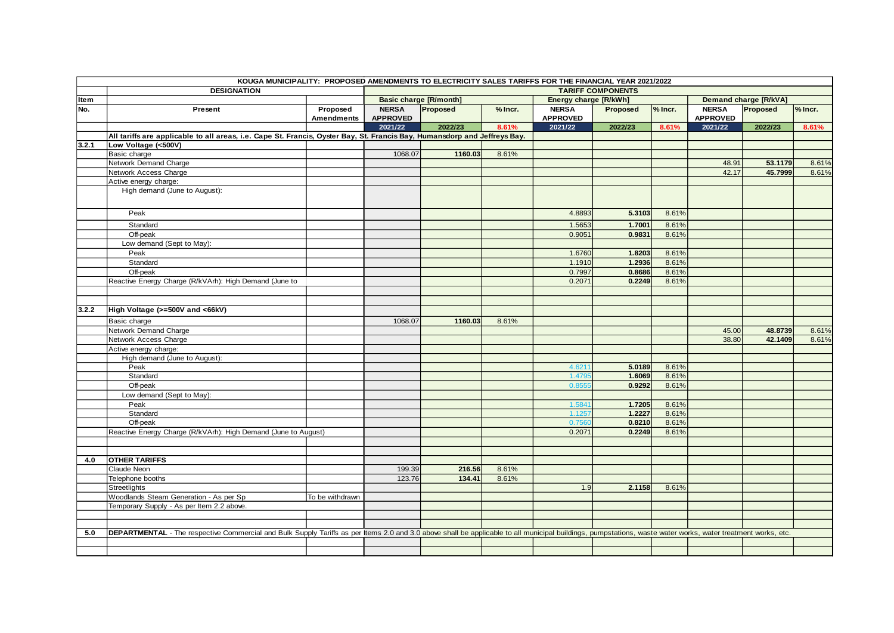|       |                                                                                                                                                                                                              | KOUGA MUNICIPALITY: PROPOSED AMENDMENTS TO ELECTRICITY SALES TARIFFS FOR THE FINANCIAL YEAR 2021/2022 |                               |          |         |                       |          |         |                 |                              |         |
|-------|--------------------------------------------------------------------------------------------------------------------------------------------------------------------------------------------------------------|-------------------------------------------------------------------------------------------------------|-------------------------------|----------|---------|-----------------------|----------|---------|-----------------|------------------------------|---------|
|       | <b>DESIGNATION</b>                                                                                                                                                                                           |                                                                                                       | <b>TARIFF COMPONENTS</b>      |          |         |                       |          |         |                 |                              |         |
| Item  |                                                                                                                                                                                                              |                                                                                                       | <b>Basic charge [R/month]</b> |          |         | Energy charge [R/kWh] |          |         |                 | <b>Demand charge [R/kVA]</b> |         |
| No.   | Present                                                                                                                                                                                                      | Proposed                                                                                              | <b>NERSA</b>                  | Proposed | % Incr. | <b>NERSA</b>          | Proposed | % Incr. | <b>NERSA</b>    | Proposed                     | % Incr. |
|       |                                                                                                                                                                                                              | <b>Amendments</b>                                                                                     | <b>APPROVED</b>               |          |         | <b>APPROVED</b>       |          |         | <b>APPROVED</b> |                              |         |
|       |                                                                                                                                                                                                              |                                                                                                       | 2021/22                       | 2022/23  | 8.61%   | 2021/22               | 2022/23  | 8.61%   | 2021/22         | 2022/23                      | 8.61%   |
|       | All tariffs are applicable to all areas, i.e. Cape St. Francis, Oyster Bay, St. Francis Bay, Humansdorp and Jeffreys Bay.                                                                                    |                                                                                                       |                               |          |         |                       |          |         |                 |                              |         |
| 3.2.1 | Low Voltage (<500V)                                                                                                                                                                                          |                                                                                                       |                               |          |         |                       |          |         |                 |                              |         |
|       | Basic charge                                                                                                                                                                                                 |                                                                                                       | 1068.07                       | 1160.03  | 8.61%   |                       |          |         |                 |                              |         |
|       | Network Demand Charge                                                                                                                                                                                        |                                                                                                       |                               |          |         |                       |          |         | 48.91           | 53.1179                      | 8.61%   |
|       | Network Access Charge                                                                                                                                                                                        |                                                                                                       |                               |          |         |                       |          |         | 42.17           | 45.7999                      | 8.61%   |
|       | Active energy charge:                                                                                                                                                                                        |                                                                                                       |                               |          |         |                       |          |         |                 |                              |         |
|       | High demand (June to August):                                                                                                                                                                                |                                                                                                       |                               |          |         |                       |          |         |                 |                              |         |
|       | Peak                                                                                                                                                                                                         |                                                                                                       |                               |          |         | 4.8893                | 5.3103   | 8.61%   |                 |                              |         |
|       | Standard                                                                                                                                                                                                     |                                                                                                       |                               |          |         | 1.5653                | 1.7001   | 8.61%   |                 |                              |         |
|       | Off-peak                                                                                                                                                                                                     |                                                                                                       |                               |          |         | 0.9051                | 0.9831   | 8.61%   |                 |                              |         |
|       | Low demand (Sept to May):                                                                                                                                                                                    |                                                                                                       |                               |          |         |                       |          |         |                 |                              |         |
|       | Peak                                                                                                                                                                                                         |                                                                                                       |                               |          |         | 1.6760                | 1.8203   | 8.61%   |                 |                              |         |
|       | Standard                                                                                                                                                                                                     |                                                                                                       |                               |          |         | 1.1910                | 1.2936   | 8.61%   |                 |                              |         |
|       | Off-peak                                                                                                                                                                                                     |                                                                                                       |                               |          |         | 0.7997                | 0.8686   | 8.61%   |                 |                              |         |
|       | Reactive Energy Charge (R/kVArh): High Demand (June to                                                                                                                                                       |                                                                                                       |                               |          |         | 0.2071                | 0.2249   | 8.61%   |                 |                              |         |
|       |                                                                                                                                                                                                              |                                                                                                       |                               |          |         |                       |          |         |                 |                              |         |
|       |                                                                                                                                                                                                              |                                                                                                       |                               |          |         |                       |          |         |                 |                              |         |
| 3.2.2 | High Voltage (>=500V and <66kV)                                                                                                                                                                              |                                                                                                       |                               |          |         |                       |          |         |                 |                              |         |
|       | Basic charge                                                                                                                                                                                                 |                                                                                                       | 1068.07                       | 1160.03  | 8.61%   |                       |          |         |                 |                              |         |
|       | Network Demand Charge                                                                                                                                                                                        |                                                                                                       |                               |          |         |                       |          |         | 45.00           | 48.8739                      | 8.61%   |
|       | Network Access Charge                                                                                                                                                                                        |                                                                                                       |                               |          |         |                       |          |         | 38.80           | 42.1409                      | 8.61%   |
|       | Active energy charge:                                                                                                                                                                                        |                                                                                                       |                               |          |         |                       |          |         |                 |                              |         |
|       | High demand (June to August):                                                                                                                                                                                |                                                                                                       |                               |          |         |                       |          |         |                 |                              |         |
|       | Peak                                                                                                                                                                                                         |                                                                                                       |                               |          |         | 4.621'                | 5.0189   | 8.61%   |                 |                              |         |
|       | Standard                                                                                                                                                                                                     |                                                                                                       |                               |          |         | 1.479                 | 1.6069   | 8.61%   |                 |                              |         |
|       | Off-peak                                                                                                                                                                                                     |                                                                                                       |                               |          |         | 0.855!                | 0.9292   | 8.61%   |                 |                              |         |
|       | Low demand (Sept to May):                                                                                                                                                                                    |                                                                                                       |                               |          |         |                       |          |         |                 |                              |         |
|       | Peak                                                                                                                                                                                                         |                                                                                                       |                               |          |         | 1.5841                | 1.7205   | 8.61%   |                 |                              |         |
|       | Standard                                                                                                                                                                                                     |                                                                                                       |                               |          |         | 1.1257                | 1.2227   | 8.61%   |                 |                              |         |
|       | Off-peak                                                                                                                                                                                                     |                                                                                                       |                               |          |         | 0.756                 | 0.8210   | 8.61%   |                 |                              |         |
|       | Reactive Energy Charge (R/kVArh): High Demand (June to August)                                                                                                                                               |                                                                                                       |                               |          |         | 0.2071                | 0.2249   | 8.61%   |                 |                              |         |
|       |                                                                                                                                                                                                              |                                                                                                       |                               |          |         |                       |          |         |                 |                              |         |
|       |                                                                                                                                                                                                              |                                                                                                       |                               |          |         |                       |          |         |                 |                              |         |
| 4.0   | <b>OTHER TARIFFS</b>                                                                                                                                                                                         |                                                                                                       |                               |          |         |                       |          |         |                 |                              |         |
|       | Claude Neon                                                                                                                                                                                                  |                                                                                                       | 199.39                        | 216.56   | 8.61%   |                       |          |         |                 |                              |         |
|       | Telephone booths                                                                                                                                                                                             |                                                                                                       | 123.76                        | 134.41   | 8.61%   |                       |          |         |                 |                              |         |
|       | <b>Streetlights</b>                                                                                                                                                                                          |                                                                                                       |                               |          |         | 1.9                   | 2.1158   | 8.61%   |                 |                              |         |
|       | Woodlands Steam Generation - As per Sp                                                                                                                                                                       | To be withdrawn                                                                                       |                               |          |         |                       |          |         |                 |                              |         |
|       | Temporary Supply - As per Item 2.2 above.                                                                                                                                                                    |                                                                                                       |                               |          |         |                       |          |         |                 |                              |         |
|       |                                                                                                                                                                                                              |                                                                                                       |                               |          |         |                       |          |         |                 |                              |         |
|       |                                                                                                                                                                                                              |                                                                                                       |                               |          |         |                       |          |         |                 |                              |         |
| 5.0   | DEPARTMENTAL - The respective Commercial and Bulk Supply Tariffs as per Items 2.0 and 3.0 above shall be applicable to all municipal buildings, pumpstations, waste water works, water treatment works, etc. |                                                                                                       |                               |          |         |                       |          |         |                 |                              |         |
|       |                                                                                                                                                                                                              |                                                                                                       |                               |          |         |                       |          |         |                 |                              |         |
|       |                                                                                                                                                                                                              |                                                                                                       |                               |          |         |                       |          |         |                 |                              |         |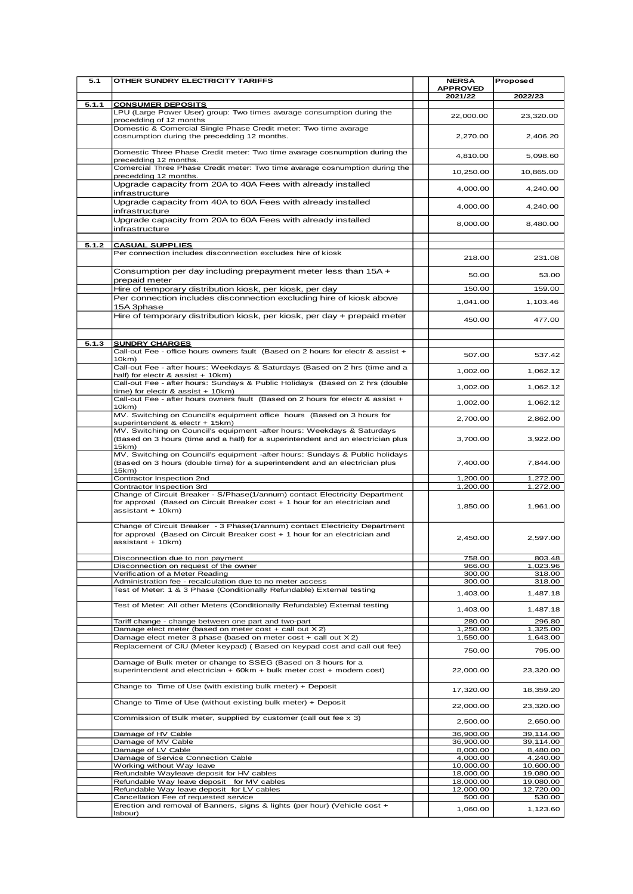| 5.1   | OTHER SUNDRY ELECTRICITY TARIFFS                                                                                                                                                               | <b>NERSA</b>               | Proposed             |
|-------|------------------------------------------------------------------------------------------------------------------------------------------------------------------------------------------------|----------------------------|----------------------|
|       |                                                                                                                                                                                                | <b>APPROVED</b><br>2021/22 | 2022/23              |
| 5.1.1 | <b>CONSUMER DEPOSITS</b>                                                                                                                                                                       |                            |                      |
|       | LPU (Large Power User) group: Two times avarage consumption during the<br>procedding of 12 months                                                                                              | 22,000.00                  | 23,320.00            |
|       | Domestic & Comercial Single Phase Credit meter: Two time avarage<br>cosnumption during the precedding 12 months.                                                                               | 2,270.00                   | 2,406.20             |
|       | Domestic Three Phase Credit meter: Two time avarage cosnumption during the<br>precedding 12 months.                                                                                            | 4,810.00                   | 5,098.60             |
|       | Comercial Three Phase Credit meter: Two time avarage cosnumption during the<br>precedding 12 months.                                                                                           | 10,250.00                  | 10,865.00            |
|       | Upgrade capacity from 20A to 40A Fees with already installed<br>infrastructure                                                                                                                 | 4,000.00                   | 4,240.00             |
|       | Upgrade capacity from 40A to 60A Fees with already installed<br>infrastructure                                                                                                                 | 4,000.00                   | 4,240.00             |
|       | Upgrade capacity from 20A to 60A Fees with already installed<br>infrastructure                                                                                                                 | 8,000.00                   | 8,480.00             |
| 5.1.2 | <b>CASUAL SUPPLIES</b>                                                                                                                                                                         |                            |                      |
|       | Per connection includes disconnection excludes hire of kiosk                                                                                                                                   | 218.00                     | 231.08               |
|       | Consumption per day including prepayment meter less than $15A +$<br>prepaid meter                                                                                                              | 50.00                      | 53.00                |
|       | Hire of temporary distribution kiosk, per kiosk, per day                                                                                                                                       | 150.00                     | 159.00               |
|       | Per connection includes disconnection excluding hire of kiosk above<br>15A 3phase                                                                                                              | 1,041.00                   | 1,103.46             |
|       | Hire of temporary distribution kiosk, per kiosk, per day + prepaid meter                                                                                                                       | 450.00                     | 477.00               |
|       |                                                                                                                                                                                                |                            |                      |
| 5.1.3 | <b>SUNDRY CHARGES</b><br>Call-out Fee - office hours owners fault (Based on 2 hours for electr & assist +<br>10km                                                                              | 507.00                     | 537.42               |
|       | Call-out Fee - after hours: Weekdays & Saturdays (Based on 2 hrs (time and a<br>half) for electr & assist + 10km)                                                                              | 1,002.00                   | 1,062.12             |
|       | Call-out Fee - after hours: Sundays & Public Holidays (Based on 2 hrs (double<br>time) for electr & assist + 10km)                                                                             | 1,002.00                   | 1,062.12             |
|       | Call-out Fee - after hours owners fault (Based on 2 hours for electr & assist +<br>10km                                                                                                        | 1,002.00                   | 1,062.12             |
|       | MV. Switching on Council's equipment office hours (Based on 3 hours for                                                                                                                        | 2,700.00                   | 2,862.00             |
|       | superintendent & electr + 15km)<br>MV. Switching on Council's equipment -after hours: Weekdays & Saturdays<br>(Based on 3 hours (time and a half) for a superintendent and an electrician plus | 3,700.00                   | 3,922.00             |
|       | 15km)<br>MV. Switching on Council's equipment -after hours: Sundays & Public holidays<br>(Based on 3 hours (double time) for a superintendent and an electrician plus                          | 7,400.00                   | 7,844.00             |
|       | 15km)                                                                                                                                                                                          |                            |                      |
|       | Contractor Inspection 2nd<br>Contractor Inspection 3rd                                                                                                                                         | 1,200.00<br>1,200.00       | 1,272.00<br>1,272.00 |
|       | Change of Circuit Breaker - S/Phase(1/annum) contact Electricity Department<br>for approval (Based on Circuit Breaker cost + 1 hour for an electrician and<br>assistant + 10km)                | 1,850.00                   | 1,961.00             |
|       | Change of Circuit Breaker - 3 Phase(1/annum) contact Electricity Department<br>for approval (Based on Circuit Breaker cost + 1 hour for an electrician and<br>assistant + 10km)                | 2,450.00                   | 2,597.00             |
|       | Disconnection due to non payment                                                                                                                                                               | 758.00                     | 803.48               |
|       | Disconnection on request of the owner<br>Verification of a Meter Reading                                                                                                                       | 966.00<br>300.00           | 1,023.96<br>318.00   |
|       | Administration fee - recalculation due to no meter access                                                                                                                                      | 300.00                     | 318.00               |
|       | Test of Meter: 1 & 3 Phase (Conditionally Refundable) External testing                                                                                                                         | 1,403.00                   | 1,487.18             |
|       | Test of Meter: All other Meters (Conditionally Refundable) External testing                                                                                                                    | 1,403.00                   | 1,487.18             |
|       | Tariff change - change between one part and two-part                                                                                                                                           | 280.00                     | 296.80               |
|       | Damage elect meter (based on meter cost + call out X2)<br>Damage elect meter 3 phase (based on meter cost $+$ call out $X$ 2)                                                                  | 1,250.00                   | 1,325.00             |
|       | Replacement of CIU (Meter keypad) (Based on keypad cost and call out fee)                                                                                                                      | 1,550.00<br>750.00         | 1,643.00<br>795.00   |
|       | Damage of Bulk meter or change to SSEG (Based on 3 hours for a<br>superintendent and electrician + 60km + bulk meter cost + modem cost)                                                        | 22,000.00                  | 23,320.00            |
|       | Change to Time of Use (with existing bulk meter) + Deposit                                                                                                                                     | 17,320.00                  | 18,359.20            |
|       | Change to Time of Use (without existing bulk meter) + Deposit                                                                                                                                  | 22,000.00                  | 23,320.00            |
|       | Commission of Bulk meter, supplied by customer (call out fee x 3)                                                                                                                              | 2,500.00                   | 2,650.00             |
|       | Damage of HV Cable                                                                                                                                                                             | 36,900.00                  | 39,114.00            |
|       | Damage of MV Cable                                                                                                                                                                             | 36,900.00                  | 39,114.00            |
|       | Damage of LV Cable<br>Damage of Service Connection Cable                                                                                                                                       | 8,000.00<br>4,000.00       | 8,480.00<br>4,240.00 |
|       | Working without Way leave                                                                                                                                                                      | 10,000.00                  | 10,600.00            |
|       | Refundable Wayleave deposit for HV cables                                                                                                                                                      | 18,000.00                  | 19,080.00            |
|       | Refundable Way leave deposit for MV cables                                                                                                                                                     | 18,000.00                  | 19,080.00            |
|       | Refundable Way leave deposit for LV cables<br>Cancellation Fee of requested service                                                                                                            | 12,000.00<br>500.00        | 12,720.00<br>530.00  |
|       | Erection and removal of Banners, signs & lights (per hour) (Vehicle cost +<br>labour)                                                                                                          | 1,060.00                   | 1,123.60             |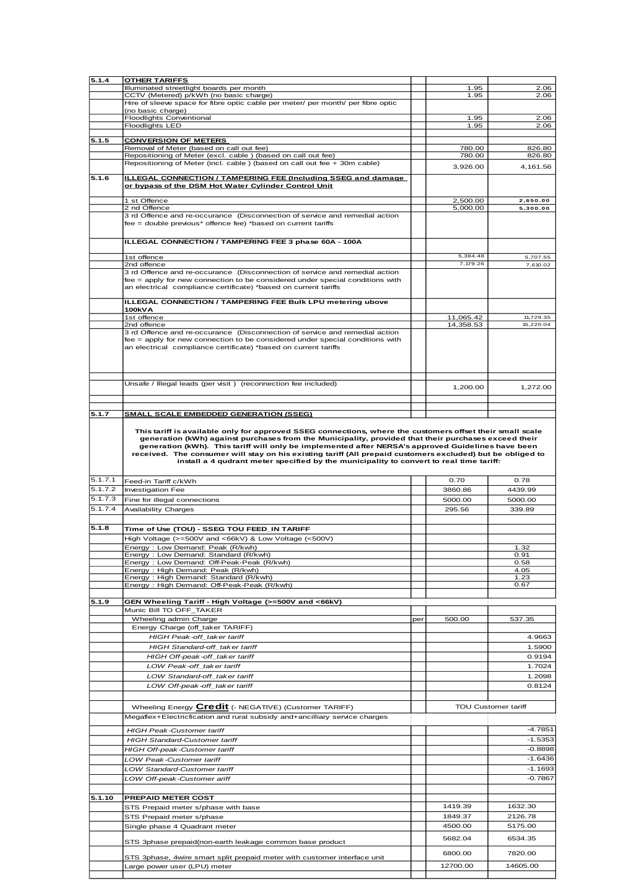| CCTV (Metered) p/kWh (no basic charge)<br>1.95<br>2.06<br>Hire of sleeve space for fibre optic cable per meter/ per month/ per fibre optic<br>(no basic charge)<br>Floodlights Conventional<br>1.95<br>2.06<br><b>Floodlights LED</b><br>1.95<br>2.06<br>5.1.5<br><b>CONVERSION OF METERS</b><br>Removal of Meter (based on call out fee)<br>780.00<br>826.80<br>Repositioning of Meter (excl. cable) (based on call out fee)<br>780.00<br>826.80<br>Repositioning of Meter (incl. cable ) (based on call out fee + 30m cable)<br>3,926.00<br>4,161.56<br><b>ILLEGAL CONNECTION / TAMPERING FEE (Including SSEG and damage)</b><br>or bypass of the DSM Hot Water Cylinder Control Unit<br>2,500.00<br>2,650.00<br>1 st Offence<br>2 nd Offence<br>5,000.00<br>5,300.00<br>3 rd Offence and re-occurance (Disconnection of service and remedial action<br>fee = double previous* offence fee) *based on current tariffs<br>ILLEGAL CONNECTION / TAMPERING FEE 3 phase 60A - 100A<br>5,384.48<br>1st offence<br>5,707.55<br>7,179.26<br>7,610.02<br>2nd offence<br>3 rd Offence and re-occurance (Disconnection of service and remedial action<br>fee = apply for new connection to be considered under special conditions with<br>an electrical compliance certificate) *based on current tariffs<br><b>ILLEGAL CONNECTION / TAMPERING FEE Bulk LPU metering ubove</b><br>100kVA<br>1st offence<br>11,065.42<br>11,729.35<br>2nd offence<br>14,358.53<br>15,220.04<br>3 rd Offence and re-occurance (Disconnection of service and remedial action<br>$fee =$ apply for new connection to be considered under special conditions with<br>an electrical compliance certificate) *based on current tariffs<br>Unsafe / Illegal leads (per visit) (reconnection fee included)<br>1,200.00<br>1,272.00<br>5.1.7<br><b>SMALL SCALE EMBEDDED GENERATION (SSEG)</b><br>This tariff is available only for approved SSEG connections, where the customers offset their small scale<br>generation (kWh) against purchases from the Municipality, provided that their purchases exceed their<br>generation (kWh). This tariff will only be implemented after NERSA's approved Guidelines have been<br>received. The consumer will stay on his existing tariff (All prepaid customers excluded) but be obliged to<br>install a 4 qudrant meter specified by the municipality to convert to real time tariff:<br>0.70<br>0.78<br>Feed-in Tariff c/kWh<br>5.1.7.2<br><b>Investigation Fee</b><br>3860.86<br>4439.99<br>5.1.7.3<br>Fine for illegal connections<br>5000.00<br>5000.00<br>5.1.7.4<br>Availability Charges<br>295.56<br>339.89<br>Time of Use (TOU) - SSEG TOU FEED_IN TARIFF<br>High Voltage (>=500V and <66kV) & Low Voltage (<500V)<br>Energy: Low Demand: Peak (R/kwh)<br>1.32<br>Energy : Low Demand: Standard (R/kwh)<br>0.91<br>Energy: Low Demand: Off-Peak-Peak (R/kwh)<br>0.58<br>Energy: High Demand: Peak (R/kwh)<br>4.05<br>Energy: High Demand: Standard (R/kwh)<br>1.23<br>Energy: High Demand: Off-Peak-Peak (R/kwh)<br>0.67<br>GEN Wheeling Tariff - High Voltage (>=500V and <66kV)<br>Munic Bill TO OFF_TAKER<br>Wheeling admin Charge<br>500.00<br>537.35<br>per<br>Energy Charge (off_taker TARIFF)<br>HIGH Peak-off taker tariff<br>4.9663<br>HIGH Standard-off_taker tariff<br>1.5900<br>HIGH Off-peak-off_taker tariff<br>0.9194<br>LOW Peak-off_taker tariff<br>1.7024<br>LOW Standard-off taker tariff<br>1.2098<br>LOW Off-peak-off_taker tariff<br>0.8124<br>Wheeling Energy Credit (- NEGATIVE) (Customer TARIFF)<br><b>TOU Customer tariff</b><br>Megaflex+Electricfication and rural subsidy and+ancilliary service charges<br>$-4.7851$<br><b>HIGH Peak-Customer tariff</b> | 5.1.4   | <b>OTHER TARIFFS</b>                     |      |           |
|-----------------------------------------------------------------------------------------------------------------------------------------------------------------------------------------------------------------------------------------------------------------------------------------------------------------------------------------------------------------------------------------------------------------------------------------------------------------------------------------------------------------------------------------------------------------------------------------------------------------------------------------------------------------------------------------------------------------------------------------------------------------------------------------------------------------------------------------------------------------------------------------------------------------------------------------------------------------------------------------------------------------------------------------------------------------------------------------------------------------------------------------------------------------------------------------------------------------------------------------------------------------------------------------------------------------------------------------------------------------------------------------------------------------------------------------------------------------------------------------------------------------------------------------------------------------------------------------------------------------------------------------------------------------------------------------------------------------------------------------------------------------------------------------------------------------------------------------------------------------------------------------------------------------------------------------------------------------------------------------------------------------------------------------------------------------------------------------------------------------------------------------------------------------------------------------------------------------------------------------------------------------------------------------------------------------------------------------------------------------------------------------------------------------------------------------------------------------------------------------------------------------------------------------------------------------------------------------------------------------------------------------------------------------------------------------------------------------------------------------------------------------------------------------------------------------------------------------------------------------------------------------------------------------------------------------------------------------------------------------------------------------------------------------------------------------------------------------------------------------------------------------------------------------------------------------------------------------------------------------------------------------------------------------------------------------------------------------------------------------------------------------------------------------------------------------------------------------------------------------------------------------------------------------------------------------------------------------------------------------------------------------------------------------------------------------------------------|---------|------------------------------------------|------|-----------|
|                                                                                                                                                                                                                                                                                                                                                                                                                                                                                                                                                                                                                                                                                                                                                                                                                                                                                                                                                                                                                                                                                                                                                                                                                                                                                                                                                                                                                                                                                                                                                                                                                                                                                                                                                                                                                                                                                                                                                                                                                                                                                                                                                                                                                                                                                                                                                                                                                                                                                                                                                                                                                                                                                                                                                                                                                                                                                                                                                                                                                                                                                                                                                                                                                                                                                                                                                                                                                                                                                                                                                                                                                                                                                                           |         | Illuminated streetlight boards per month | 1.95 | 2.06      |
|                                                                                                                                                                                                                                                                                                                                                                                                                                                                                                                                                                                                                                                                                                                                                                                                                                                                                                                                                                                                                                                                                                                                                                                                                                                                                                                                                                                                                                                                                                                                                                                                                                                                                                                                                                                                                                                                                                                                                                                                                                                                                                                                                                                                                                                                                                                                                                                                                                                                                                                                                                                                                                                                                                                                                                                                                                                                                                                                                                                                                                                                                                                                                                                                                                                                                                                                                                                                                                                                                                                                                                                                                                                                                                           |         |                                          |      |           |
|                                                                                                                                                                                                                                                                                                                                                                                                                                                                                                                                                                                                                                                                                                                                                                                                                                                                                                                                                                                                                                                                                                                                                                                                                                                                                                                                                                                                                                                                                                                                                                                                                                                                                                                                                                                                                                                                                                                                                                                                                                                                                                                                                                                                                                                                                                                                                                                                                                                                                                                                                                                                                                                                                                                                                                                                                                                                                                                                                                                                                                                                                                                                                                                                                                                                                                                                                                                                                                                                                                                                                                                                                                                                                                           |         |                                          |      |           |
|                                                                                                                                                                                                                                                                                                                                                                                                                                                                                                                                                                                                                                                                                                                                                                                                                                                                                                                                                                                                                                                                                                                                                                                                                                                                                                                                                                                                                                                                                                                                                                                                                                                                                                                                                                                                                                                                                                                                                                                                                                                                                                                                                                                                                                                                                                                                                                                                                                                                                                                                                                                                                                                                                                                                                                                                                                                                                                                                                                                                                                                                                                                                                                                                                                                                                                                                                                                                                                                                                                                                                                                                                                                                                                           |         |                                          |      |           |
|                                                                                                                                                                                                                                                                                                                                                                                                                                                                                                                                                                                                                                                                                                                                                                                                                                                                                                                                                                                                                                                                                                                                                                                                                                                                                                                                                                                                                                                                                                                                                                                                                                                                                                                                                                                                                                                                                                                                                                                                                                                                                                                                                                                                                                                                                                                                                                                                                                                                                                                                                                                                                                                                                                                                                                                                                                                                                                                                                                                                                                                                                                                                                                                                                                                                                                                                                                                                                                                                                                                                                                                                                                                                                                           |         |                                          |      |           |
|                                                                                                                                                                                                                                                                                                                                                                                                                                                                                                                                                                                                                                                                                                                                                                                                                                                                                                                                                                                                                                                                                                                                                                                                                                                                                                                                                                                                                                                                                                                                                                                                                                                                                                                                                                                                                                                                                                                                                                                                                                                                                                                                                                                                                                                                                                                                                                                                                                                                                                                                                                                                                                                                                                                                                                                                                                                                                                                                                                                                                                                                                                                                                                                                                                                                                                                                                                                                                                                                                                                                                                                                                                                                                                           |         |                                          |      |           |
|                                                                                                                                                                                                                                                                                                                                                                                                                                                                                                                                                                                                                                                                                                                                                                                                                                                                                                                                                                                                                                                                                                                                                                                                                                                                                                                                                                                                                                                                                                                                                                                                                                                                                                                                                                                                                                                                                                                                                                                                                                                                                                                                                                                                                                                                                                                                                                                                                                                                                                                                                                                                                                                                                                                                                                                                                                                                                                                                                                                                                                                                                                                                                                                                                                                                                                                                                                                                                                                                                                                                                                                                                                                                                                           |         |                                          |      |           |
|                                                                                                                                                                                                                                                                                                                                                                                                                                                                                                                                                                                                                                                                                                                                                                                                                                                                                                                                                                                                                                                                                                                                                                                                                                                                                                                                                                                                                                                                                                                                                                                                                                                                                                                                                                                                                                                                                                                                                                                                                                                                                                                                                                                                                                                                                                                                                                                                                                                                                                                                                                                                                                                                                                                                                                                                                                                                                                                                                                                                                                                                                                                                                                                                                                                                                                                                                                                                                                                                                                                                                                                                                                                                                                           |         |                                          |      |           |
|                                                                                                                                                                                                                                                                                                                                                                                                                                                                                                                                                                                                                                                                                                                                                                                                                                                                                                                                                                                                                                                                                                                                                                                                                                                                                                                                                                                                                                                                                                                                                                                                                                                                                                                                                                                                                                                                                                                                                                                                                                                                                                                                                                                                                                                                                                                                                                                                                                                                                                                                                                                                                                                                                                                                                                                                                                                                                                                                                                                                                                                                                                                                                                                                                                                                                                                                                                                                                                                                                                                                                                                                                                                                                                           |         |                                          |      |           |
|                                                                                                                                                                                                                                                                                                                                                                                                                                                                                                                                                                                                                                                                                                                                                                                                                                                                                                                                                                                                                                                                                                                                                                                                                                                                                                                                                                                                                                                                                                                                                                                                                                                                                                                                                                                                                                                                                                                                                                                                                                                                                                                                                                                                                                                                                                                                                                                                                                                                                                                                                                                                                                                                                                                                                                                                                                                                                                                                                                                                                                                                                                                                                                                                                                                                                                                                                                                                                                                                                                                                                                                                                                                                                                           | 5.1.6   |                                          |      |           |
|                                                                                                                                                                                                                                                                                                                                                                                                                                                                                                                                                                                                                                                                                                                                                                                                                                                                                                                                                                                                                                                                                                                                                                                                                                                                                                                                                                                                                                                                                                                                                                                                                                                                                                                                                                                                                                                                                                                                                                                                                                                                                                                                                                                                                                                                                                                                                                                                                                                                                                                                                                                                                                                                                                                                                                                                                                                                                                                                                                                                                                                                                                                                                                                                                                                                                                                                                                                                                                                                                                                                                                                                                                                                                                           |         |                                          |      |           |
|                                                                                                                                                                                                                                                                                                                                                                                                                                                                                                                                                                                                                                                                                                                                                                                                                                                                                                                                                                                                                                                                                                                                                                                                                                                                                                                                                                                                                                                                                                                                                                                                                                                                                                                                                                                                                                                                                                                                                                                                                                                                                                                                                                                                                                                                                                                                                                                                                                                                                                                                                                                                                                                                                                                                                                                                                                                                                                                                                                                                                                                                                                                                                                                                                                                                                                                                                                                                                                                                                                                                                                                                                                                                                                           |         |                                          |      |           |
|                                                                                                                                                                                                                                                                                                                                                                                                                                                                                                                                                                                                                                                                                                                                                                                                                                                                                                                                                                                                                                                                                                                                                                                                                                                                                                                                                                                                                                                                                                                                                                                                                                                                                                                                                                                                                                                                                                                                                                                                                                                                                                                                                                                                                                                                                                                                                                                                                                                                                                                                                                                                                                                                                                                                                                                                                                                                                                                                                                                                                                                                                                                                                                                                                                                                                                                                                                                                                                                                                                                                                                                                                                                                                                           |         |                                          |      |           |
|                                                                                                                                                                                                                                                                                                                                                                                                                                                                                                                                                                                                                                                                                                                                                                                                                                                                                                                                                                                                                                                                                                                                                                                                                                                                                                                                                                                                                                                                                                                                                                                                                                                                                                                                                                                                                                                                                                                                                                                                                                                                                                                                                                                                                                                                                                                                                                                                                                                                                                                                                                                                                                                                                                                                                                                                                                                                                                                                                                                                                                                                                                                                                                                                                                                                                                                                                                                                                                                                                                                                                                                                                                                                                                           |         |                                          |      |           |
|                                                                                                                                                                                                                                                                                                                                                                                                                                                                                                                                                                                                                                                                                                                                                                                                                                                                                                                                                                                                                                                                                                                                                                                                                                                                                                                                                                                                                                                                                                                                                                                                                                                                                                                                                                                                                                                                                                                                                                                                                                                                                                                                                                                                                                                                                                                                                                                                                                                                                                                                                                                                                                                                                                                                                                                                                                                                                                                                                                                                                                                                                                                                                                                                                                                                                                                                                                                                                                                                                                                                                                                                                                                                                                           |         |                                          |      |           |
|                                                                                                                                                                                                                                                                                                                                                                                                                                                                                                                                                                                                                                                                                                                                                                                                                                                                                                                                                                                                                                                                                                                                                                                                                                                                                                                                                                                                                                                                                                                                                                                                                                                                                                                                                                                                                                                                                                                                                                                                                                                                                                                                                                                                                                                                                                                                                                                                                                                                                                                                                                                                                                                                                                                                                                                                                                                                                                                                                                                                                                                                                                                                                                                                                                                                                                                                                                                                                                                                                                                                                                                                                                                                                                           |         |                                          |      |           |
|                                                                                                                                                                                                                                                                                                                                                                                                                                                                                                                                                                                                                                                                                                                                                                                                                                                                                                                                                                                                                                                                                                                                                                                                                                                                                                                                                                                                                                                                                                                                                                                                                                                                                                                                                                                                                                                                                                                                                                                                                                                                                                                                                                                                                                                                                                                                                                                                                                                                                                                                                                                                                                                                                                                                                                                                                                                                                                                                                                                                                                                                                                                                                                                                                                                                                                                                                                                                                                                                                                                                                                                                                                                                                                           |         |                                          |      |           |
|                                                                                                                                                                                                                                                                                                                                                                                                                                                                                                                                                                                                                                                                                                                                                                                                                                                                                                                                                                                                                                                                                                                                                                                                                                                                                                                                                                                                                                                                                                                                                                                                                                                                                                                                                                                                                                                                                                                                                                                                                                                                                                                                                                                                                                                                                                                                                                                                                                                                                                                                                                                                                                                                                                                                                                                                                                                                                                                                                                                                                                                                                                                                                                                                                                                                                                                                                                                                                                                                                                                                                                                                                                                                                                           |         |                                          |      |           |
|                                                                                                                                                                                                                                                                                                                                                                                                                                                                                                                                                                                                                                                                                                                                                                                                                                                                                                                                                                                                                                                                                                                                                                                                                                                                                                                                                                                                                                                                                                                                                                                                                                                                                                                                                                                                                                                                                                                                                                                                                                                                                                                                                                                                                                                                                                                                                                                                                                                                                                                                                                                                                                                                                                                                                                                                                                                                                                                                                                                                                                                                                                                                                                                                                                                                                                                                                                                                                                                                                                                                                                                                                                                                                                           |         |                                          |      |           |
|                                                                                                                                                                                                                                                                                                                                                                                                                                                                                                                                                                                                                                                                                                                                                                                                                                                                                                                                                                                                                                                                                                                                                                                                                                                                                                                                                                                                                                                                                                                                                                                                                                                                                                                                                                                                                                                                                                                                                                                                                                                                                                                                                                                                                                                                                                                                                                                                                                                                                                                                                                                                                                                                                                                                                                                                                                                                                                                                                                                                                                                                                                                                                                                                                                                                                                                                                                                                                                                                                                                                                                                                                                                                                                           |         |                                          |      |           |
|                                                                                                                                                                                                                                                                                                                                                                                                                                                                                                                                                                                                                                                                                                                                                                                                                                                                                                                                                                                                                                                                                                                                                                                                                                                                                                                                                                                                                                                                                                                                                                                                                                                                                                                                                                                                                                                                                                                                                                                                                                                                                                                                                                                                                                                                                                                                                                                                                                                                                                                                                                                                                                                                                                                                                                                                                                                                                                                                                                                                                                                                                                                                                                                                                                                                                                                                                                                                                                                                                                                                                                                                                                                                                                           |         |                                          |      |           |
|                                                                                                                                                                                                                                                                                                                                                                                                                                                                                                                                                                                                                                                                                                                                                                                                                                                                                                                                                                                                                                                                                                                                                                                                                                                                                                                                                                                                                                                                                                                                                                                                                                                                                                                                                                                                                                                                                                                                                                                                                                                                                                                                                                                                                                                                                                                                                                                                                                                                                                                                                                                                                                                                                                                                                                                                                                                                                                                                                                                                                                                                                                                                                                                                                                                                                                                                                                                                                                                                                                                                                                                                                                                                                                           |         |                                          |      |           |
|                                                                                                                                                                                                                                                                                                                                                                                                                                                                                                                                                                                                                                                                                                                                                                                                                                                                                                                                                                                                                                                                                                                                                                                                                                                                                                                                                                                                                                                                                                                                                                                                                                                                                                                                                                                                                                                                                                                                                                                                                                                                                                                                                                                                                                                                                                                                                                                                                                                                                                                                                                                                                                                                                                                                                                                                                                                                                                                                                                                                                                                                                                                                                                                                                                                                                                                                                                                                                                                                                                                                                                                                                                                                                                           |         |                                          |      |           |
|                                                                                                                                                                                                                                                                                                                                                                                                                                                                                                                                                                                                                                                                                                                                                                                                                                                                                                                                                                                                                                                                                                                                                                                                                                                                                                                                                                                                                                                                                                                                                                                                                                                                                                                                                                                                                                                                                                                                                                                                                                                                                                                                                                                                                                                                                                                                                                                                                                                                                                                                                                                                                                                                                                                                                                                                                                                                                                                                                                                                                                                                                                                                                                                                                                                                                                                                                                                                                                                                                                                                                                                                                                                                                                           |         |                                          |      |           |
|                                                                                                                                                                                                                                                                                                                                                                                                                                                                                                                                                                                                                                                                                                                                                                                                                                                                                                                                                                                                                                                                                                                                                                                                                                                                                                                                                                                                                                                                                                                                                                                                                                                                                                                                                                                                                                                                                                                                                                                                                                                                                                                                                                                                                                                                                                                                                                                                                                                                                                                                                                                                                                                                                                                                                                                                                                                                                                                                                                                                                                                                                                                                                                                                                                                                                                                                                                                                                                                                                                                                                                                                                                                                                                           |         |                                          |      |           |
|                                                                                                                                                                                                                                                                                                                                                                                                                                                                                                                                                                                                                                                                                                                                                                                                                                                                                                                                                                                                                                                                                                                                                                                                                                                                                                                                                                                                                                                                                                                                                                                                                                                                                                                                                                                                                                                                                                                                                                                                                                                                                                                                                                                                                                                                                                                                                                                                                                                                                                                                                                                                                                                                                                                                                                                                                                                                                                                                                                                                                                                                                                                                                                                                                                                                                                                                                                                                                                                                                                                                                                                                                                                                                                           |         |                                          |      |           |
|                                                                                                                                                                                                                                                                                                                                                                                                                                                                                                                                                                                                                                                                                                                                                                                                                                                                                                                                                                                                                                                                                                                                                                                                                                                                                                                                                                                                                                                                                                                                                                                                                                                                                                                                                                                                                                                                                                                                                                                                                                                                                                                                                                                                                                                                                                                                                                                                                                                                                                                                                                                                                                                                                                                                                                                                                                                                                                                                                                                                                                                                                                                                                                                                                                                                                                                                                                                                                                                                                                                                                                                                                                                                                                           |         |                                          |      |           |
|                                                                                                                                                                                                                                                                                                                                                                                                                                                                                                                                                                                                                                                                                                                                                                                                                                                                                                                                                                                                                                                                                                                                                                                                                                                                                                                                                                                                                                                                                                                                                                                                                                                                                                                                                                                                                                                                                                                                                                                                                                                                                                                                                                                                                                                                                                                                                                                                                                                                                                                                                                                                                                                                                                                                                                                                                                                                                                                                                                                                                                                                                                                                                                                                                                                                                                                                                                                                                                                                                                                                                                                                                                                                                                           |         |                                          |      |           |
|                                                                                                                                                                                                                                                                                                                                                                                                                                                                                                                                                                                                                                                                                                                                                                                                                                                                                                                                                                                                                                                                                                                                                                                                                                                                                                                                                                                                                                                                                                                                                                                                                                                                                                                                                                                                                                                                                                                                                                                                                                                                                                                                                                                                                                                                                                                                                                                                                                                                                                                                                                                                                                                                                                                                                                                                                                                                                                                                                                                                                                                                                                                                                                                                                                                                                                                                                                                                                                                                                                                                                                                                                                                                                                           | 5.1.7.1 |                                          |      |           |
|                                                                                                                                                                                                                                                                                                                                                                                                                                                                                                                                                                                                                                                                                                                                                                                                                                                                                                                                                                                                                                                                                                                                                                                                                                                                                                                                                                                                                                                                                                                                                                                                                                                                                                                                                                                                                                                                                                                                                                                                                                                                                                                                                                                                                                                                                                                                                                                                                                                                                                                                                                                                                                                                                                                                                                                                                                                                                                                                                                                                                                                                                                                                                                                                                                                                                                                                                                                                                                                                                                                                                                                                                                                                                                           |         |                                          |      |           |
|                                                                                                                                                                                                                                                                                                                                                                                                                                                                                                                                                                                                                                                                                                                                                                                                                                                                                                                                                                                                                                                                                                                                                                                                                                                                                                                                                                                                                                                                                                                                                                                                                                                                                                                                                                                                                                                                                                                                                                                                                                                                                                                                                                                                                                                                                                                                                                                                                                                                                                                                                                                                                                                                                                                                                                                                                                                                                                                                                                                                                                                                                                                                                                                                                                                                                                                                                                                                                                                                                                                                                                                                                                                                                                           |         |                                          |      |           |
|                                                                                                                                                                                                                                                                                                                                                                                                                                                                                                                                                                                                                                                                                                                                                                                                                                                                                                                                                                                                                                                                                                                                                                                                                                                                                                                                                                                                                                                                                                                                                                                                                                                                                                                                                                                                                                                                                                                                                                                                                                                                                                                                                                                                                                                                                                                                                                                                                                                                                                                                                                                                                                                                                                                                                                                                                                                                                                                                                                                                                                                                                                                                                                                                                                                                                                                                                                                                                                                                                                                                                                                                                                                                                                           |         |                                          |      |           |
|                                                                                                                                                                                                                                                                                                                                                                                                                                                                                                                                                                                                                                                                                                                                                                                                                                                                                                                                                                                                                                                                                                                                                                                                                                                                                                                                                                                                                                                                                                                                                                                                                                                                                                                                                                                                                                                                                                                                                                                                                                                                                                                                                                                                                                                                                                                                                                                                                                                                                                                                                                                                                                                                                                                                                                                                                                                                                                                                                                                                                                                                                                                                                                                                                                                                                                                                                                                                                                                                                                                                                                                                                                                                                                           |         |                                          |      |           |
|                                                                                                                                                                                                                                                                                                                                                                                                                                                                                                                                                                                                                                                                                                                                                                                                                                                                                                                                                                                                                                                                                                                                                                                                                                                                                                                                                                                                                                                                                                                                                                                                                                                                                                                                                                                                                                                                                                                                                                                                                                                                                                                                                                                                                                                                                                                                                                                                                                                                                                                                                                                                                                                                                                                                                                                                                                                                                                                                                                                                                                                                                                                                                                                                                                                                                                                                                                                                                                                                                                                                                                                                                                                                                                           |         |                                          |      |           |
|                                                                                                                                                                                                                                                                                                                                                                                                                                                                                                                                                                                                                                                                                                                                                                                                                                                                                                                                                                                                                                                                                                                                                                                                                                                                                                                                                                                                                                                                                                                                                                                                                                                                                                                                                                                                                                                                                                                                                                                                                                                                                                                                                                                                                                                                                                                                                                                                                                                                                                                                                                                                                                                                                                                                                                                                                                                                                                                                                                                                                                                                                                                                                                                                                                                                                                                                                                                                                                                                                                                                                                                                                                                                                                           | 5.1.8   |                                          |      |           |
|                                                                                                                                                                                                                                                                                                                                                                                                                                                                                                                                                                                                                                                                                                                                                                                                                                                                                                                                                                                                                                                                                                                                                                                                                                                                                                                                                                                                                                                                                                                                                                                                                                                                                                                                                                                                                                                                                                                                                                                                                                                                                                                                                                                                                                                                                                                                                                                                                                                                                                                                                                                                                                                                                                                                                                                                                                                                                                                                                                                                                                                                                                                                                                                                                                                                                                                                                                                                                                                                                                                                                                                                                                                                                                           |         |                                          |      |           |
|                                                                                                                                                                                                                                                                                                                                                                                                                                                                                                                                                                                                                                                                                                                                                                                                                                                                                                                                                                                                                                                                                                                                                                                                                                                                                                                                                                                                                                                                                                                                                                                                                                                                                                                                                                                                                                                                                                                                                                                                                                                                                                                                                                                                                                                                                                                                                                                                                                                                                                                                                                                                                                                                                                                                                                                                                                                                                                                                                                                                                                                                                                                                                                                                                                                                                                                                                                                                                                                                                                                                                                                                                                                                                                           |         |                                          |      |           |
|                                                                                                                                                                                                                                                                                                                                                                                                                                                                                                                                                                                                                                                                                                                                                                                                                                                                                                                                                                                                                                                                                                                                                                                                                                                                                                                                                                                                                                                                                                                                                                                                                                                                                                                                                                                                                                                                                                                                                                                                                                                                                                                                                                                                                                                                                                                                                                                                                                                                                                                                                                                                                                                                                                                                                                                                                                                                                                                                                                                                                                                                                                                                                                                                                                                                                                                                                                                                                                                                                                                                                                                                                                                                                                           |         |                                          |      |           |
|                                                                                                                                                                                                                                                                                                                                                                                                                                                                                                                                                                                                                                                                                                                                                                                                                                                                                                                                                                                                                                                                                                                                                                                                                                                                                                                                                                                                                                                                                                                                                                                                                                                                                                                                                                                                                                                                                                                                                                                                                                                                                                                                                                                                                                                                                                                                                                                                                                                                                                                                                                                                                                                                                                                                                                                                                                                                                                                                                                                                                                                                                                                                                                                                                                                                                                                                                                                                                                                                                                                                                                                                                                                                                                           |         |                                          |      |           |
|                                                                                                                                                                                                                                                                                                                                                                                                                                                                                                                                                                                                                                                                                                                                                                                                                                                                                                                                                                                                                                                                                                                                                                                                                                                                                                                                                                                                                                                                                                                                                                                                                                                                                                                                                                                                                                                                                                                                                                                                                                                                                                                                                                                                                                                                                                                                                                                                                                                                                                                                                                                                                                                                                                                                                                                                                                                                                                                                                                                                                                                                                                                                                                                                                                                                                                                                                                                                                                                                                                                                                                                                                                                                                                           |         |                                          |      |           |
|                                                                                                                                                                                                                                                                                                                                                                                                                                                                                                                                                                                                                                                                                                                                                                                                                                                                                                                                                                                                                                                                                                                                                                                                                                                                                                                                                                                                                                                                                                                                                                                                                                                                                                                                                                                                                                                                                                                                                                                                                                                                                                                                                                                                                                                                                                                                                                                                                                                                                                                                                                                                                                                                                                                                                                                                                                                                                                                                                                                                                                                                                                                                                                                                                                                                                                                                                                                                                                                                                                                                                                                                                                                                                                           |         |                                          |      |           |
|                                                                                                                                                                                                                                                                                                                                                                                                                                                                                                                                                                                                                                                                                                                                                                                                                                                                                                                                                                                                                                                                                                                                                                                                                                                                                                                                                                                                                                                                                                                                                                                                                                                                                                                                                                                                                                                                                                                                                                                                                                                                                                                                                                                                                                                                                                                                                                                                                                                                                                                                                                                                                                                                                                                                                                                                                                                                                                                                                                                                                                                                                                                                                                                                                                                                                                                                                                                                                                                                                                                                                                                                                                                                                                           |         |                                          |      |           |
|                                                                                                                                                                                                                                                                                                                                                                                                                                                                                                                                                                                                                                                                                                                                                                                                                                                                                                                                                                                                                                                                                                                                                                                                                                                                                                                                                                                                                                                                                                                                                                                                                                                                                                                                                                                                                                                                                                                                                                                                                                                                                                                                                                                                                                                                                                                                                                                                                                                                                                                                                                                                                                                                                                                                                                                                                                                                                                                                                                                                                                                                                                                                                                                                                                                                                                                                                                                                                                                                                                                                                                                                                                                                                                           | 5.1.9   |                                          |      |           |
|                                                                                                                                                                                                                                                                                                                                                                                                                                                                                                                                                                                                                                                                                                                                                                                                                                                                                                                                                                                                                                                                                                                                                                                                                                                                                                                                                                                                                                                                                                                                                                                                                                                                                                                                                                                                                                                                                                                                                                                                                                                                                                                                                                                                                                                                                                                                                                                                                                                                                                                                                                                                                                                                                                                                                                                                                                                                                                                                                                                                                                                                                                                                                                                                                                                                                                                                                                                                                                                                                                                                                                                                                                                                                                           |         |                                          |      |           |
|                                                                                                                                                                                                                                                                                                                                                                                                                                                                                                                                                                                                                                                                                                                                                                                                                                                                                                                                                                                                                                                                                                                                                                                                                                                                                                                                                                                                                                                                                                                                                                                                                                                                                                                                                                                                                                                                                                                                                                                                                                                                                                                                                                                                                                                                                                                                                                                                                                                                                                                                                                                                                                                                                                                                                                                                                                                                                                                                                                                                                                                                                                                                                                                                                                                                                                                                                                                                                                                                                                                                                                                                                                                                                                           |         |                                          |      |           |
|                                                                                                                                                                                                                                                                                                                                                                                                                                                                                                                                                                                                                                                                                                                                                                                                                                                                                                                                                                                                                                                                                                                                                                                                                                                                                                                                                                                                                                                                                                                                                                                                                                                                                                                                                                                                                                                                                                                                                                                                                                                                                                                                                                                                                                                                                                                                                                                                                                                                                                                                                                                                                                                                                                                                                                                                                                                                                                                                                                                                                                                                                                                                                                                                                                                                                                                                                                                                                                                                                                                                                                                                                                                                                                           |         |                                          |      |           |
|                                                                                                                                                                                                                                                                                                                                                                                                                                                                                                                                                                                                                                                                                                                                                                                                                                                                                                                                                                                                                                                                                                                                                                                                                                                                                                                                                                                                                                                                                                                                                                                                                                                                                                                                                                                                                                                                                                                                                                                                                                                                                                                                                                                                                                                                                                                                                                                                                                                                                                                                                                                                                                                                                                                                                                                                                                                                                                                                                                                                                                                                                                                                                                                                                                                                                                                                                                                                                                                                                                                                                                                                                                                                                                           |         |                                          |      |           |
|                                                                                                                                                                                                                                                                                                                                                                                                                                                                                                                                                                                                                                                                                                                                                                                                                                                                                                                                                                                                                                                                                                                                                                                                                                                                                                                                                                                                                                                                                                                                                                                                                                                                                                                                                                                                                                                                                                                                                                                                                                                                                                                                                                                                                                                                                                                                                                                                                                                                                                                                                                                                                                                                                                                                                                                                                                                                                                                                                                                                                                                                                                                                                                                                                                                                                                                                                                                                                                                                                                                                                                                                                                                                                                           |         |                                          |      |           |
|                                                                                                                                                                                                                                                                                                                                                                                                                                                                                                                                                                                                                                                                                                                                                                                                                                                                                                                                                                                                                                                                                                                                                                                                                                                                                                                                                                                                                                                                                                                                                                                                                                                                                                                                                                                                                                                                                                                                                                                                                                                                                                                                                                                                                                                                                                                                                                                                                                                                                                                                                                                                                                                                                                                                                                                                                                                                                                                                                                                                                                                                                                                                                                                                                                                                                                                                                                                                                                                                                                                                                                                                                                                                                                           |         |                                          |      |           |
|                                                                                                                                                                                                                                                                                                                                                                                                                                                                                                                                                                                                                                                                                                                                                                                                                                                                                                                                                                                                                                                                                                                                                                                                                                                                                                                                                                                                                                                                                                                                                                                                                                                                                                                                                                                                                                                                                                                                                                                                                                                                                                                                                                                                                                                                                                                                                                                                                                                                                                                                                                                                                                                                                                                                                                                                                                                                                                                                                                                                                                                                                                                                                                                                                                                                                                                                                                                                                                                                                                                                                                                                                                                                                                           |         |                                          |      |           |
|                                                                                                                                                                                                                                                                                                                                                                                                                                                                                                                                                                                                                                                                                                                                                                                                                                                                                                                                                                                                                                                                                                                                                                                                                                                                                                                                                                                                                                                                                                                                                                                                                                                                                                                                                                                                                                                                                                                                                                                                                                                                                                                                                                                                                                                                                                                                                                                                                                                                                                                                                                                                                                                                                                                                                                                                                                                                                                                                                                                                                                                                                                                                                                                                                                                                                                                                                                                                                                                                                                                                                                                                                                                                                                           |         |                                          |      |           |
|                                                                                                                                                                                                                                                                                                                                                                                                                                                                                                                                                                                                                                                                                                                                                                                                                                                                                                                                                                                                                                                                                                                                                                                                                                                                                                                                                                                                                                                                                                                                                                                                                                                                                                                                                                                                                                                                                                                                                                                                                                                                                                                                                                                                                                                                                                                                                                                                                                                                                                                                                                                                                                                                                                                                                                                                                                                                                                                                                                                                                                                                                                                                                                                                                                                                                                                                                                                                                                                                                                                                                                                                                                                                                                           |         |                                          |      |           |
|                                                                                                                                                                                                                                                                                                                                                                                                                                                                                                                                                                                                                                                                                                                                                                                                                                                                                                                                                                                                                                                                                                                                                                                                                                                                                                                                                                                                                                                                                                                                                                                                                                                                                                                                                                                                                                                                                                                                                                                                                                                                                                                                                                                                                                                                                                                                                                                                                                                                                                                                                                                                                                                                                                                                                                                                                                                                                                                                                                                                                                                                                                                                                                                                                                                                                                                                                                                                                                                                                                                                                                                                                                                                                                           |         |                                          |      |           |
|                                                                                                                                                                                                                                                                                                                                                                                                                                                                                                                                                                                                                                                                                                                                                                                                                                                                                                                                                                                                                                                                                                                                                                                                                                                                                                                                                                                                                                                                                                                                                                                                                                                                                                                                                                                                                                                                                                                                                                                                                                                                                                                                                                                                                                                                                                                                                                                                                                                                                                                                                                                                                                                                                                                                                                                                                                                                                                                                                                                                                                                                                                                                                                                                                                                                                                                                                                                                                                                                                                                                                                                                                                                                                                           |         |                                          |      |           |
|                                                                                                                                                                                                                                                                                                                                                                                                                                                                                                                                                                                                                                                                                                                                                                                                                                                                                                                                                                                                                                                                                                                                                                                                                                                                                                                                                                                                                                                                                                                                                                                                                                                                                                                                                                                                                                                                                                                                                                                                                                                                                                                                                                                                                                                                                                                                                                                                                                                                                                                                                                                                                                                                                                                                                                                                                                                                                                                                                                                                                                                                                                                                                                                                                                                                                                                                                                                                                                                                                                                                                                                                                                                                                                           |         |                                          |      |           |
| $-0.8898$                                                                                                                                                                                                                                                                                                                                                                                                                                                                                                                                                                                                                                                                                                                                                                                                                                                                                                                                                                                                                                                                                                                                                                                                                                                                                                                                                                                                                                                                                                                                                                                                                                                                                                                                                                                                                                                                                                                                                                                                                                                                                                                                                                                                                                                                                                                                                                                                                                                                                                                                                                                                                                                                                                                                                                                                                                                                                                                                                                                                                                                                                                                                                                                                                                                                                                                                                                                                                                                                                                                                                                                                                                                                                                 |         |                                          |      | $-1.5353$ |
|                                                                                                                                                                                                                                                                                                                                                                                                                                                                                                                                                                                                                                                                                                                                                                                                                                                                                                                                                                                                                                                                                                                                                                                                                                                                                                                                                                                                                                                                                                                                                                                                                                                                                                                                                                                                                                                                                                                                                                                                                                                                                                                                                                                                                                                                                                                                                                                                                                                                                                                                                                                                                                                                                                                                                                                                                                                                                                                                                                                                                                                                                                                                                                                                                                                                                                                                                                                                                                                                                                                                                                                                                                                                                                           |         | <b>HIGH Standard-Customer tariff</b>     |      |           |
|                                                                                                                                                                                                                                                                                                                                                                                                                                                                                                                                                                                                                                                                                                                                                                                                                                                                                                                                                                                                                                                                                                                                                                                                                                                                                                                                                                                                                                                                                                                                                                                                                                                                                                                                                                                                                                                                                                                                                                                                                                                                                                                                                                                                                                                                                                                                                                                                                                                                                                                                                                                                                                                                                                                                                                                                                                                                                                                                                                                                                                                                                                                                                                                                                                                                                                                                                                                                                                                                                                                                                                                                                                                                                                           |         | HIGH Off-peak-Customer tariff            |      |           |
|                                                                                                                                                                                                                                                                                                                                                                                                                                                                                                                                                                                                                                                                                                                                                                                                                                                                                                                                                                                                                                                                                                                                                                                                                                                                                                                                                                                                                                                                                                                                                                                                                                                                                                                                                                                                                                                                                                                                                                                                                                                                                                                                                                                                                                                                                                                                                                                                                                                                                                                                                                                                                                                                                                                                                                                                                                                                                                                                                                                                                                                                                                                                                                                                                                                                                                                                                                                                                                                                                                                                                                                                                                                                                                           |         | LOW Peak-Customer tariff                 |      | $-1.6436$ |
|                                                                                                                                                                                                                                                                                                                                                                                                                                                                                                                                                                                                                                                                                                                                                                                                                                                                                                                                                                                                                                                                                                                                                                                                                                                                                                                                                                                                                                                                                                                                                                                                                                                                                                                                                                                                                                                                                                                                                                                                                                                                                                                                                                                                                                                                                                                                                                                                                                                                                                                                                                                                                                                                                                                                                                                                                                                                                                                                                                                                                                                                                                                                                                                                                                                                                                                                                                                                                                                                                                                                                                                                                                                                                                           |         | LOW Standard-Customer tariff             |      | $-1.1693$ |
|                                                                                                                                                                                                                                                                                                                                                                                                                                                                                                                                                                                                                                                                                                                                                                                                                                                                                                                                                                                                                                                                                                                                                                                                                                                                                                                                                                                                                                                                                                                                                                                                                                                                                                                                                                                                                                                                                                                                                                                                                                                                                                                                                                                                                                                                                                                                                                                                                                                                                                                                                                                                                                                                                                                                                                                                                                                                                                                                                                                                                                                                                                                                                                                                                                                                                                                                                                                                                                                                                                                                                                                                                                                                                                           |         | LOW Off-peak-Customer ariff              |      | $-0.7867$ |
|                                                                                                                                                                                                                                                                                                                                                                                                                                                                                                                                                                                                                                                                                                                                                                                                                                                                                                                                                                                                                                                                                                                                                                                                                                                                                                                                                                                                                                                                                                                                                                                                                                                                                                                                                                                                                                                                                                                                                                                                                                                                                                                                                                                                                                                                                                                                                                                                                                                                                                                                                                                                                                                                                                                                                                                                                                                                                                                                                                                                                                                                                                                                                                                                                                                                                                                                                                                                                                                                                                                                                                                                                                                                                                           |         |                                          |      |           |
| PREPAID METER COST                                                                                                                                                                                                                                                                                                                                                                                                                                                                                                                                                                                                                                                                                                                                                                                                                                                                                                                                                                                                                                                                                                                                                                                                                                                                                                                                                                                                                                                                                                                                                                                                                                                                                                                                                                                                                                                                                                                                                                                                                                                                                                                                                                                                                                                                                                                                                                                                                                                                                                                                                                                                                                                                                                                                                                                                                                                                                                                                                                                                                                                                                                                                                                                                                                                                                                                                                                                                                                                                                                                                                                                                                                                                                        | 5.1.10  |                                          |      |           |
| 1419.39<br>1632.30<br>STS Prepaid meter s/phase with base                                                                                                                                                                                                                                                                                                                                                                                                                                                                                                                                                                                                                                                                                                                                                                                                                                                                                                                                                                                                                                                                                                                                                                                                                                                                                                                                                                                                                                                                                                                                                                                                                                                                                                                                                                                                                                                                                                                                                                                                                                                                                                                                                                                                                                                                                                                                                                                                                                                                                                                                                                                                                                                                                                                                                                                                                                                                                                                                                                                                                                                                                                                                                                                                                                                                                                                                                                                                                                                                                                                                                                                                                                                 |         |                                          |      |           |
| 1849.37<br>2126.78<br>STS Prepaid meter s/phase                                                                                                                                                                                                                                                                                                                                                                                                                                                                                                                                                                                                                                                                                                                                                                                                                                                                                                                                                                                                                                                                                                                                                                                                                                                                                                                                                                                                                                                                                                                                                                                                                                                                                                                                                                                                                                                                                                                                                                                                                                                                                                                                                                                                                                                                                                                                                                                                                                                                                                                                                                                                                                                                                                                                                                                                                                                                                                                                                                                                                                                                                                                                                                                                                                                                                                                                                                                                                                                                                                                                                                                                                                                           |         |                                          |      |           |
| 5175.00<br>4500.00<br>Single phase 4 Quadrant meter                                                                                                                                                                                                                                                                                                                                                                                                                                                                                                                                                                                                                                                                                                                                                                                                                                                                                                                                                                                                                                                                                                                                                                                                                                                                                                                                                                                                                                                                                                                                                                                                                                                                                                                                                                                                                                                                                                                                                                                                                                                                                                                                                                                                                                                                                                                                                                                                                                                                                                                                                                                                                                                                                                                                                                                                                                                                                                                                                                                                                                                                                                                                                                                                                                                                                                                                                                                                                                                                                                                                                                                                                                                       |         |                                          |      |           |
| 5682.04<br>6534.35<br>STS 3phase prepaid(non-earth leakage common base product                                                                                                                                                                                                                                                                                                                                                                                                                                                                                                                                                                                                                                                                                                                                                                                                                                                                                                                                                                                                                                                                                                                                                                                                                                                                                                                                                                                                                                                                                                                                                                                                                                                                                                                                                                                                                                                                                                                                                                                                                                                                                                                                                                                                                                                                                                                                                                                                                                                                                                                                                                                                                                                                                                                                                                                                                                                                                                                                                                                                                                                                                                                                                                                                                                                                                                                                                                                                                                                                                                                                                                                                                            |         |                                          |      |           |
| 6800.00<br>7820.00                                                                                                                                                                                                                                                                                                                                                                                                                                                                                                                                                                                                                                                                                                                                                                                                                                                                                                                                                                                                                                                                                                                                                                                                                                                                                                                                                                                                                                                                                                                                                                                                                                                                                                                                                                                                                                                                                                                                                                                                                                                                                                                                                                                                                                                                                                                                                                                                                                                                                                                                                                                                                                                                                                                                                                                                                                                                                                                                                                                                                                                                                                                                                                                                                                                                                                                                                                                                                                                                                                                                                                                                                                                                                        |         |                                          |      |           |
| STS 3phase, 4wire smart split prepaid meter with customer interface unit                                                                                                                                                                                                                                                                                                                                                                                                                                                                                                                                                                                                                                                                                                                                                                                                                                                                                                                                                                                                                                                                                                                                                                                                                                                                                                                                                                                                                                                                                                                                                                                                                                                                                                                                                                                                                                                                                                                                                                                                                                                                                                                                                                                                                                                                                                                                                                                                                                                                                                                                                                                                                                                                                                                                                                                                                                                                                                                                                                                                                                                                                                                                                                                                                                                                                                                                                                                                                                                                                                                                                                                                                                  |         |                                          |      |           |
|                                                                                                                                                                                                                                                                                                                                                                                                                                                                                                                                                                                                                                                                                                                                                                                                                                                                                                                                                                                                                                                                                                                                                                                                                                                                                                                                                                                                                                                                                                                                                                                                                                                                                                                                                                                                                                                                                                                                                                                                                                                                                                                                                                                                                                                                                                                                                                                                                                                                                                                                                                                                                                                                                                                                                                                                                                                                                                                                                                                                                                                                                                                                                                                                                                                                                                                                                                                                                                                                                                                                                                                                                                                                                                           |         |                                          |      |           |
|                                                                                                                                                                                                                                                                                                                                                                                                                                                                                                                                                                                                                                                                                                                                                                                                                                                                                                                                                                                                                                                                                                                                                                                                                                                                                                                                                                                                                                                                                                                                                                                                                                                                                                                                                                                                                                                                                                                                                                                                                                                                                                                                                                                                                                                                                                                                                                                                                                                                                                                                                                                                                                                                                                                                                                                                                                                                                                                                                                                                                                                                                                                                                                                                                                                                                                                                                                                                                                                                                                                                                                                                                                                                                                           |         |                                          |      |           |
|                                                                                                                                                                                                                                                                                                                                                                                                                                                                                                                                                                                                                                                                                                                                                                                                                                                                                                                                                                                                                                                                                                                                                                                                                                                                                                                                                                                                                                                                                                                                                                                                                                                                                                                                                                                                                                                                                                                                                                                                                                                                                                                                                                                                                                                                                                                                                                                                                                                                                                                                                                                                                                                                                                                                                                                                                                                                                                                                                                                                                                                                                                                                                                                                                                                                                                                                                                                                                                                                                                                                                                                                                                                                                                           |         |                                          |      |           |
|                                                                                                                                                                                                                                                                                                                                                                                                                                                                                                                                                                                                                                                                                                                                                                                                                                                                                                                                                                                                                                                                                                                                                                                                                                                                                                                                                                                                                                                                                                                                                                                                                                                                                                                                                                                                                                                                                                                                                                                                                                                                                                                                                                                                                                                                                                                                                                                                                                                                                                                                                                                                                                                                                                                                                                                                                                                                                                                                                                                                                                                                                                                                                                                                                                                                                                                                                                                                                                                                                                                                                                                                                                                                                                           |         |                                          |      |           |
|                                                                                                                                                                                                                                                                                                                                                                                                                                                                                                                                                                                                                                                                                                                                                                                                                                                                                                                                                                                                                                                                                                                                                                                                                                                                                                                                                                                                                                                                                                                                                                                                                                                                                                                                                                                                                                                                                                                                                                                                                                                                                                                                                                                                                                                                                                                                                                                                                                                                                                                                                                                                                                                                                                                                                                                                                                                                                                                                                                                                                                                                                                                                                                                                                                                                                                                                                                                                                                                                                                                                                                                                                                                                                                           |         |                                          |      |           |
|                                                                                                                                                                                                                                                                                                                                                                                                                                                                                                                                                                                                                                                                                                                                                                                                                                                                                                                                                                                                                                                                                                                                                                                                                                                                                                                                                                                                                                                                                                                                                                                                                                                                                                                                                                                                                                                                                                                                                                                                                                                                                                                                                                                                                                                                                                                                                                                                                                                                                                                                                                                                                                                                                                                                                                                                                                                                                                                                                                                                                                                                                                                                                                                                                                                                                                                                                                                                                                                                                                                                                                                                                                                                                                           |         |                                          |      |           |
|                                                                                                                                                                                                                                                                                                                                                                                                                                                                                                                                                                                                                                                                                                                                                                                                                                                                                                                                                                                                                                                                                                                                                                                                                                                                                                                                                                                                                                                                                                                                                                                                                                                                                                                                                                                                                                                                                                                                                                                                                                                                                                                                                                                                                                                                                                                                                                                                                                                                                                                                                                                                                                                                                                                                                                                                                                                                                                                                                                                                                                                                                                                                                                                                                                                                                                                                                                                                                                                                                                                                                                                                                                                                                                           |         |                                          |      |           |
|                                                                                                                                                                                                                                                                                                                                                                                                                                                                                                                                                                                                                                                                                                                                                                                                                                                                                                                                                                                                                                                                                                                                                                                                                                                                                                                                                                                                                                                                                                                                                                                                                                                                                                                                                                                                                                                                                                                                                                                                                                                                                                                                                                                                                                                                                                                                                                                                                                                                                                                                                                                                                                                                                                                                                                                                                                                                                                                                                                                                                                                                                                                                                                                                                                                                                                                                                                                                                                                                                                                                                                                                                                                                                                           |         |                                          |      |           |
|                                                                                                                                                                                                                                                                                                                                                                                                                                                                                                                                                                                                                                                                                                                                                                                                                                                                                                                                                                                                                                                                                                                                                                                                                                                                                                                                                                                                                                                                                                                                                                                                                                                                                                                                                                                                                                                                                                                                                                                                                                                                                                                                                                                                                                                                                                                                                                                                                                                                                                                                                                                                                                                                                                                                                                                                                                                                                                                                                                                                                                                                                                                                                                                                                                                                                                                                                                                                                                                                                                                                                                                                                                                                                                           |         |                                          |      |           |
|                                                                                                                                                                                                                                                                                                                                                                                                                                                                                                                                                                                                                                                                                                                                                                                                                                                                                                                                                                                                                                                                                                                                                                                                                                                                                                                                                                                                                                                                                                                                                                                                                                                                                                                                                                                                                                                                                                                                                                                                                                                                                                                                                                                                                                                                                                                                                                                                                                                                                                                                                                                                                                                                                                                                                                                                                                                                                                                                                                                                                                                                                                                                                                                                                                                                                                                                                                                                                                                                                                                                                                                                                                                                                                           |         |                                          |      |           |
|                                                                                                                                                                                                                                                                                                                                                                                                                                                                                                                                                                                                                                                                                                                                                                                                                                                                                                                                                                                                                                                                                                                                                                                                                                                                                                                                                                                                                                                                                                                                                                                                                                                                                                                                                                                                                                                                                                                                                                                                                                                                                                                                                                                                                                                                                                                                                                                                                                                                                                                                                                                                                                                                                                                                                                                                                                                                                                                                                                                                                                                                                                                                                                                                                                                                                                                                                                                                                                                                                                                                                                                                                                                                                                           |         |                                          |      |           |
|                                                                                                                                                                                                                                                                                                                                                                                                                                                                                                                                                                                                                                                                                                                                                                                                                                                                                                                                                                                                                                                                                                                                                                                                                                                                                                                                                                                                                                                                                                                                                                                                                                                                                                                                                                                                                                                                                                                                                                                                                                                                                                                                                                                                                                                                                                                                                                                                                                                                                                                                                                                                                                                                                                                                                                                                                                                                                                                                                                                                                                                                                                                                                                                                                                                                                                                                                                                                                                                                                                                                                                                                                                                                                                           |         |                                          |      |           |
| 14605.00<br>12700.00<br>Large power user (LPU) meter                                                                                                                                                                                                                                                                                                                                                                                                                                                                                                                                                                                                                                                                                                                                                                                                                                                                                                                                                                                                                                                                                                                                                                                                                                                                                                                                                                                                                                                                                                                                                                                                                                                                                                                                                                                                                                                                                                                                                                                                                                                                                                                                                                                                                                                                                                                                                                                                                                                                                                                                                                                                                                                                                                                                                                                                                                                                                                                                                                                                                                                                                                                                                                                                                                                                                                                                                                                                                                                                                                                                                                                                                                                      |         |                                          |      |           |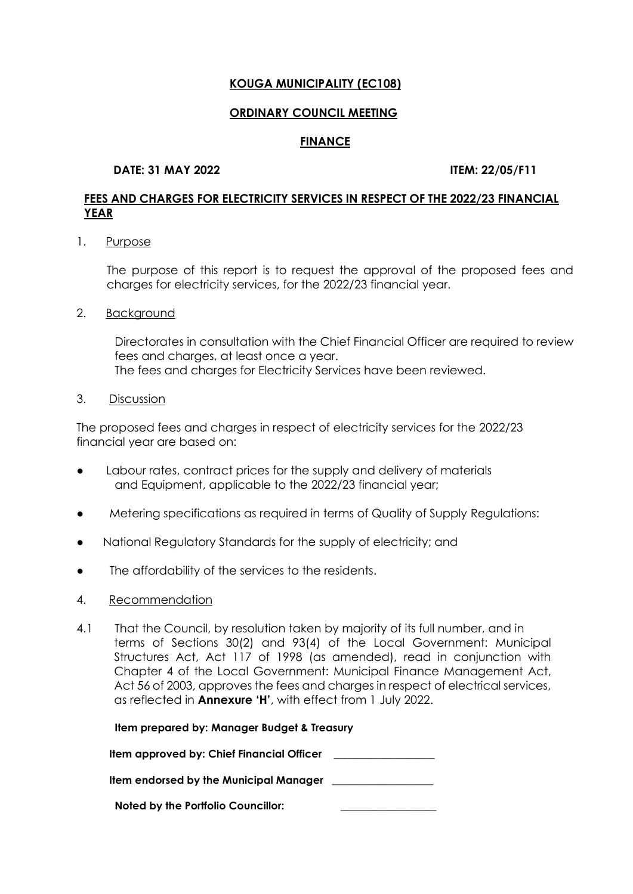#### **ORDINARY COUNCIL MEETING**

### **FINANCE**

### **DATE: 31 MAY 2022 ITEM: 22/05/F11**

# **FEES AND CHARGES FOR ELECTRICITY SERVICES IN RESPECT OF THE 2022/23 FINANCIAL YEAR**

1. Purpose

The purpose of this report is to request the approval of the proposed fees and charges for electricity services, for the 2022/23 financial year.

2. Background

Directorates in consultation with the Chief Financial Officer are required to review fees and charges, at least once a year. The fees and charges for Electricity Services have been reviewed.

3. Discussion

The proposed fees and charges in respect of electricity services for the 2022/23 financial year are based on:

- Labour rates, contract prices for the supply and delivery of materials and Equipment, applicable to the 2022/23 financial year;
- Metering specifications as required in terms of Quality of Supply Regulations:
- National Regulatory Standards for the supply of electricity; and
- The affordability of the services to the residents.
- 4. Recommendation
- 4.1 That the Council, by resolution taken by majority of its full number, and in terms of Sections 30(2) and 93(4) of the Local Government: Municipal Structures Act, Act 117 of 1998 (as amended), read in conjunction with Chapter 4 of the Local Government: Municipal Finance Management Act, Act 56 of 2003, approves the fees and charges in respect of electrical services, as reflected in **Annexure 'H'**, with effect from 1 July 2022.

| Item prepared by: Manager Budget & Treasury   |  |
|-----------------------------------------------|--|
| Item approved by: Chief Financial Officer     |  |
| <b>Item endorsed by the Municipal Manager</b> |  |
| <b>Noted by the Portfolio Councillor:</b>     |  |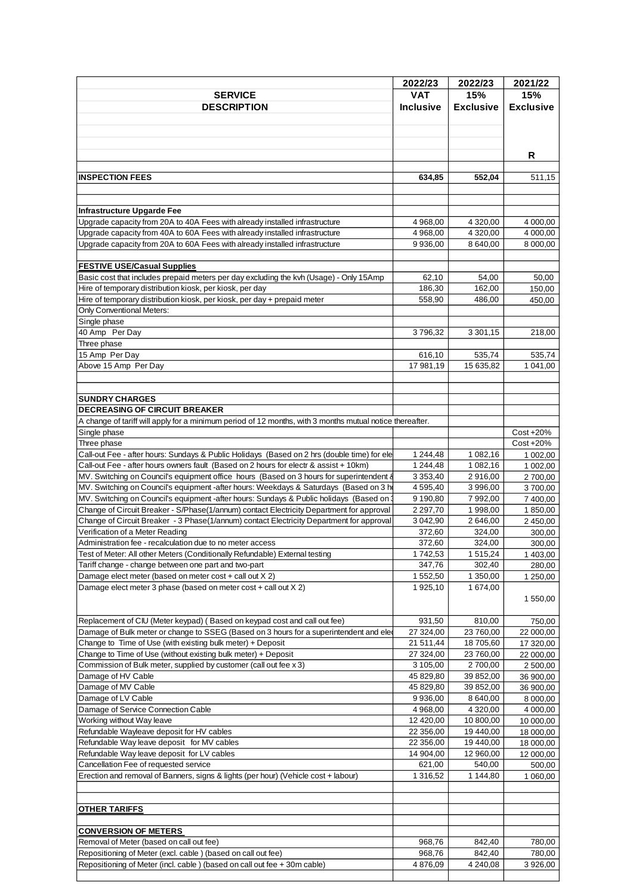|                                                                                                                                                            | 2022/23               | 2022/23               | 2021/22              |
|------------------------------------------------------------------------------------------------------------------------------------------------------------|-----------------------|-----------------------|----------------------|
| <b>SERVICE</b>                                                                                                                                             | <b>VAT</b>            | 15%                   | 15%                  |
| <b>DESCRIPTION</b>                                                                                                                                         | <b>Inclusive</b>      | <b>Exclusive</b>      | <b>Exclusive</b>     |
|                                                                                                                                                            |                       |                       |                      |
|                                                                                                                                                            |                       |                       |                      |
|                                                                                                                                                            |                       |                       |                      |
|                                                                                                                                                            |                       |                       | R                    |
|                                                                                                                                                            |                       |                       |                      |
| <b>INSPECTION FEES</b>                                                                                                                                     | 634,85                | 552,04                | 511,15               |
|                                                                                                                                                            |                       |                       |                      |
|                                                                                                                                                            |                       |                       |                      |
| Infrastructure Upgarde Fee                                                                                                                                 |                       |                       |                      |
| Upgrade capacity from 20A to 40A Fees with already installed infrastructure                                                                                | 4 968,00              | 4 3 20,00             | 4 000,00             |
| Upgrade capacity from 40A to 60A Fees with already installed infrastructure<br>Upgrade capacity from 20A to 60A Fees with already installed infrastructure | 4 968,00<br>9 9 36,00 | 4 3 20,00<br>8 640,00 | 4 000,00<br>8 000,00 |
|                                                                                                                                                            |                       |                       |                      |
| <b>FESTIVE USE/Casual Supplies</b>                                                                                                                         |                       |                       |                      |
| Basic cost that includes prepaid meters per day excluding the kvh (Usage) - Only 15Amp                                                                     | 62,10                 | 54,00                 | 50,00                |
| Hire of temporary distribution kiosk, per kiosk, per day                                                                                                   | 186,30                | 162,00                | 150,00               |
| Hire of temporary distribution kiosk, per kiosk, per day + prepaid meter                                                                                   | 558,90                | 486,00                | 450,00               |
| Only Conventional Meters:                                                                                                                                  |                       |                       |                      |
| Single phase                                                                                                                                               |                       |                       |                      |
| 40 Amp Per Day                                                                                                                                             | 3796,32               | 3 3 0 1 , 1 5         | 218,00               |
| Three phase                                                                                                                                                |                       |                       |                      |
| 15 Amp Per Day                                                                                                                                             | 616,10                | 535,74                | 535,74               |
| Above 15 Amp Per Day                                                                                                                                       | 17 981,19             | 15 635,82             | 1 041,00             |
|                                                                                                                                                            |                       |                       |                      |
|                                                                                                                                                            |                       |                       |                      |
| <b>SUNDRY CHARGES</b><br><b>DECREASING OF CIRCUIT BREAKER</b>                                                                                              |                       |                       |                      |
| A change of tariff will apply for a minimum period of 12 months, with 3 months mutual notice thereafter.                                                   |                       |                       |                      |
| Single phase                                                                                                                                               |                       |                       | Cost +20%            |
| Three phase                                                                                                                                                |                       |                       | Cost +20%            |
| Call-out Fee - after hours: Sundays & Public Holidays (Based on 2 hrs (double time) for ele                                                                | 1 244,48              | 1 082,16              | 1 002,00             |
| Call-out Fee - after hours owners fault (Based on 2 hours for electr & assist + 10km)                                                                      | 1 244,48              | 1 082,16              | 1 002,00             |
| MV. Switching on Council's equipment office hours (Based on 3 hours for superintendent &                                                                   | 3 3 5 3,40            | 2916,00               | 2700,00              |
| MV. Switching on Council's equipment -after hours: Weekdays & Saturdays (Based on 3 ho                                                                     | 4 5 9 5,40            | 3 996,00              | 3700,00              |
| MV. Switching on Council's equipment -after hours: Sundays & Public holidays (Based on)                                                                    | 9 190,80              | 7 992,00              | 7 400.00             |
| Change of Circuit Breaker - S/Phase(1/annum) contact Electricity Department for approval                                                                   | 2 2 9 7 .70           | 1 998,00              | 1 850,00             |
| Change of Circuit Breaker - 3 Phase (1/annum) contact Electricity Department for approval                                                                  | 3 042,90              | 2 646,00              | 2 450,00             |
| Verification of a Meter Reading                                                                                                                            | 372,60                | 324,00                | 300,00               |
| Administration fee - recalculation due to no meter access                                                                                                  | 372,60                | 324,00                | 300,00               |
| Test of Meter: All other Meters (Conditionally Refundable) External testing                                                                                | 1742,53<br>347,76     | 1515,24<br>302,40     | 1 403,00             |
| Tariff change - change between one part and two-part<br>Damage elect meter (based on meter cost + call out X 2)                                            | 1 552,50              | $\overline{1}$ 350,00 | 280,00<br>1 250,00   |
| Damage elect meter 3 phase (based on meter cost + call out X 2)                                                                                            | 1925,10               | 1 674,00              |                      |
|                                                                                                                                                            |                       |                       | 1 550,00             |
|                                                                                                                                                            |                       |                       |                      |
| Replacement of CIU (Meter keypad) (Based on keypad cost and call out fee)                                                                                  | 931,50                | 810,00                | 750,00               |
| Damage of Bulk meter or change to SSEG (Based on 3 hours for a superintendent and elected                                                                  | 27 324,00             | 23 760,00             | 22 000,00            |
| Change to Time of Use (with existing bulk meter) + Deposit                                                                                                 | 21 511,44             | 18 705,60             | 17 320,00            |
| Change to Time of Use (without existing bulk meter) + Deposit                                                                                              | 27 324,00             | 23 760,00             | 22 000,00            |
| Commission of Bulk meter, supplied by customer (call out fee x 3)                                                                                          | 3 105,00              | 2700,00               | 2 500,00             |
| Damage of HV Cable                                                                                                                                         | 45 829,80             | 39 852,00             | 36 900,00            |
| Damage of MV Cable                                                                                                                                         | 45 829,80             | 39 852,00             | 36 900,00            |
| Damage of LV Cable                                                                                                                                         | 9 9 36,00             | 8 640,00              | 8 000,00             |
| Damage of Service Connection Cable                                                                                                                         | 4 968,00              | 4 3 2 0,00            | 4 000,00             |
| Working without Way leave                                                                                                                                  | 12 420,00             | 10 800,00             | 10 000,00            |
| Refundable Wayleave deposit for HV cables                                                                                                                  | 22 356,00             | 19 440,00             | 18 000,00            |
| Refundable Way leave deposit for MV cables                                                                                                                 | 22 356,00             | 19 440,00             | 18 000,00            |
| Refundable Way leave deposit for LV cables                                                                                                                 | 14 904,00             | 12 960,00             | 12 000,00            |
| Cancellation Fee of requested service                                                                                                                      | 621,00                | 540,00                | 500,00               |
| Erection and removal of Banners, signs & lights (per hour) (Vehicle cost + labour)                                                                         | 1 316,52              | 1 144,80              | 1 060,00             |
|                                                                                                                                                            |                       |                       |                      |
| <b>OTHER TARIFFS</b>                                                                                                                                       |                       |                       |                      |
|                                                                                                                                                            |                       |                       |                      |
| <b>CONVERSION OF METERS</b>                                                                                                                                |                       |                       |                      |
| Removal of Meter (based on call out fee)                                                                                                                   | 968,76                | 842,40                | 780,00               |
| Repositioning of Meter (excl. cable) (based on call out fee)                                                                                               | 968,76                | 842,40                | 780,00               |
| Repositioning of Meter (incl. cable) (based on call out fee + 30m cable)                                                                                   | 4876,09               | 4 240,08              | 3 926,00             |
|                                                                                                                                                            |                       |                       |                      |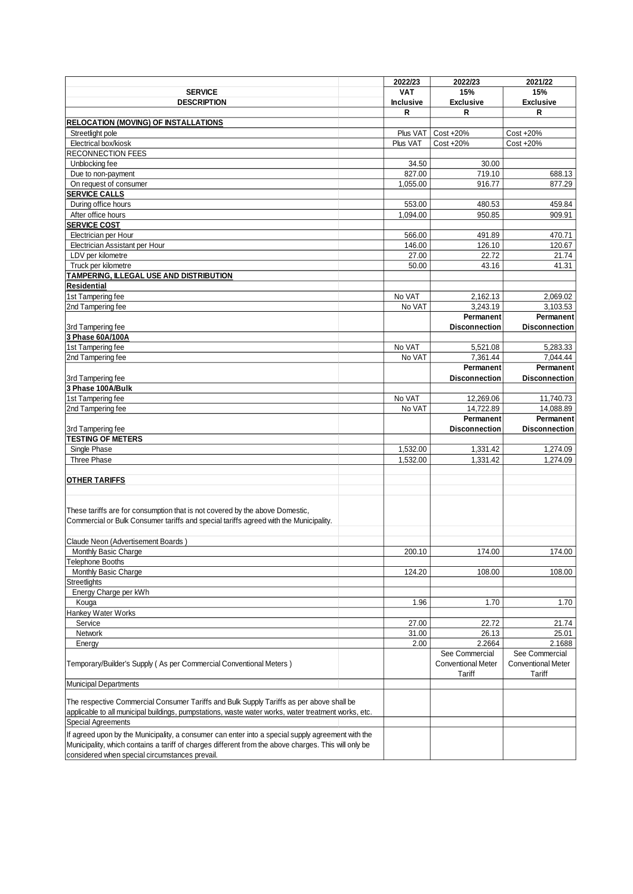|                                                                                                                                                                                                                                                             | 2022/23          | 2022/23                             | 2021/22                             |
|-------------------------------------------------------------------------------------------------------------------------------------------------------------------------------------------------------------------------------------------------------------|------------------|-------------------------------------|-------------------------------------|
| <b>SERVICE</b>                                                                                                                                                                                                                                              | <b>VAT</b>       | 15%                                 | 15%                                 |
| <b>DESCRIPTION</b>                                                                                                                                                                                                                                          | <b>Inclusive</b> | <b>Exclusive</b>                    | <b>Exclusive</b>                    |
|                                                                                                                                                                                                                                                             | R                | R                                   | R                                   |
| <b>RELOCATION (MOVING) OF INSTALLATIONS</b>                                                                                                                                                                                                                 |                  |                                     |                                     |
| Streetlight pole                                                                                                                                                                                                                                            | Plus VAT         | Cost +20%                           | Cost +20%                           |
| Electrical box/kiosk                                                                                                                                                                                                                                        | Plus VAT         | Cost +20%                           | Cost +20%                           |
| <b>RECONNECTION FEES</b>                                                                                                                                                                                                                                    |                  |                                     |                                     |
| Unblocking fee                                                                                                                                                                                                                                              | 34.50            | 30.00                               |                                     |
| Due to non-payment                                                                                                                                                                                                                                          | 827.00           | 719.10                              | 688.13                              |
| On request of consumer                                                                                                                                                                                                                                      | 1,055.00         | 916.77                              | 877.29                              |
| <b>SERVICE CALLS</b>                                                                                                                                                                                                                                        |                  |                                     |                                     |
| During office hours                                                                                                                                                                                                                                         | 553.00           | 480.53                              | 459.84                              |
| After office hours                                                                                                                                                                                                                                          | 1,094.00         | 950.85                              | 909.91                              |
| <b>SERVICE COST</b>                                                                                                                                                                                                                                         |                  |                                     |                                     |
| Electrician per Hour                                                                                                                                                                                                                                        | 566.00           | 491.89                              | 470.71                              |
| Electrician Assistant per Hour                                                                                                                                                                                                                              | 146.00           | 126.10                              | 120.67                              |
| LDV per kilometre                                                                                                                                                                                                                                           | 27.00            | 22.72                               | 21.74                               |
| Truck per kilometre                                                                                                                                                                                                                                         | 50.00            | 43.16                               | 41.31                               |
| TAMPERING, ILLEGAL USE AND DISTRIBUTION                                                                                                                                                                                                                     |                  |                                     |                                     |
| <b>Residential</b>                                                                                                                                                                                                                                          |                  |                                     |                                     |
| 1st Tampering fee                                                                                                                                                                                                                                           | No VAT           | 2,162.13                            | 2,069.02                            |
| 2nd Tampering fee                                                                                                                                                                                                                                           | No VAT           | 3,243.19                            | 3,103.53                            |
|                                                                                                                                                                                                                                                             |                  | Permanent                           | Permanent                           |
| 3rd Tampering fee                                                                                                                                                                                                                                           |                  | <b>Disconnection</b>                | <b>Disconnection</b>                |
| 3 Phase 60A/100A                                                                                                                                                                                                                                            |                  |                                     |                                     |
| 1st Tampering fee                                                                                                                                                                                                                                           | No VAT           | 5,521.08                            | 5,283.33                            |
| 2nd Tampering fee                                                                                                                                                                                                                                           | No VAT           | 7,361.44                            | 7,044.44                            |
|                                                                                                                                                                                                                                                             |                  | Permanent                           | Permanent                           |
| 3rd Tampering fee                                                                                                                                                                                                                                           |                  | <b>Disconnection</b>                | <b>Disconnection</b>                |
| 3 Phase 100A/Bulk                                                                                                                                                                                                                                           |                  |                                     |                                     |
| 1st Tampering fee                                                                                                                                                                                                                                           | No VAT           | 12,269.06                           | 11,740.73                           |
| 2nd Tampering fee                                                                                                                                                                                                                                           | No VAT           | 14,722.89                           | 14,088.89                           |
|                                                                                                                                                                                                                                                             |                  | Permanent                           | Permanent                           |
| 3rd Tampering fee                                                                                                                                                                                                                                           |                  | <b>Disconnection</b>                | <b>Disconnection</b>                |
| <b>TESTING OF METERS</b>                                                                                                                                                                                                                                    |                  |                                     |                                     |
| Single Phase                                                                                                                                                                                                                                                | 1,532.00         | 1,331.42                            | 1,274.09                            |
| Three Phase                                                                                                                                                                                                                                                 | 1,532.00         | 1,331.42                            | 1,274.09                            |
|                                                                                                                                                                                                                                                             |                  |                                     |                                     |
| <b>OTHER TARIFFS</b>                                                                                                                                                                                                                                        |                  |                                     |                                     |
|                                                                                                                                                                                                                                                             |                  |                                     |                                     |
| These tariffs are for consumption that is not covered by the above Domestic,<br>Commercial or Bulk Consumer tariffs and special tariffs agreed with the Municipality.                                                                                       |                  |                                     |                                     |
| Claude Neon (Advertisement Boards)                                                                                                                                                                                                                          |                  |                                     |                                     |
| Monthly Basic Charge                                                                                                                                                                                                                                        | 200.10           | 174.00                              | 174.00                              |
| Telephone Booths                                                                                                                                                                                                                                            |                  |                                     |                                     |
| Monthly Basic Charge                                                                                                                                                                                                                                        | 124.20           | 108.00                              | 108.00                              |
| Streetlights                                                                                                                                                                                                                                                |                  |                                     |                                     |
| Energy Charge per kWh                                                                                                                                                                                                                                       |                  |                                     |                                     |
| Kouga                                                                                                                                                                                                                                                       | 1.96             | 1.70                                | 1.70                                |
| Hankey Water Works                                                                                                                                                                                                                                          |                  |                                     |                                     |
| Service                                                                                                                                                                                                                                                     | 27.00            | 22.72                               | 21.74                               |
| Network                                                                                                                                                                                                                                                     | 31.00            | 26.13                               | 25.01                               |
| Energy                                                                                                                                                                                                                                                      | 2.00             | 2.2664                              | 2.1688                              |
|                                                                                                                                                                                                                                                             |                  | See Commercial                      | See Commercial                      |
| Temporary/Builder's Supply (As per Commercial Conventional Meters)                                                                                                                                                                                          |                  | <b>Conventional Meter</b><br>Tariff | <b>Conventional Meter</b><br>Tariff |
| <b>Municipal Departments</b>                                                                                                                                                                                                                                |                  |                                     |                                     |
| The respective Commercial Consumer Tariffs and Bulk Supply Tariffs as per above shall be<br>applicable to all municipal buildings, pumpstations, waste water works, water treatment works, etc.<br><b>Special Agreements</b>                                |                  |                                     |                                     |
| If agreed upon by the Municipality, a consumer can enter into a special supply agreement with the<br>Municipality, which contains a tariff of charges different from the above charges. This will only be<br>considered when special circumstances prevail. |                  |                                     |                                     |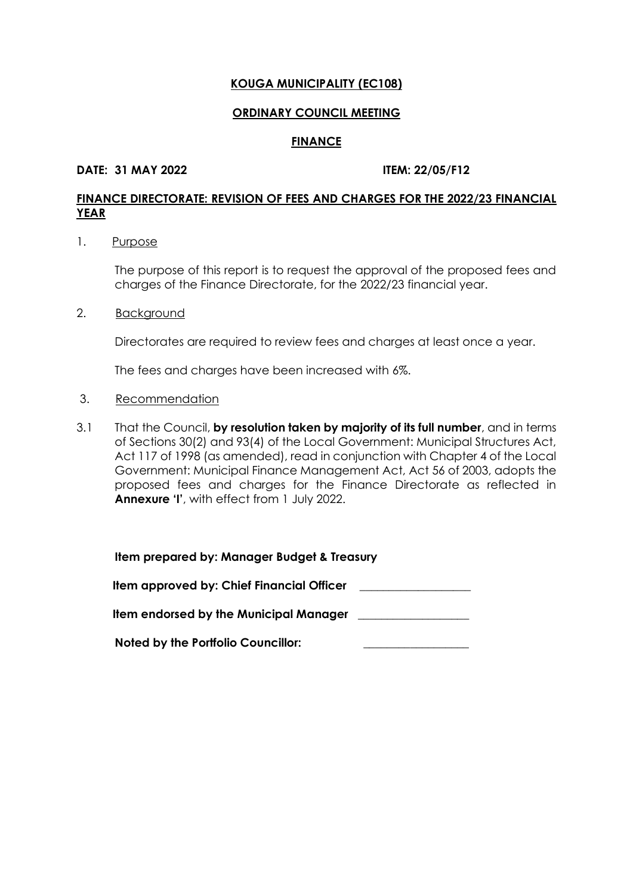#### **ORDINARY COUNCIL MEETING**

#### **FINANCE**

#### **DATE: 31 MAY 2022 ITEM: 22/05/F12**

# **FINANCE DIRECTORATE: REVISION OF FEES AND CHARGES FOR THE 2022/23 FINANCIAL YEAR**

#### 1. Purpose

The purpose of this report is to request the approval of the proposed fees and charges of the Finance Directorate, for the 2022/23 financial year.

### 2. Background

Directorates are required to review fees and charges at least once a year.

The fees and charges have been increased with 6%.

#### 3. Recommendation

3.1 That the Council, **by resolution taken by majority of its full number**, and in terms of Sections 30(2) and 93(4) of the Local Government: Municipal Structures Act, Act 117 of 1998 (as amended), read in conjunction with Chapter 4 of the Local Government: Municipal Finance Management Act, Act 56 of 2003, adopts the proposed fees and charges for the Finance Directorate as reflected in **Annexure 'I'**, with effect from 1 July 2022.

| Item prepared by: Manager Budget & Treasury |
|---------------------------------------------|
| Item approved by: Chief Financial Officer   |
| Item endorsed by the Municipal Manager      |
| <b>Noted by the Portfolio Councillor:</b>   |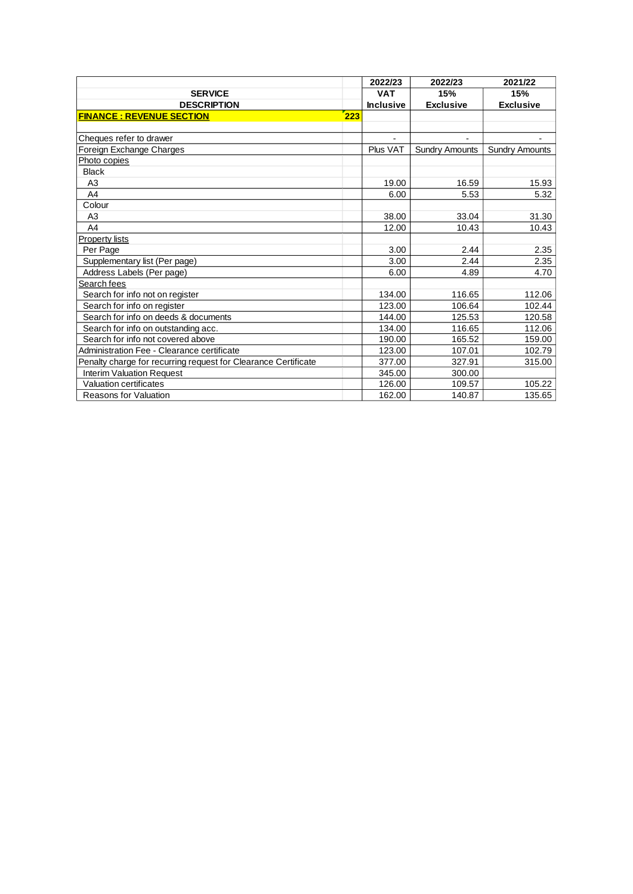|                                                                | 2022/23          | 2022/23               | 2021/22               |
|----------------------------------------------------------------|------------------|-----------------------|-----------------------|
| <b>SERVICE</b>                                                 | <b>VAT</b>       | 15%                   | 15%                   |
| <b>DESCRIPTION</b>                                             | <b>Inclusive</b> | <b>Exclusive</b>      | <b>Exclusive</b>      |
| 223<br><b>FINANCE: REVENUE SECTION</b>                         |                  |                       |                       |
|                                                                |                  |                       |                       |
| Cheques refer to drawer                                        |                  |                       |                       |
| Foreign Exchange Charges                                       | Plus VAT         | <b>Sundry Amounts</b> | <b>Sundry Amounts</b> |
| Photo copies                                                   |                  |                       |                       |
| <b>Black</b>                                                   |                  |                       |                       |
| A <sub>3</sub>                                                 | 19.00            | 16.59                 | 15.93                 |
| A4                                                             | 6.00             | 5.53                  | 5.32                  |
| Colour                                                         |                  |                       |                       |
| A <sub>3</sub>                                                 | 38.00            | 33.04                 | 31.30                 |
| A4                                                             | 12.00            | 10.43                 | 10.43                 |
| <b>Property lists</b>                                          |                  |                       |                       |
| Per Page                                                       | 3.00             | 2.44                  | 2.35                  |
| Supplementary list (Per page)                                  | 3.00             | 2.44                  | 2.35                  |
| Address Labels (Per page)                                      | 6.00             | 4.89                  | 4.70                  |
| Search fees                                                    |                  |                       |                       |
| Search for info not on register                                | 134.00           | 116.65                | 112.06                |
| Search for info on register                                    | 123.00           | 106.64                | 102.44                |
| Search for info on deeds & documents                           | 144.00           | 125.53                | 120.58                |
| Search for info on outstanding acc.                            | 134.00           | 116.65                | 112.06                |
| Search for info not covered above                              | 190.00           | 165.52                | 159.00                |
| Administration Fee - Clearance certificate                     | 123.00           | 107.01                | 102.79                |
| Penalty charge for recurring request for Clearance Certificate | 377.00           | 327.91                | 315.00                |
| <b>Interim Valuation Request</b>                               | 345.00           | 300.00                |                       |
| Valuation certificates                                         | 126.00           | 109.57                | 105.22                |
| <b>Reasons for Valuation</b>                                   | 162.00           | 140.87                | 135.65                |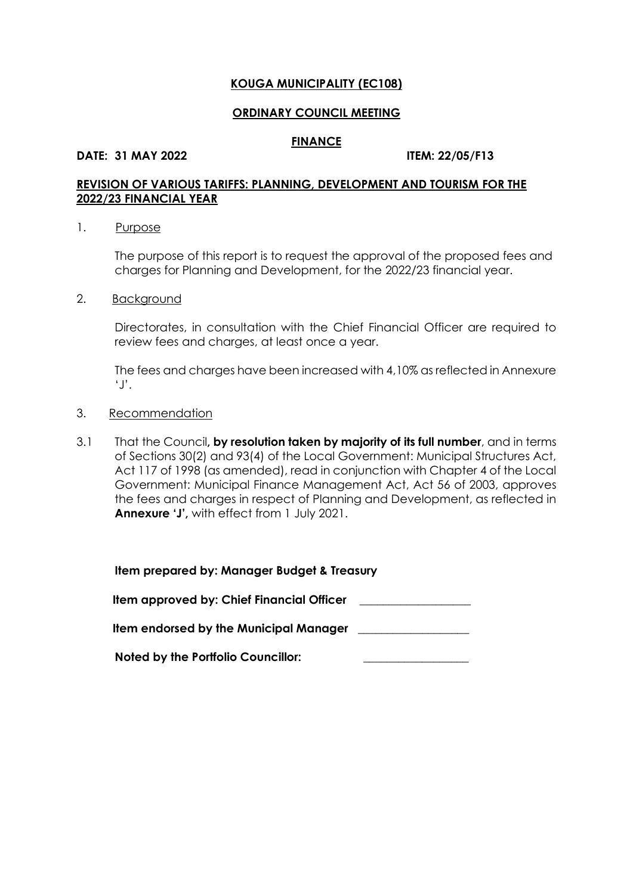#### **ORDINARY COUNCIL MEETING**

#### **FINANCE**

#### **DATE: 31 MAY 2022 ITEM: 22/05/F13**

# **REVISION OF VARIOUS TARIFFS: PLANNING, DEVELOPMENT AND TOURISM FOR THE 2022/23 FINANCIAL YEAR**

#### 1. Purpose

The purpose of this report is to request the approval of the proposed fees and charges for Planning and Development, for the 2022/23 financial year.

#### 2. Background

Directorates, in consultation with the Chief Financial Officer are required to review fees and charges, at least once a year.

The fees and charges have been increased with 4,10% as reflected in Annexure 'J'.

#### 3. Recommendation

3.1 That the Council**, by resolution taken by majority of its full number**, and in terms of Sections 30(2) and 93(4) of the Local Government: Municipal Structures Act, Act 117 of 1998 (as amended), read in conjunction with Chapter 4 of the Local Government: Municipal Finance Management Act, Act 56 of 2003, approves the fees and charges in respect of Planning and Development, as reflected in **Annexure 'J',** with effect from 1 July 2021.

| Item prepared by: Manager Budget & Treasury |  |
|---------------------------------------------|--|
| Item approved by: Chief Financial Officer   |  |
| Item endorsed by the Municipal Manager      |  |
| <b>Noted by the Portfolio Councillor:</b>   |  |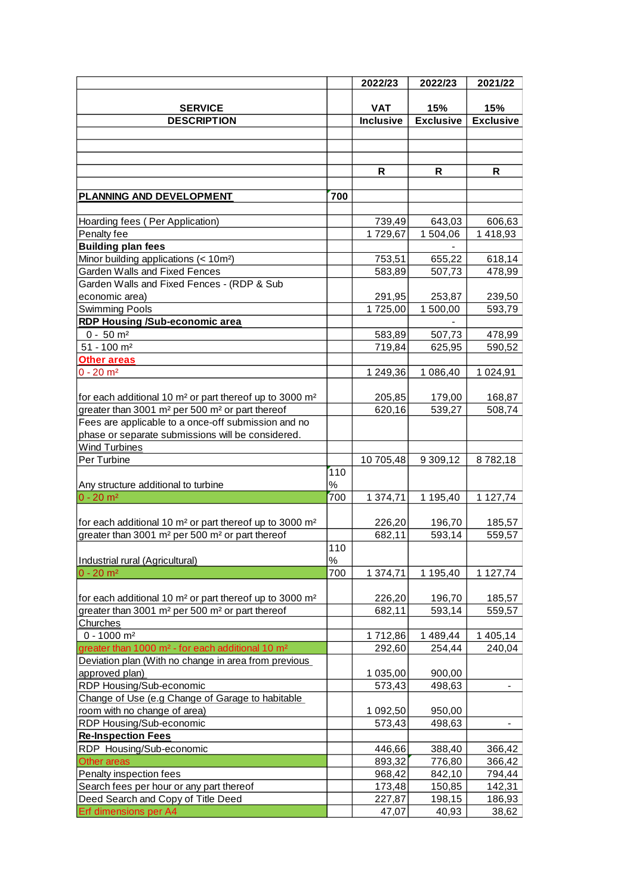|                                                                                 |      | 2022/23          | 2022/23          | 2021/22          |
|---------------------------------------------------------------------------------|------|------------------|------------------|------------------|
|                                                                                 |      |                  |                  |                  |
| <b>SERVICE</b>                                                                  |      | <b>VAT</b>       | 15%              | 15%              |
| <b>DESCRIPTION</b>                                                              |      | <b>Inclusive</b> | <b>Exclusive</b> | <b>Exclusive</b> |
|                                                                                 |      |                  |                  |                  |
|                                                                                 |      |                  |                  |                  |
|                                                                                 |      |                  |                  |                  |
|                                                                                 |      | R                | R                | R                |
| PLANNING AND DEVELOPMENT                                                        | 700  |                  |                  |                  |
|                                                                                 |      |                  |                  |                  |
| Hoarding fees (Per Application)                                                 |      | 739,49           | 643,03           | 606,63           |
| Penalty fee                                                                     |      | 1729,67          | 1 504,06         | 1418,93          |
| <b>Building plan fees</b>                                                       |      |                  |                  |                  |
| Minor building applications (< 10m <sup>2</sup> )                               |      | 753,51           | 655,22           | 618,14           |
| <b>Garden Walls and Fixed Fences</b>                                            |      | 583,89           | 507,73           | 478,99           |
| Garden Walls and Fixed Fences - (RDP & Sub                                      |      |                  |                  |                  |
| economic area)                                                                  |      | 291,95           | 253,87           | 239,50           |
| <b>Swimming Pools</b>                                                           |      | 1725,00          | 1 500,00         | 593,79           |
| <b>RDP Housing /Sub-economic area</b>                                           |      |                  |                  |                  |
| $0 - 50$ m <sup>2</sup>                                                         |      | 583,89           | 507,73           | 478,99           |
| $51 - 100$ m <sup>2</sup>                                                       |      | 719,84           | 625,95           | 590,52           |
| Other areas                                                                     |      |                  |                  |                  |
| $0 - 20$ m <sup>2</sup>                                                         |      | 1 249,36         | 1 086,40         | 1 0 24, 91       |
|                                                                                 |      |                  |                  |                  |
| for each additional 10 m <sup>2</sup> or part thereof up to 3000 m <sup>2</sup> |      | 205,85           | 179,00           | 168,87           |
| greater than 3001 m <sup>2</sup> per 500 m <sup>2</sup> or part thereof         |      | 620,16           | 539,27           | 508,74           |
| Fees are applicable to a once-off submission and no                             |      |                  |                  |                  |
| phase or separate submissions will be considered.                               |      |                  |                  |                  |
| <b>Wind Turbines</b>                                                            |      |                  |                  |                  |
| Per Turbine                                                                     |      | 10 705,48        | 9 309,12         | 8782,18          |
|                                                                                 | 110  |                  |                  |                  |
| Any structure additional to turbine                                             | $\%$ |                  |                  |                  |
| $0 - 20$ m <sup>2</sup>                                                         | 700  | 1 374,71         | 1 195,40         | 1 127,74         |
|                                                                                 |      |                  |                  |                  |
| for each additional 10 m <sup>2</sup> or part thereof up to 3000 m <sup>2</sup> |      | 226,20           | 196,70           | 185,57           |
| greater than 3001 m <sup>2</sup> per 500 m <sup>2</sup> or part thereof         |      | 682,11           | 593,14           | 559,57           |
|                                                                                 | 110  |                  |                  |                  |
| Industrial rural (Agricultural)                                                 | $\%$ |                  |                  |                  |
| $0 - 20$ m <sup>2</sup>                                                         | 700  | 1 374,71         | 1 195,40         | 1 127,74         |
|                                                                                 |      |                  |                  |                  |
| for each additional 10 m <sup>2</sup> or part thereof up to 3000 m <sup>2</sup> |      | 226,20           | 196,70           | 185,57           |
| greater than 3001 m <sup>2</sup> per 500 m <sup>2</sup> or part thereof         |      | 682,11           | 593,14           | 559,57           |
| Churches                                                                        |      |                  |                  |                  |
| $0 - 1000$ m <sup>2</sup>                                                       |      | 1712,86          | 1 489,44         | 1 405,14         |
| greater than 1000 m <sup>2</sup> - for each additional 10 m <sup>2</sup>        |      | 292,60           | 254,44           | 240,04           |
| Deviation plan (With no change in area from previous                            |      |                  |                  |                  |
| approved plan)                                                                  |      | 1 035,00         | 900,00           |                  |
| RDP Housing/Sub-economic                                                        |      | 573,43           | 498,63           |                  |
| Change of Use (e.g Change of Garage to habitable                                |      |                  |                  |                  |
| room with no change of area)                                                    |      | 1 092,50         | 950,00           |                  |
| RDP Housing/Sub-economic                                                        |      | 573,43           | 498,63           | $\blacksquare$   |
| <b>Re-Inspection Fees</b>                                                       |      |                  |                  |                  |
| RDP Housing/Sub-economic                                                        |      | 446,66           | 388,40           | 366,42           |
| Other areas                                                                     |      | 893,32           | 776,80           | 366,42           |
| Penalty inspection fees                                                         |      | 968,42           | 842,10           | 794,44           |
| Search fees per hour or any part thereof                                        |      | 173,48           | 150,85           | 142,31           |
| Deed Search and Copy of Title Deed                                              |      | 227,87           | 198,15           | 186,93           |
| Erf dimensions per A4                                                           |      | 47,07            | 40,93            | 38,62            |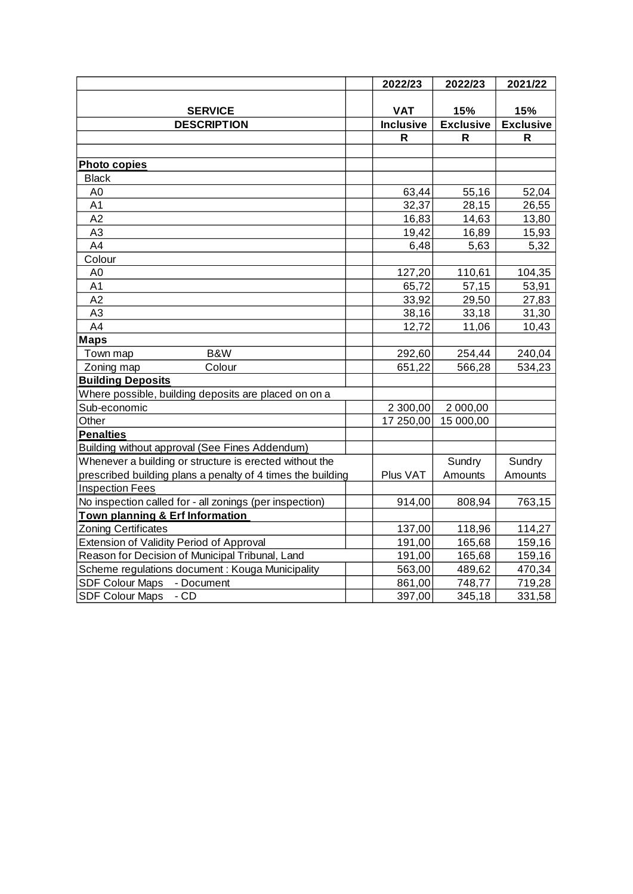|                                                             | 2022/23          | 2022/23          | 2021/22          |
|-------------------------------------------------------------|------------------|------------------|------------------|
|                                                             |                  |                  |                  |
| <b>SERVICE</b>                                              | <b>VAT</b>       | 15%              | 15%              |
| <b>DESCRIPTION</b>                                          | <b>Inclusive</b> | <b>Exclusive</b> | <b>Exclusive</b> |
|                                                             | R                | R                | R                |
|                                                             |                  |                  |                  |
| <b>Photo copies</b>                                         |                  |                  |                  |
| <b>Black</b>                                                |                  |                  |                  |
| A <sub>0</sub>                                              | 63,44            | 55,16            | 52,04            |
| A <sub>1</sub>                                              | 32,37            | 28,15            | 26,55            |
| A2                                                          | 16,83            | 14,63            | 13,80            |
| A <sub>3</sub>                                              | 19,42            | 16,89            | 15,93            |
| A4                                                          | 6,48             | 5,63             | 5,32             |
| Colour                                                      |                  |                  |                  |
| A <sub>0</sub>                                              | 127,20           | 110,61           | 104,35           |
| A <sub>1</sub>                                              | 65,72            | 57,15            | 53,91            |
| A2                                                          | 33,92            | 29,50            | 27,83            |
| A <sub>3</sub>                                              | 38,16            | 33,18            | 31,30            |
| A4                                                          | 12,72            | 11,06            | 10,43            |
| <b>Maps</b>                                                 |                  |                  |                  |
| B&W<br>Town map                                             | 292,60           | 254,44           | 240,04           |
| Zoning map<br>Colour                                        | 651,22           | 566,28           | 534,23           |
| <b>Building Deposits</b>                                    |                  |                  |                  |
| Where possible, building deposits are placed on on a        |                  |                  |                  |
| Sub-economic                                                | 2 300,00         | 2 000,00         |                  |
| Other                                                       | 17 250,00        | 15 000,00        |                  |
| <b>Penalties</b>                                            |                  |                  |                  |
| Building without approval (See Fines Addendum)              |                  |                  |                  |
| Whenever a building or structure is erected without the     |                  | Sundry           | Sundry           |
| prescribed building plans a penalty of 4 times the building | Plus VAT         | Amounts          | Amounts          |
| <b>Inspection Fees</b>                                      |                  |                  |                  |
| No inspection called for - all zonings (per inspection)     | 914,00           | 808,94           | 763,15           |
| <b>Town planning &amp; Erf Information</b>                  |                  |                  |                  |
| <b>Zoning Certificates</b>                                  | 137,00           | 118,96           | 114,27           |
| Extension of Validity Period of Approval                    | 191,00           | 165,68           | 159,16           |
| Reason for Decision of Municipal Tribunal, Land             | 191,00           | 165,68           | 159,16           |
| Scheme regulations document: Kouga Municipality             | 563,00           | 489,62           | 470,34           |
| SDF Colour Maps - Document                                  | 861,00           | 748,77           | 719,28           |
| <b>SDF Colour Maps</b><br>$-CD$                             | 397,00           | 345,18           | 331,58           |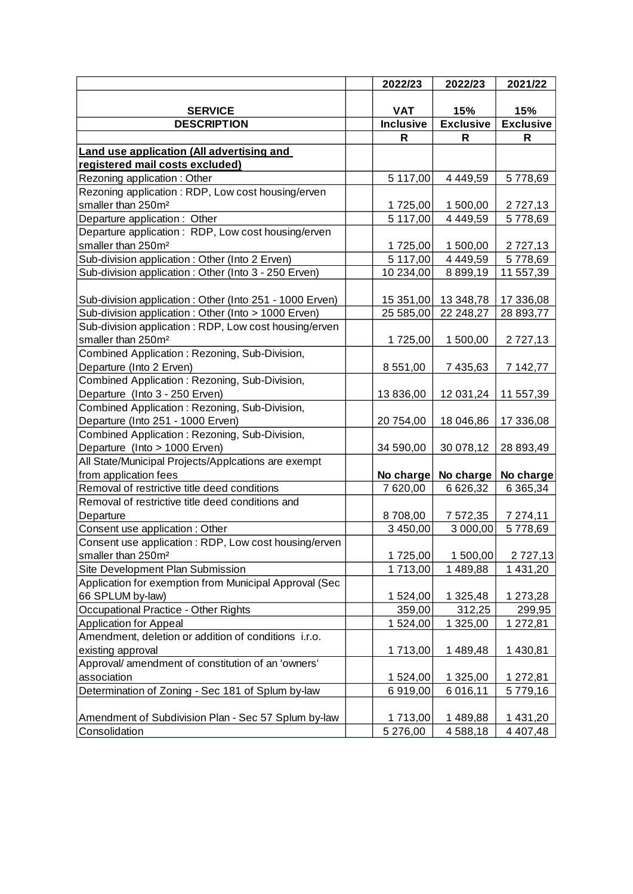|                                                         | 2022/23          | 2022/23             | 2021/22          |
|---------------------------------------------------------|------------------|---------------------|------------------|
|                                                         |                  |                     |                  |
| <b>SERVICE</b>                                          | <b>VAT</b>       | 15%                 | 15%              |
| <b>DESCRIPTION</b>                                      | <b>Inclusive</b> | <b>Exclusive</b>    | <b>Exclusive</b> |
|                                                         | R                | R                   | R                |
| Land use application (All advertising and               |                  |                     |                  |
| registered mail costs excluded)                         |                  |                     |                  |
| Rezoning application: Other                             | 5 117,00         | 4 4 4 9, 5 9        | 5778,69          |
| Rezoning application: RDP, Low cost housing/erven       |                  |                     |                  |
| smaller than 250m <sup>2</sup>                          | 1725,00          | 1 500,00            | 2 7 2 7 , 1 3    |
| Departure application: Other                            | 5 117,00         | 4 4 4 9, 5 9        | 5778,69          |
| Departure application: RDP, Low cost housing/erven      |                  |                     |                  |
| smaller than 250m <sup>2</sup>                          | 1725,00          | 1 500,00            | 2 7 2 7 , 1 3    |
| Sub-division application: Other (Into 2 Erven)          | 5 117,00         | 4 4 4 9, 5 9        | 5778,69          |
| Sub-division application: Other (Into 3 - 250 Erven)    | 10 234,00        | 8 8 9 9, 1 9        | 11 557,39        |
|                                                         |                  |                     |                  |
| Sub-division application: Other (Into 251 - 1000 Erven) |                  | 15 351,00 13 348,78 | 17 336,08        |
| Sub-division application: Other (Into > 1000 Erven)     | 25 585,00        | 22 248,27           | 28 893,77        |
| Sub-division application: RDP, Low cost housing/erven   |                  |                     |                  |
| smaller than 250m <sup>2</sup>                          | 1725,00          | 1 500,00            | 2 7 2 7 , 1 3    |
| Combined Application: Rezoning, Sub-Division,           |                  |                     |                  |
| Departure (Into 2 Erven)                                | 8 551,00         | 7 435,63            | 7 142,77         |
| Combined Application: Rezoning, Sub-Division,           |                  |                     |                  |
| Departure (Into 3 - 250 Erven)                          | 13 836,00        | 12 031,24           | 11 557,39        |
| Combined Application: Rezoning, Sub-Division,           |                  |                     |                  |
| Departure (Into 251 - 1000 Erven)                       | 20 754,00        | 18 046,86           | 17 336,08        |
| Combined Application: Rezoning, Sub-Division,           |                  |                     |                  |
| Departure (Into > 1000 Erven)                           | 34 590,00        | 30 078,12           | 28 893,49        |
| All State/Municipal Projects/Applcations are exempt     |                  |                     |                  |
| from application fees                                   |                  | No charge No charge | No charge        |
| Removal of restrictive title deed conditions            | 7 620,00         | 6 6 26, 32          | 6 365,34         |
| Removal of restrictive title deed conditions and        |                  |                     |                  |
| Departure                                               | 8708,00          | 7 572,35            | 7 274,11         |
| Consent use application : Other                         | 3 450,00         | 3 000,00            | 5778,69          |
| Consent use application : RDP, Low cost housing/erven   |                  |                     |                  |
| smaller than 250m <sup>2</sup>                          | 1725,00          | 1 500,00            | 2 727,13         |
| Site Development Plan Submission                        | 1713,00          | 1489,88             | 1 431,20         |
| Application for exemption from Municipal Approval (Sec  |                  |                     |                  |
| 66 SPLUM by-law)                                        | 1 524,00         | 1 325,48            | 1 273,28         |
| Occupational Practice - Other Rights                    | 359,00           | 312,25              | 299,95           |
| <b>Application for Appeal</b>                           | 1 524,00         | 1 325,00            | 1 272,81         |
| Amendment, deletion or addition of conditions i.r.o.    |                  |                     |                  |
| existing approval                                       | 1713,00          | 1489,48             | 1 430,81         |
| Approval/ amendment of constitution of an 'owners'      |                  |                     |                  |
| association                                             | 1 524,00         | 1 325,00            | 1 272,81         |
| Determination of Zoning - Sec 181 of Splum by-law       | 6919,00          | 6 016,11            | 5779,16          |
|                                                         |                  |                     |                  |
| Amendment of Subdivision Plan - Sec 57 Splum by-law     | 1713,00          | 1489,88             | 1 431,20         |
| Consolidation                                           | 5 276,00         | 4588,18             | 4 4 0 7,48       |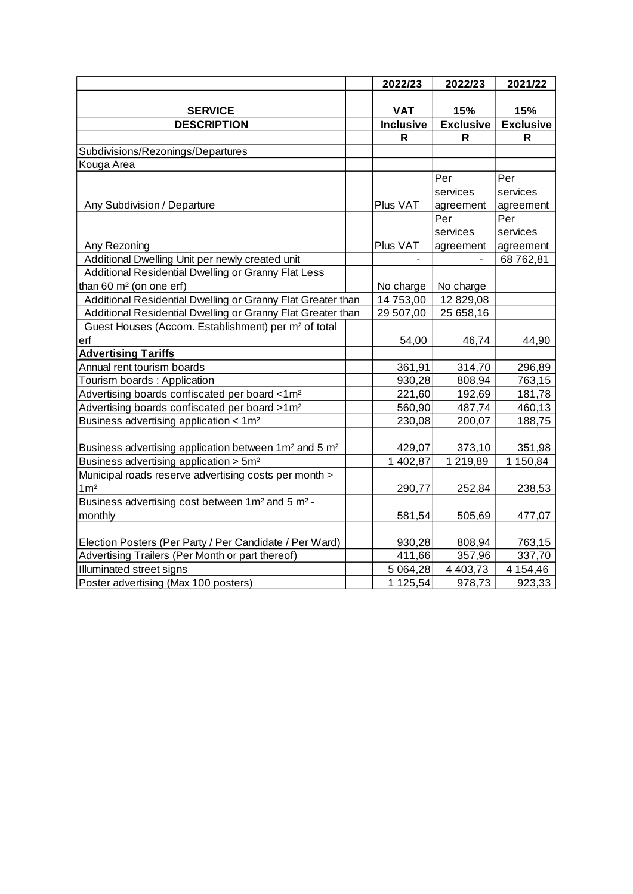|                                                                                | 2022/23          | 2022/23          | 2021/22          |
|--------------------------------------------------------------------------------|------------------|------------------|------------------|
|                                                                                |                  |                  |                  |
| <b>SERVICE</b>                                                                 | <b>VAT</b>       | 15%              | 15%              |
| <b>DESCRIPTION</b>                                                             | <b>Inclusive</b> | <b>Exclusive</b> | <b>Exclusive</b> |
|                                                                                | R                | R                | R                |
| Subdivisions/Rezonings/Departures                                              |                  |                  |                  |
| Kouga Area                                                                     |                  |                  |                  |
|                                                                                |                  | Per              | Per              |
|                                                                                |                  | services         | services         |
| Any Subdivision / Departure                                                    | Plus VAT         | agreement        | agreement        |
|                                                                                |                  | Per              | Per              |
|                                                                                |                  | services         | services         |
| Any Rezoning                                                                   | Plus VAT         | agreement        | agreement        |
| Additional Dwelling Unit per newly created unit                                |                  |                  | 68 762,81        |
| Additional Residential Dwelling or Granny Flat Less                            |                  |                  |                  |
| than 60 m <sup>2</sup> (on one erf)                                            | No charge        | No charge        |                  |
| Additional Residential Dwelling or Granny Flat Greater than                    | 14 753,00        | 12 829,08        |                  |
| Additional Residential Dwelling or Granny Flat Greater than                    | 29 507,00        | 25 658,16        |                  |
| Guest Houses (Accom. Establishment) per m <sup>2</sup> of total                |                  |                  |                  |
| erf                                                                            | 54,00            | 46,74            | 44,90            |
| <b>Advertising Tariffs</b>                                                     |                  |                  |                  |
| Annual rent tourism boards                                                     | 361,91           | 314,70           | 296,89           |
| Tourism boards: Application                                                    | 930,28           | 808,94           | 763,15           |
| Advertising boards confiscated per board <1m <sup>2</sup>                      | 221,60           | 192,69           | 181,78           |
| Advertising boards confiscated per board >1m <sup>2</sup>                      | 560,90           | 487,74           | 460,13           |
| Business advertising application < 1m <sup>2</sup>                             | 230,08           | 200,07           | 188,75           |
|                                                                                |                  |                  |                  |
| Business advertising application between 1 m <sup>2</sup> and 5 m <sup>2</sup> | 429,07           | 373,10           | 351,98           |
| Business advertising application > 5m <sup>2</sup>                             | 1 402,87         | 1 219,89         | 1 150,84         |
| Municipal roads reserve advertising costs per month >                          |                  |                  |                  |
| 1m <sup>2</sup>                                                                | 290,77           | 252,84           | 238,53           |
| Business advertising cost between 1 m <sup>2</sup> and 5 m <sup>2</sup> -      |                  |                  |                  |
| monthly                                                                        | 581,54           | 505,69           | 477,07           |
|                                                                                |                  |                  |                  |
| Election Posters (Per Party / Per Candidate / Per Ward)                        | 930,28           | 808,94           | 763,15           |
| Advertising Trailers (Per Month or part thereof)                               | 411,66           | 357,96           | 337,70           |
| Illuminated street signs                                                       | 5 0 64, 28       | 4 4 0 3 , 7 3    | 4 154,46         |
| Poster advertising (Max 100 posters)                                           | 1 125,54         | 978,73           | 923,33           |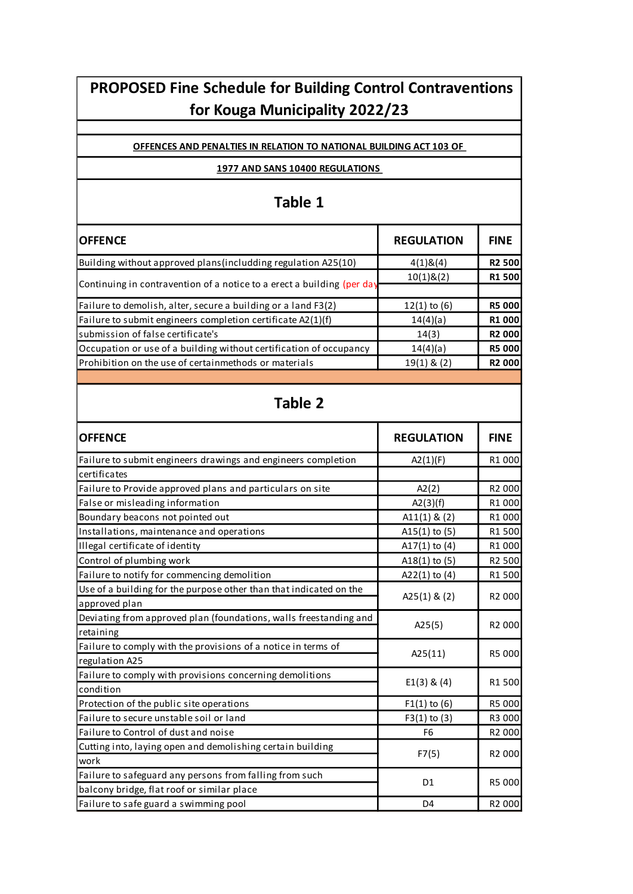# **PROPOSED Fine Schedule for Building Control Contraventions for Kouga Municipality 2022/23**

#### **OFFENCES AND PENALTIES IN RELATION TO NATIONAL BUILDING ACT 103 OF**

#### **1977 AND SANS 10400 REGULATIONS**

# **Table 1**

| <b>OFFENCE</b>                                                         | <b>REGULATION</b>  | <b>FINE</b>        |
|------------------------------------------------------------------------|--------------------|--------------------|
| Building without approved plans (includding regulation A25(10)         | 4(1)8(4)           | R2 500             |
| Continuing in contravention of a notice to a erect a building (per day | $10(1)$ & $(2)$    | R1 500             |
|                                                                        |                    |                    |
| Failure to demolish, alter, secure a building or a land F3(2)          | $12(1)$ to (6)     | R5 000             |
| Failure to submit engineers completion certificate A2(1)(f)            | 14(4)(a)           | R1 000             |
| submission of false certificate's                                      | 14(3)              | R2 000             |
| Occupation or use of a building without certification of occupancy     | 14(4)(a)           | <b>R5 000</b>      |
| Prohibition on the use of certainmethods or materials                  | $19(1)$ & $(2)$    | R2 000             |
|                                                                        |                    |                    |
| <b>Table 2</b>                                                         |                    |                    |
| <b>OFFENCE</b>                                                         | <b>REGULATION</b>  | <b>FINE</b>        |
| Failure to submit engineers drawings and engineers completion          | A2(1)(F)           | R1 000             |
| certificates                                                           |                    |                    |
| Failure to Provide approved plans and particulars on site              | A2(2)              | R2 000             |
| False or misleading information                                        | A2(3)(f)           | R1 000             |
| Boundary beacons not pointed out                                       | $A11(1)$ & (2)     | R1 000             |
| Installations, maintenance and operations                              | $A15(1)$ to (5)    | R1 500             |
| Illegal certificate of identity                                        | A17 $(1)$ to $(4)$ | R1 000             |
| Control of plumbing work                                               | $A18(1)$ to (5)    | R2 500             |
| Failure to notify for commencing demolition                            | A22 $(1)$ to $(4)$ | R1 500             |
| Use of a building for the purpose other than that indicated on the     |                    |                    |
| approved plan                                                          | A25 $(1)$ & $(2)$  | R2 000             |
| Deviating from approved plan (foundations, walls freestanding and      | A25(5)             |                    |
| retaining                                                              |                    | R <sub>2</sub> 000 |
| Failure to comply with the provisions of a notice in terms of          | A25(11)            | R5 000             |
| regulation A25                                                         |                    |                    |
| Failure to comply with provisions concerning demolitions               | E1(3) 8(4)         | R1 500             |
| condition                                                              |                    |                    |
| Protection of the public site operations                               | $F1(1)$ to (6)     | R5 000             |
| Failure to secure unstable soil or land                                | $F3(1)$ to (3)     | R3 000             |
| Failure to Control of dust and noise                                   | F <sub>6</sub>     | R <sub>2</sub> 000 |
| Cutting into, laying open and demolishing certain building             | F7(5)              | R2 000             |

Failure to safe guard a swimming pool **Failure Community** Communication of the D4 R2 000

D1 R5 000

work

Failure to safeguard any persons from falling from such

balcony bridge, flat roof or similar place